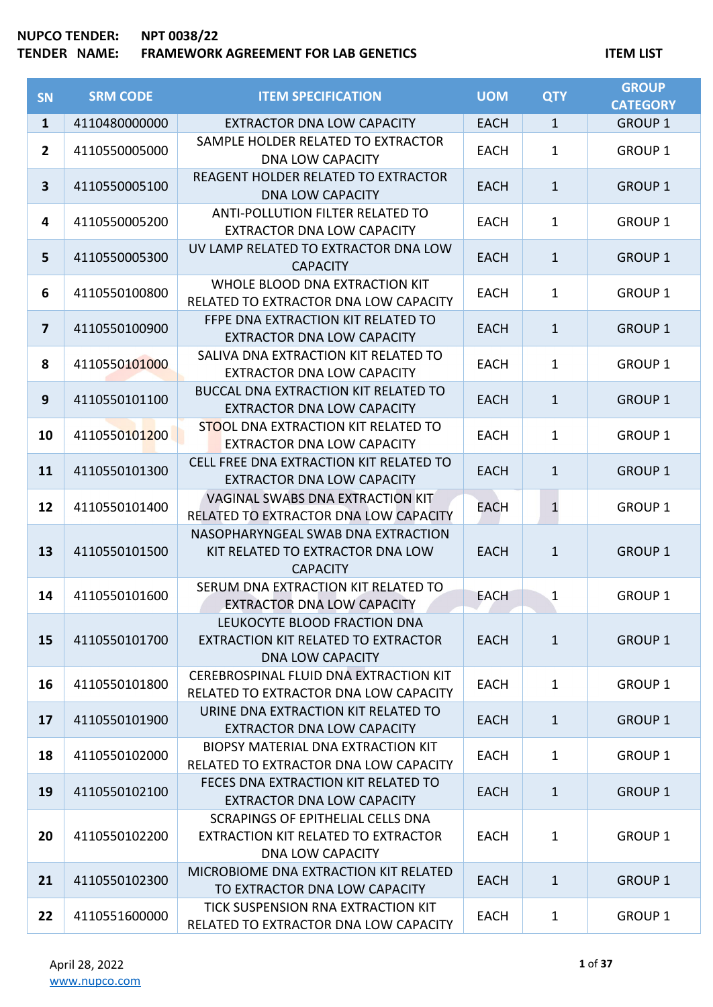| <b>SN</b>               | <b>SRM CODE</b> | <b>ITEM SPECIFICATION</b>                                                                           | <b>UOM</b>  | <b>QTY</b>   | <b>GROUP</b><br><b>CATEGORY</b> |
|-------------------------|-----------------|-----------------------------------------------------------------------------------------------------|-------------|--------------|---------------------------------|
| $\mathbf{1}$            | 4110480000000   | <b>EXTRACTOR DNA LOW CAPACITY</b>                                                                   | <b>EACH</b> | $\mathbf{1}$ | <b>GROUP 1</b>                  |
| $\mathbf{2}$            | 4110550005000   | SAMPLE HOLDER RELATED TO EXTRACTOR<br><b>DNA LOW CAPACITY</b>                                       | <b>EACH</b> | $\mathbf{1}$ | <b>GROUP 1</b>                  |
| 3                       | 4110550005100   | REAGENT HOLDER RELATED TO EXTRACTOR<br><b>DNA LOW CAPACITY</b>                                      | <b>EACH</b> | $\mathbf{1}$ | <b>GROUP 1</b>                  |
| 4                       | 4110550005200   | ANTI-POLLUTION FILTER RELATED TO<br><b>EXTRACTOR DNA LOW CAPACITY</b>                               | <b>EACH</b> | $\mathbf{1}$ | <b>GROUP 1</b>                  |
| 5                       | 4110550005300   | UV LAMP RELATED TO EXTRACTOR DNA LOW<br><b>CAPACITY</b>                                             | <b>EACH</b> | $\mathbf{1}$ | <b>GROUP 1</b>                  |
| 6                       | 4110550100800   | WHOLE BLOOD DNA EXTRACTION KIT<br>RELATED TO EXTRACTOR DNA LOW CAPACITY                             | <b>EACH</b> | $\mathbf{1}$ | <b>GROUP 1</b>                  |
| $\overline{\mathbf{z}}$ | 4110550100900   | FFPE DNA EXTRACTION KIT RELATED TO<br><b>EXTRACTOR DNA LOW CAPACITY</b>                             | <b>EACH</b> | $\mathbf{1}$ | <b>GROUP 1</b>                  |
| 8                       | 4110550101000   | SALIVA DNA EXTRACTION KIT RELATED TO<br><b>EXTRACTOR DNA LOW CAPACITY</b>                           | <b>EACH</b> | $\mathbf{1}$ | <b>GROUP 1</b>                  |
| 9                       | 4110550101100   | <b>BUCCAL DNA EXTRACTION KIT RELATED TO</b><br><b>EXTRACTOR DNA LOW CAPACITY</b>                    | <b>EACH</b> | $\mathbf{1}$ | <b>GROUP 1</b>                  |
| 10                      | 4110550101200   | STOOL DNA EXTRACTION KIT RELATED TO<br><b>EXTRACTOR DNA LOW CAPACITY</b>                            | <b>EACH</b> | $\mathbf{1}$ | <b>GROUP 1</b>                  |
| 11                      | 4110550101300   | CELL FREE DNA EXTRACTION KIT RELATED TO<br><b>EXTRACTOR DNA LOW CAPACITY</b>                        | <b>EACH</b> | $\mathbf{1}$ | <b>GROUP 1</b>                  |
| 12                      | 4110550101400   | VAGINAL SWABS DNA EXTRACTION KIT<br>RELATED TO EXTRACTOR DNA LOW CAPACITY                           | EACH        | $\mathbf{1}$ | <b>GROUP 1</b>                  |
| 13                      | 4110550101500   | NASOPHARYNGEAL SWAB DNA EXTRACTION<br>KIT RELATED TO EXTRACTOR DNA LOW<br><b>CAPACITY</b>           | <b>EACH</b> | $\mathbf{1}$ | <b>GROUP 1</b>                  |
| 14                      | 4110550101600   | SERUM DNA EXTRACTION KIT RELATED TO<br><b>EXTRACTOR DNA LOW CAPACITY</b>                            | <b>EACH</b> | 1            | <b>GROUP 1</b>                  |
| 15                      | 4110550101700   | LEUKOCYTE BLOOD FRACTION DNA<br>EXTRACTION KIT RELATED TO EXTRACTOR<br><b>DNA LOW CAPACITY</b>      | <b>EACH</b> | $\mathbf{1}$ | <b>GROUP 1</b>                  |
| 16                      | 4110550101800   | CEREBROSPINAL FLUID DNA EXTRACTION KIT<br>RELATED TO EXTRACTOR DNA LOW CAPACITY                     | <b>EACH</b> | $\mathbf{1}$ | <b>GROUP 1</b>                  |
| 17                      | 4110550101900   | URINE DNA EXTRACTION KIT RELATED TO<br><b>EXTRACTOR DNA LOW CAPACITY</b>                            | <b>EACH</b> | $\mathbf{1}$ | <b>GROUP 1</b>                  |
| 18                      | 4110550102000   | BIOPSY MATERIAL DNA EXTRACTION KIT<br>RELATED TO EXTRACTOR DNA LOW CAPACITY                         | <b>EACH</b> | $\mathbf{1}$ | <b>GROUP 1</b>                  |
| 19                      | 4110550102100   | FECES DNA EXTRACTION KIT RELATED TO<br><b>EXTRACTOR DNA LOW CAPACITY</b>                            | <b>EACH</b> | $\mathbf{1}$ | <b>GROUP 1</b>                  |
| 20                      | 4110550102200   | SCRAPINGS OF EPITHELIAL CELLS DNA<br>EXTRACTION KIT RELATED TO EXTRACTOR<br><b>DNA LOW CAPACITY</b> | <b>EACH</b> | $\mathbf{1}$ | <b>GROUP 1</b>                  |
| 21                      | 4110550102300   | MICROBIOME DNA EXTRACTION KIT RELATED<br>TO EXTRACTOR DNA LOW CAPACITY                              | <b>EACH</b> | $\mathbf{1}$ | <b>GROUP 1</b>                  |
| 22                      | 4110551600000   | TICK SUSPENSION RNA EXTRACTION KIT<br>RELATED TO EXTRACTOR DNA LOW CAPACITY                         | <b>EACH</b> | $\mathbf{1}$ | <b>GROUP 1</b>                  |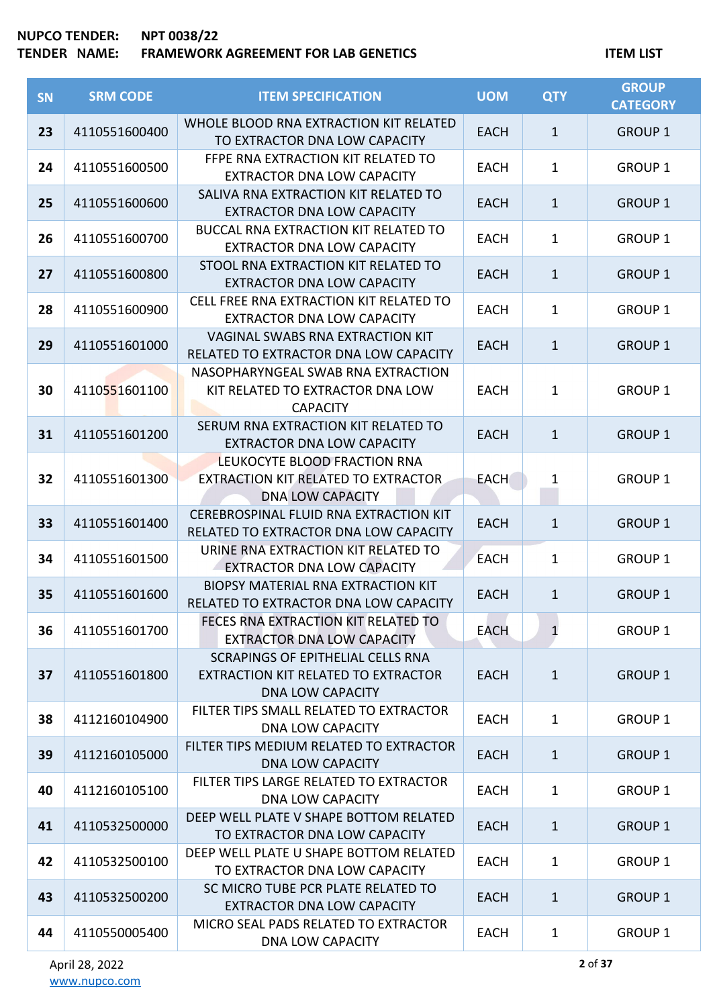# **TENDER NAME: FRAMEWORK AGREEMENT FOR LAB GENETICS ITEM LIST**

| <b>SN</b> | <b>SRM CODE</b> | <b>ITEM SPECIFICATION</b>                                                                           | <b>UOM</b>  | <b>QTY</b>   | <b>GROUP</b><br><b>CATEGORY</b> |
|-----------|-----------------|-----------------------------------------------------------------------------------------------------|-------------|--------------|---------------------------------|
| 23        | 4110551600400   | WHOLE BLOOD RNA EXTRACTION KIT RELATED<br>TO EXTRACTOR DNA LOW CAPACITY                             | <b>EACH</b> | 1            | <b>GROUP 1</b>                  |
| 24        | 4110551600500   | FFPE RNA EXTRACTION KIT RELATED TO<br><b>EXTRACTOR DNA LOW CAPACITY</b>                             | <b>EACH</b> | $\mathbf 1$  | <b>GROUP 1</b>                  |
| 25        | 4110551600600   | SALIVA RNA EXTRACTION KIT RELATED TO<br><b>EXTRACTOR DNA LOW CAPACITY</b>                           | <b>EACH</b> | $\mathbf{1}$ | <b>GROUP 1</b>                  |
| 26        | 4110551600700   | <b>BUCCAL RNA EXTRACTION KIT RELATED TO</b><br><b>EXTRACTOR DNA LOW CAPACITY</b>                    | <b>EACH</b> | $\mathbf 1$  | <b>GROUP 1</b>                  |
| 27        | 4110551600800   | STOOL RNA EXTRACTION KIT RELATED TO<br><b>EXTRACTOR DNA LOW CAPACITY</b>                            | EACH        | $\mathbf{1}$ | <b>GROUP 1</b>                  |
| 28        | 4110551600900   | CELL FREE RNA EXTRACTION KIT RELATED TO<br><b>EXTRACTOR DNA LOW CAPACITY</b>                        | <b>EACH</b> | $\mathbf 1$  | <b>GROUP 1</b>                  |
| 29        | 4110551601000   | <b>VAGINAL SWABS RNA EXTRACTION KIT</b><br>RELATED TO EXTRACTOR DNA LOW CAPACITY                    | <b>EACH</b> | $\mathbf{1}$ | <b>GROUP 1</b>                  |
| 30        | 4110551601100   | NASOPHARYNGEAL SWAB RNA EXTRACTION<br>KIT RELATED TO EXTRACTOR DNA LOW<br><b>CAPACITY</b>           | <b>EACH</b> | $\mathbf 1$  | <b>GROUP 1</b>                  |
| 31        | 4110551601200   | SERUM RNA EXTRACTION KIT RELATED TO<br><b>EXTRACTOR DNA LOW CAPACITY</b>                            | <b>EACH</b> | $\mathbf{1}$ | <b>GROUP 1</b>                  |
| 32        | 4110551601300   | LEUKOCYTE BLOOD FRACTION RNA<br>EXTRACTION KIT RELATED TO EXTRACTOR<br><b>DNA LOW CAPACITY</b>      | <b>EACH</b> | 1            | <b>GROUP 1</b>                  |
| 33        | 4110551601400   | CEREBROSPINAL FLUID RNA EXTRACTION KIT<br>RELATED TO EXTRACTOR DNA LOW CAPACITY                     | <b>EACH</b> | $\mathbf{1}$ | <b>GROUP 1</b>                  |
| 34        | 4110551601500   | URINE RNA EXTRACTION KIT RELATED TO<br><b>EXTRACTOR DNA LOW CAPACITY</b>                            | <b>EACH</b> | $\mathbf{1}$ | <b>GROUP 1</b>                  |
| 35        | 4110551601600   | <b>BIOPSY MATERIAL RNA EXTRACTION KIT</b><br>RELATED TO EXTRACTOR DNA LOW CAPACITY                  | <b>EACH</b> | $\mathbf{1}$ | <b>GROUP 1</b>                  |
| 36        | 4110551601700   | FECES RNA EXTRACTION KIT RELATED TO<br><b>EXTRACTOR DNA LOW CAPACITY</b>                            | <b>EACH</b> | $\mathbf{1}$ | <b>GROUP 1</b>                  |
| 37        | 4110551601800   | SCRAPINGS OF EPITHELIAL CELLS RNA<br>EXTRACTION KIT RELATED TO EXTRACTOR<br><b>DNA LOW CAPACITY</b> | <b>EACH</b> | $\mathbf{1}$ | <b>GROUP 1</b>                  |
| 38        | 4112160104900   | FILTER TIPS SMALL RELATED TO EXTRACTOR<br><b>DNA LOW CAPACITY</b>                                   | <b>EACH</b> | $\mathbf{1}$ | <b>GROUP 1</b>                  |
| 39        | 4112160105000   | FILTER TIPS MEDIUM RELATED TO EXTRACTOR<br><b>DNA LOW CAPACITY</b>                                  | <b>EACH</b> | $\mathbf{1}$ | <b>GROUP 1</b>                  |
| 40        | 4112160105100   | FILTER TIPS LARGE RELATED TO EXTRACTOR<br><b>DNA LOW CAPACITY</b>                                   | <b>EACH</b> | 1            | <b>GROUP 1</b>                  |
| 41        | 4110532500000   | DEEP WELL PLATE V SHAPE BOTTOM RELATED<br>TO EXTRACTOR DNA LOW CAPACITY                             | <b>EACH</b> | $\mathbf{1}$ | <b>GROUP 1</b>                  |
| 42        | 4110532500100   | DEEP WELL PLATE U SHAPE BOTTOM RELATED<br>TO EXTRACTOR DNA LOW CAPACITY                             | <b>EACH</b> | $\mathbf 1$  | <b>GROUP 1</b>                  |
| 43        | 4110532500200   | SC MICRO TUBE PCR PLATE RELATED TO<br><b>EXTRACTOR DNA LOW CAPACITY</b>                             | <b>EACH</b> | $\mathbf{1}$ | <b>GROUP 1</b>                  |
| 44        | 4110550005400   | MICRO SEAL PADS RELATED TO EXTRACTOR<br><b>DNA LOW CAPACITY</b>                                     | <b>EACH</b> | $\mathbf{1}$ | <b>GROUP 1</b>                  |

**2** of **37**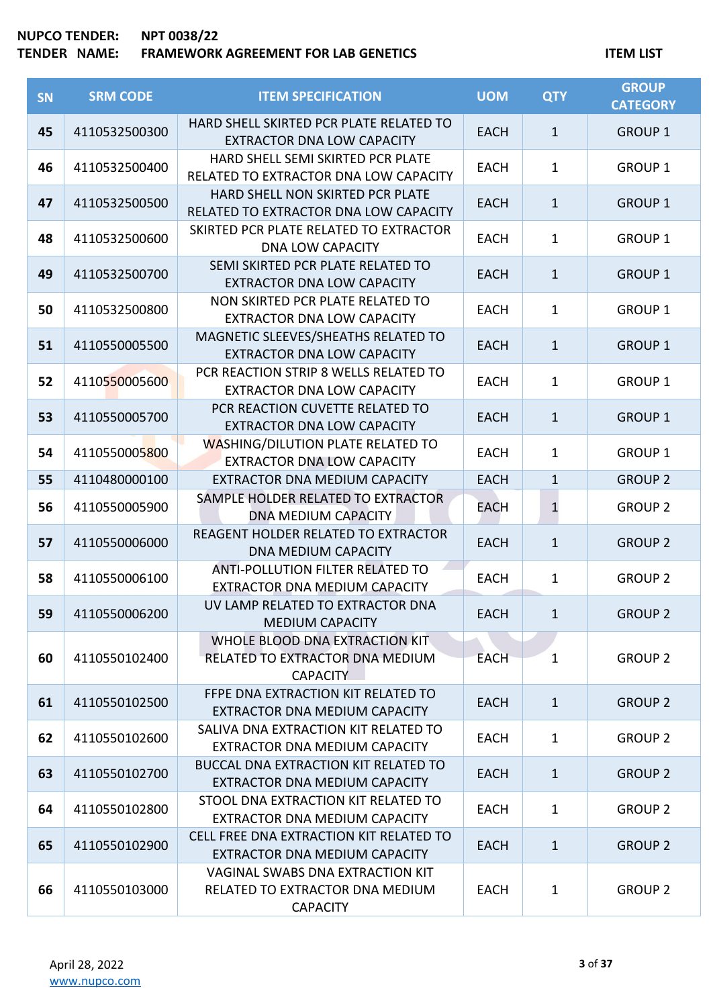| SN | <b>SRM CODE</b> | <b>ITEM SPECIFICATION</b>                                                                     | <b>UOM</b>  | <b>QTY</b>   | <b>GROUP</b><br><b>CATEGORY</b> |
|----|-----------------|-----------------------------------------------------------------------------------------------|-------------|--------------|---------------------------------|
| 45 | 4110532500300   | HARD SHELL SKIRTED PCR PLATE RELATED TO<br><b>EXTRACTOR DNA LOW CAPACITY</b>                  | <b>EACH</b> | $\mathbf{1}$ | <b>GROUP 1</b>                  |
| 46 | 4110532500400   | HARD SHELL SEMI SKIRTED PCR PLATE<br>RELATED TO EXTRACTOR DNA LOW CAPACITY                    | <b>EACH</b> | $\mathbf 1$  | <b>GROUP 1</b>                  |
| 47 | 4110532500500   | HARD SHELL NON SKIRTED PCR PLATE<br>RELATED TO EXTRACTOR DNA LOW CAPACITY                     | <b>EACH</b> | $\mathbf{1}$ | <b>GROUP 1</b>                  |
| 48 | 4110532500600   | SKIRTED PCR PLATE RELATED TO EXTRACTOR<br><b>DNA LOW CAPACITY</b>                             | <b>EACH</b> | $\mathbf{1}$ | <b>GROUP 1</b>                  |
| 49 | 4110532500700   | SEMI SKIRTED PCR PLATE RELATED TO<br><b>EXTRACTOR DNA LOW CAPACITY</b>                        | <b>EACH</b> | $\mathbf{1}$ | <b>GROUP 1</b>                  |
| 50 | 4110532500800   | NON SKIRTED PCR PLATE RELATED TO<br><b>EXTRACTOR DNA LOW CAPACITY</b>                         | <b>EACH</b> | $\mathbf{1}$ | <b>GROUP 1</b>                  |
| 51 | 4110550005500   | MAGNETIC SLEEVES/SHEATHS RELATED TO<br><b>EXTRACTOR DNA LOW CAPACITY</b>                      | <b>EACH</b> | $\mathbf{1}$ | <b>GROUP 1</b>                  |
| 52 | 4110550005600   | PCR REACTION STRIP 8 WELLS RELATED TO<br><b>EXTRACTOR DNA LOW CAPACITY</b>                    | <b>EACH</b> | $\mathbf{1}$ | <b>GROUP 1</b>                  |
| 53 | 4110550005700   | PCR REACTION CUVETTE RELATED TO<br><b>EXTRACTOR DNA LOW CAPACITY</b>                          | <b>EACH</b> | $\mathbf{1}$ | <b>GROUP 1</b>                  |
| 54 | 4110550005800   | <b>WASHING/DILUTION PLATE RELATED TO</b><br><b>EXTRACTOR DNA LOW CAPACITY</b>                 | <b>EACH</b> | $\mathbf{1}$ | <b>GROUP 1</b>                  |
| 55 | 4110480000100   | EXTRACTOR DNA MEDIUM CAPACITY                                                                 | <b>EACH</b> | $\mathbf 1$  | <b>GROUP 2</b>                  |
| 56 | 4110550005900   | SAMPLE HOLDER RELATED TO EXTRACTOR<br><b>DNA MEDIUM CAPACITY</b>                              | EACH        | $\mathbf{1}$ | <b>GROUP 2</b>                  |
| 57 | 4110550006000   | REAGENT HOLDER RELATED TO EXTRACTOR<br><b>DNA MEDIUM CAPACITY</b>                             | <b>EACH</b> | $\mathbf{1}$ | <b>GROUP 2</b>                  |
| 58 | 4110550006100   | <b>ANTI-POLLUTION FILTER RELATED TO</b><br>EXTRACTOR DNA MEDIUM CAPACITY                      | <b>EACH</b> | $\mathbf{1}$ | <b>GROUP 2</b>                  |
| 59 | 4110550006200   | UV LAMP RELATED TO EXTRACTOR DNA<br><b>MEDIUM CAPACITY</b>                                    | <b>EACH</b> | $\mathbf{1}$ | <b>GROUP 2</b>                  |
| 60 | 4110550102400   | WHOLE BLOOD DNA EXTRACTION KIT.<br>RELATED TO EXTRACTOR DNA MEDIUM<br><b>CAPACITY</b>         | <b>EACH</b> | 1            | <b>GROUP 2</b>                  |
| 61 | 4110550102500   | FFPE DNA EXTRACTION KIT RELATED TO<br>EXTRACTOR DNA MEDIUM CAPACITY                           | <b>EACH</b> | $\mathbf{1}$ | <b>GROUP 2</b>                  |
| 62 | 4110550102600   | SALIVA DNA EXTRACTION KIT RELATED TO<br>EXTRACTOR DNA MEDIUM CAPACITY                         | <b>EACH</b> | $\mathbf{1}$ | <b>GROUP 2</b>                  |
| 63 | 4110550102700   | <b>BUCCAL DNA EXTRACTION KIT RELATED TO</b><br>EXTRACTOR DNA MEDIUM CAPACITY                  | <b>EACH</b> | $\mathbf{1}$ | <b>GROUP 2</b>                  |
| 64 | 4110550102800   | STOOL DNA EXTRACTION KIT RELATED TO<br>EXTRACTOR DNA MEDIUM CAPACITY                          | <b>EACH</b> | $\mathbf{1}$ | <b>GROUP 2</b>                  |
| 65 | 4110550102900   | CELL FREE DNA EXTRACTION KIT RELATED TO<br>EXTRACTOR DNA MEDIUM CAPACITY                      | <b>EACH</b> | $\mathbf{1}$ | <b>GROUP 2</b>                  |
| 66 | 4110550103000   | <b>VAGINAL SWABS DNA EXTRACTION KIT</b><br>RELATED TO EXTRACTOR DNA MEDIUM<br><b>CAPACITY</b> | <b>EACH</b> | $\mathbf{1}$ | <b>GROUP 2</b>                  |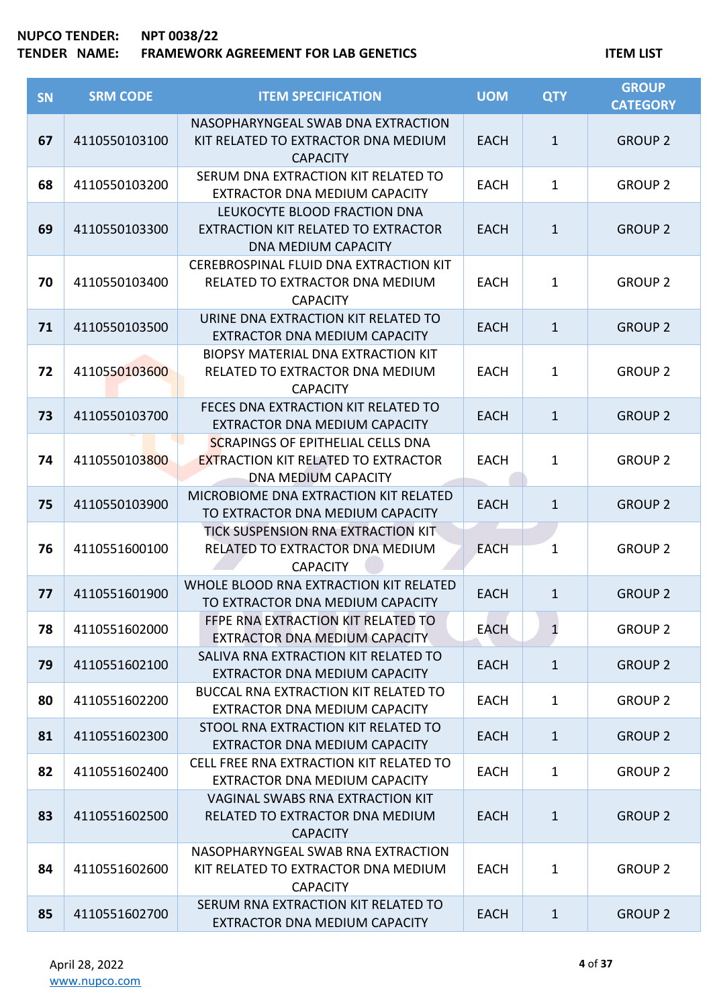| SN | <b>SRM CODE</b> | <b>ITEM SPECIFICATION</b>                                                                                            | <b>UOM</b>  | <b>QTY</b>   | <b>GROUP</b><br><b>CATEGORY</b> |
|----|-----------------|----------------------------------------------------------------------------------------------------------------------|-------------|--------------|---------------------------------|
| 67 | 4110550103100   | NASOPHARYNGEAL SWAB DNA EXTRACTION<br>KIT RELATED TO EXTRACTOR DNA MEDIUM<br><b>CAPACITY</b>                         | <b>EACH</b> | $\mathbf{1}$ | <b>GROUP 2</b>                  |
| 68 | 4110550103200   | SERUM DNA EXTRACTION KIT RELATED TO<br>EXTRACTOR DNA MEDIUM CAPACITY                                                 | <b>EACH</b> | $\mathbf{1}$ | <b>GROUP 2</b>                  |
| 69 | 4110550103300   | LEUKOCYTE BLOOD FRACTION DNA<br>EXTRACTION KIT RELATED TO EXTRACTOR<br>DNA MEDIUM CAPACITY                           | <b>EACH</b> | $\mathbf{1}$ | <b>GROUP 2</b>                  |
| 70 | 4110550103400   | CEREBROSPINAL FLUID DNA EXTRACTION KIT<br>RELATED TO EXTRACTOR DNA MEDIUM<br><b>CAPACITY</b>                         | <b>EACH</b> | $\mathbf{1}$ | <b>GROUP 2</b>                  |
| 71 | 4110550103500   | URINE DNA EXTRACTION KIT RELATED TO<br>EXTRACTOR DNA MEDIUM CAPACITY                                                 | <b>EACH</b> | $\mathbf{1}$ | <b>GROUP 2</b>                  |
| 72 | 4110550103600   | <b>BIOPSY MATERIAL DNA EXTRACTION KIT</b><br>RELATED TO EXTRACTOR DNA MEDIUM<br><b>CAPACITY</b>                      | <b>EACH</b> | $\mathbf{1}$ | <b>GROUP 2</b>                  |
| 73 | 4110550103700   | FECES DNA EXTRACTION KIT RELATED TO<br>EXTRACTOR DNA MEDIUM CAPACITY                                                 | <b>EACH</b> | $\mathbf{1}$ | <b>GROUP 2</b>                  |
| 74 | 4110550103800   | <b>SCRAPINGS OF EPITHELIAL CELLS DNA</b><br><b>EXTRACTION KIT RELATED TO EXTRACTOR</b><br><b>DNA MEDIUM CAPACITY</b> | <b>EACH</b> | $\mathbf{1}$ | <b>GROUP 2</b>                  |
| 75 | 4110550103900   | MICROBIOME DNA EXTRACTION KIT RELATED<br>TO EXTRACTOR DNA MEDIUM CAPACITY                                            | <b>EACH</b> | $\mathbf{1}$ | <b>GROUP 2</b>                  |
| 76 | 4110551600100   | TICK SUSPENSION RNA EXTRACTION KIT<br>RELATED TO EXTRACTOR DNA MEDIUM<br><b>CAPACITY</b>                             | <b>EACH</b> | $\mathbf{1}$ | <b>GROUP 2</b>                  |
| 77 | 4110551601900   | WHOLE BLOOD RNA EXTRACTION KIT RELATED<br>TO EXTRACTOR DNA MEDIUM CAPACITY                                           | <b>EACH</b> | $\mathbf{1}$ | <b>GROUP 2</b>                  |
| 78 | 4110551602000   | FFPE RNA EXTRACTION KIT RELATED TO<br>EXTRACTOR DNA MEDIUM CAPACITY                                                  | <b>EACH</b> | $\mathbf{1}$ | <b>GROUP 2</b>                  |
| 79 | 4110551602100   | SALIVA RNA EXTRACTION KIT RELATED TO<br>EXTRACTOR DNA MEDIUM CAPACITY                                                | <b>EACH</b> | $\mathbf{1}$ | <b>GROUP 2</b>                  |
| 80 | 4110551602200   | <b>BUCCAL RNA EXTRACTION KIT RELATED TO</b><br>EXTRACTOR DNA MEDIUM CAPACITY                                         | <b>EACH</b> | $\mathbf{1}$ | <b>GROUP 2</b>                  |
| 81 | 4110551602300   | STOOL RNA EXTRACTION KIT RELATED TO<br>EXTRACTOR DNA MEDIUM CAPACITY                                                 | <b>EACH</b> | $\mathbf{1}$ | <b>GROUP 2</b>                  |
| 82 | 4110551602400   | CELL FREE RNA EXTRACTION KIT RELATED TO<br>EXTRACTOR DNA MEDIUM CAPACITY                                             | <b>EACH</b> | $\mathbf{1}$ | <b>GROUP 2</b>                  |
| 83 | 4110551602500   | VAGINAL SWABS RNA EXTRACTION KIT<br>RELATED TO EXTRACTOR DNA MEDIUM<br><b>CAPACITY</b>                               | <b>EACH</b> | $\mathbf{1}$ | <b>GROUP 2</b>                  |
| 84 | 4110551602600   | NASOPHARYNGEAL SWAB RNA EXTRACTION<br>KIT RELATED TO EXTRACTOR DNA MEDIUM<br><b>CAPACITY</b>                         | <b>EACH</b> | $\mathbf{1}$ | <b>GROUP 2</b>                  |
| 85 | 4110551602700   | SERUM RNA EXTRACTION KIT RELATED TO<br>EXTRACTOR DNA MEDIUM CAPACITY                                                 | <b>EACH</b> | $\mathbf{1}$ | <b>GROUP 2</b>                  |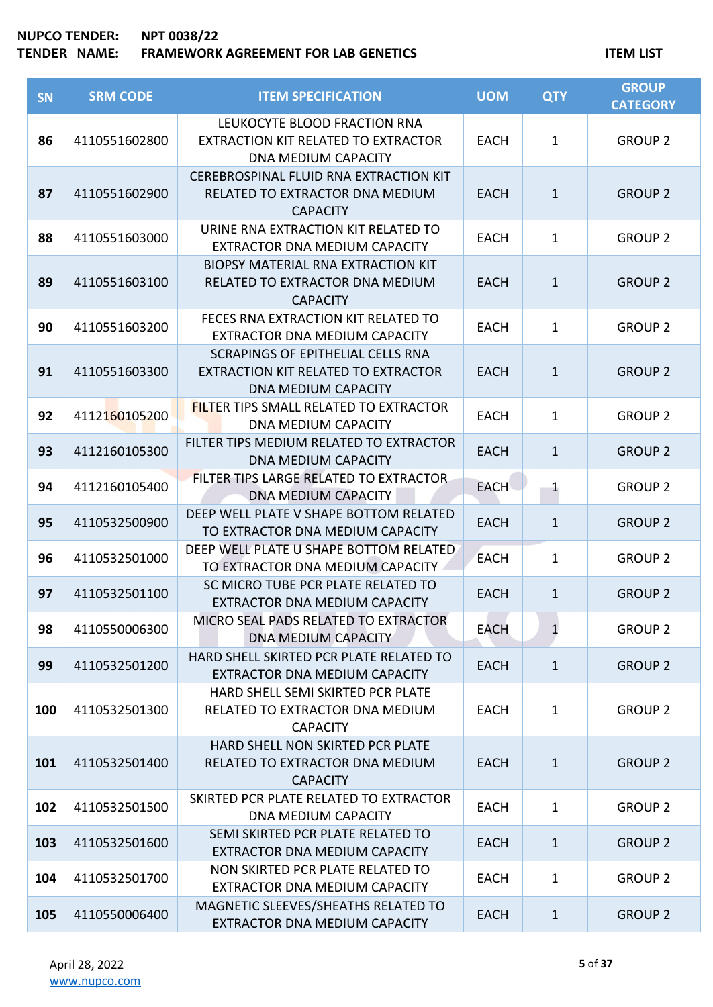| <b>SN</b> | <b>SRM CODE</b> | <b>ITEM SPECIFICATION</b>                                                                                     | <b>UOM</b>  | <b>QTY</b>   | <b>GROUP</b><br><b>CATEGORY</b> |
|-----------|-----------------|---------------------------------------------------------------------------------------------------------------|-------------|--------------|---------------------------------|
| 86        | 4110551602800   | LEUKOCYTE BLOOD FRACTION RNA<br>EXTRACTION KIT RELATED TO EXTRACTOR<br>DNA MEDIUM CAPACITY                    | <b>EACH</b> | $\mathbf{1}$ | <b>GROUP 2</b>                  |
| 87        | 4110551602900   | CEREBROSPINAL FLUID RNA EXTRACTION KIT<br>RELATED TO EXTRACTOR DNA MEDIUM<br><b>CAPACITY</b>                  | <b>EACH</b> | $\mathbf{1}$ | <b>GROUP 2</b>                  |
| 88        | 4110551603000   | URINE RNA EXTRACTION KIT RELATED TO<br>EXTRACTOR DNA MEDIUM CAPACITY                                          | <b>EACH</b> | $\mathbf{1}$ | <b>GROUP 2</b>                  |
| 89        | 4110551603100   | <b>BIOPSY MATERIAL RNA EXTRACTION KIT</b><br>RELATED TO EXTRACTOR DNA MEDIUM<br><b>CAPACITY</b>               | <b>EACH</b> | $\mathbf{1}$ | <b>GROUP 2</b>                  |
| 90        | 4110551603200   | FECES RNA EXTRACTION KIT RELATED TO<br>EXTRACTOR DNA MEDIUM CAPACITY                                          | <b>EACH</b> | $\mathbf{1}$ | <b>GROUP 2</b>                  |
| 91        | 4110551603300   | <b>SCRAPINGS OF EPITHELIAL CELLS RNA</b><br>EXTRACTION KIT RELATED TO EXTRACTOR<br><b>DNA MEDIUM CAPACITY</b> | <b>EACH</b> | $\mathbf{1}$ | <b>GROUP 2</b>                  |
| 92        | 4112160105200   | <b>FILTER TIPS SMALL RELATED TO EXTRACTOR</b><br><b>DNA MEDIUM CAPACITY</b>                                   | <b>EACH</b> | $\mathbf{1}$ | <b>GROUP 2</b>                  |
| 93        | 4112160105300   | FILTER TIPS MEDIUM RELATED TO EXTRACTOR<br><b>DNA MEDIUM CAPACITY</b>                                         | <b>EACH</b> | $\mathbf{1}$ | <b>GROUP 2</b>                  |
| 94        | 4112160105400   | FILTER TIPS LARGE RELATED TO EXTRACTOR<br><b>DNA MEDIUM CAPACITY</b>                                          | <b>EACH</b> | $\mathbf{1}$ | <b>GROUP 2</b>                  |
| 95        | 4110532500900   | DEEP WELL PLATE V SHAPE BOTTOM RELATED<br>TO EXTRACTOR DNA MEDIUM CAPACITY                                    | <b>EACH</b> | $\mathbf{1}$ | <b>GROUP 2</b>                  |
| 96        | 4110532501000   | DEEP WELL PLATE U SHAPE BOTTOM RELATED<br>TO EXTRACTOR DNA MEDIUM CAPACITY                                    | <b>EACH</b> | $\mathbf{1}$ | <b>GROUP 2</b>                  |
| 97        | 4110532501100   | SC MICRO TUBE PCR PLATE RELATED TO<br>EXTRACTOR DNA MEDIUM CAPACITY                                           | <b>EACH</b> | $\mathbf{1}$ | <b>GROUP 2</b>                  |
| 98        | 4110550006300   | MICRO SEAL PADS RELATED TO EXTRACTOR<br><b>DNA MEDIUM CAPACITY</b>                                            | <b>EACH</b> | $\mathbf{1}$ | <b>GROUP 2</b>                  |
| 99        | 4110532501200   | HARD SHELL SKIRTED PCR PLATE RELATED TO<br>EXTRACTOR DNA MEDIUM CAPACITY                                      | <b>EACH</b> | $\mathbf{1}$ | <b>GROUP 2</b>                  |
| 100       | 4110532501300   | HARD SHELL SEMI SKIRTED PCR PLATE<br>RELATED TO EXTRACTOR DNA MEDIUM<br><b>CAPACITY</b>                       | <b>EACH</b> | $\mathbf{1}$ | <b>GROUP 2</b>                  |
| 101       | 4110532501400   | HARD SHELL NON SKIRTED PCR PLATE<br>RELATED TO EXTRACTOR DNA MEDIUM<br><b>CAPACITY</b>                        | <b>EACH</b> | $\mathbf{1}$ | <b>GROUP 2</b>                  |
| 102       | 4110532501500   | SKIRTED PCR PLATE RELATED TO EXTRACTOR<br>DNA MEDIUM CAPACITY                                                 | <b>EACH</b> | $\mathbf{1}$ | <b>GROUP 2</b>                  |
| 103       | 4110532501600   | SEMI SKIRTED PCR PLATE RELATED TO<br>EXTRACTOR DNA MEDIUM CAPACITY                                            | <b>EACH</b> | $\mathbf{1}$ | <b>GROUP 2</b>                  |
| 104       | 4110532501700   | NON SKIRTED PCR PLATE RELATED TO<br>EXTRACTOR DNA MEDIUM CAPACITY                                             | <b>EACH</b> | $\mathbf{1}$ | <b>GROUP 2</b>                  |
| 105       | 4110550006400   | MAGNETIC SLEEVES/SHEATHS RELATED TO<br>EXTRACTOR DNA MEDIUM CAPACITY                                          | <b>EACH</b> | $\mathbf{1}$ | <b>GROUP 2</b>                  |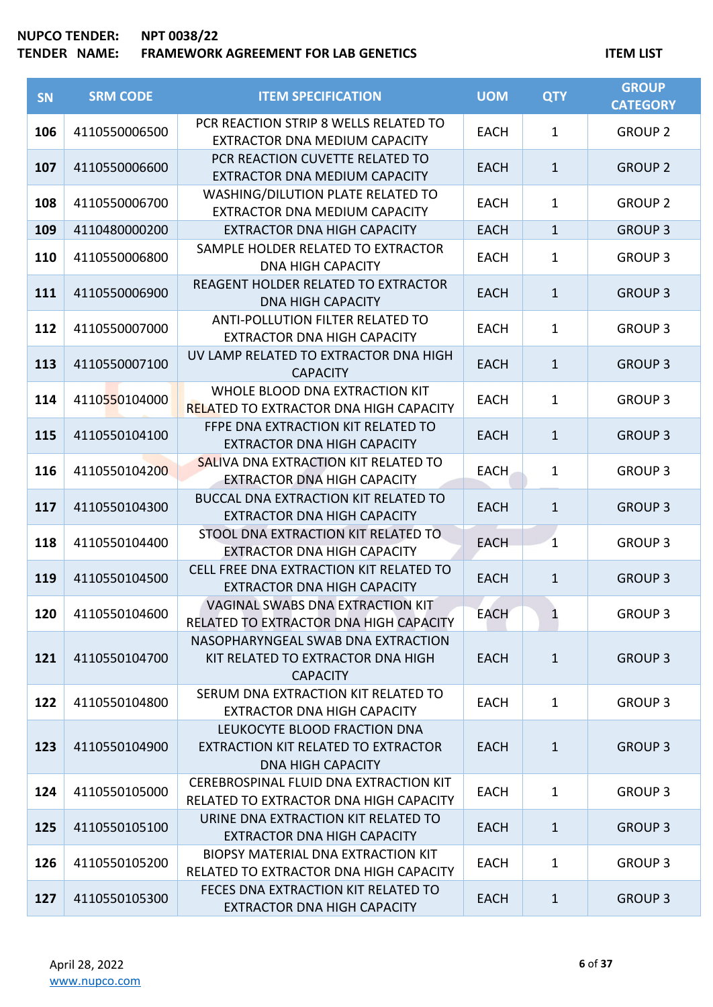| SN  | <b>SRM CODE</b> | <b>ITEM SPECIFICATION</b>                                                                       | <b>UOM</b>  | <b>QTY</b>              | <b>GROUP</b><br><b>CATEGORY</b> |
|-----|-----------------|-------------------------------------------------------------------------------------------------|-------------|-------------------------|---------------------------------|
| 106 | 4110550006500   | PCR REACTION STRIP 8 WELLS RELATED TO<br>EXTRACTOR DNA MEDIUM CAPACITY                          | <b>EACH</b> | 1                       | <b>GROUP 2</b>                  |
| 107 | 4110550006600   | PCR REACTION CUVETTE RELATED TO<br>EXTRACTOR DNA MEDIUM CAPACITY                                | <b>EACH</b> | $\mathbf{1}$            | <b>GROUP 2</b>                  |
| 108 | 4110550006700   | WASHING/DILUTION PLATE RELATED TO<br>EXTRACTOR DNA MEDIUM CAPACITY                              | <b>EACH</b> | 1                       | <b>GROUP 2</b>                  |
| 109 | 4110480000200   | <b>EXTRACTOR DNA HIGH CAPACITY</b>                                                              | <b>EACH</b> | $\mathbf{1}$            | <b>GROUP 3</b>                  |
| 110 | 4110550006800   | SAMPLE HOLDER RELATED TO EXTRACTOR<br><b>DNA HIGH CAPACITY</b>                                  | <b>EACH</b> | 1                       | <b>GROUP 3</b>                  |
| 111 | 4110550006900   | REAGENT HOLDER RELATED TO EXTRACTOR<br><b>DNA HIGH CAPACITY</b>                                 | <b>EACH</b> | $\mathbf{1}$            | <b>GROUP 3</b>                  |
| 112 | 4110550007000   | ANTI-POLLUTION FILTER RELATED TO<br><b>EXTRACTOR DNA HIGH CAPACITY</b>                          | <b>EACH</b> | $\mathbf{1}$            | <b>GROUP 3</b>                  |
| 113 | 4110550007100   | UV LAMP RELATED TO EXTRACTOR DNA HIGH<br><b>CAPACITY</b>                                        | <b>EACH</b> | $\mathbf{1}$            | <b>GROUP 3</b>                  |
| 114 | 4110550104000   | WHOLE BLOOD DNA EXTRACTION KIT<br><b>RELATED TO EXTRACTOR DNA HIGH CAPACITY</b>                 | <b>EACH</b> | $\mathbf{1}$            | <b>GROUP 3</b>                  |
| 115 | 4110550104100   | FFPE DNA EXTRACTION KIT RELATED TO<br><b>EXTRACTOR DNA HIGH CAPACITY</b>                        | <b>EACH</b> | $\mathbf{1}$            | <b>GROUP 3</b>                  |
| 116 | 4110550104200   | SALIVA DNA EXTRACTION KIT RELATED TO<br><b>EXTRACTOR DNA HIGH CAPACITY</b>                      | <b>EACH</b> | 1                       | <b>GROUP 3</b>                  |
| 117 | 4110550104300   | BUCCAL DNA EXTRACTION KIT RELATED TO<br><b>EXTRACTOR DNA HIGH CAPACITY</b>                      | <b>EACH</b> | $\mathbf{1}$            | <b>GROUP 3</b>                  |
| 118 | 4110550104400   | STOOL DNA EXTRACTION KIT RELATED TO<br><b>EXTRACTOR DNA HIGH CAPACITY</b>                       | <b>EACH</b> | $\overline{\mathbf{1}}$ | <b>GROUP 3</b>                  |
| 119 | 4110550104500   | CELL FREE DNA EXTRACTION KIT RELATED TO<br><b>EXTRACTOR DNA HIGH CAPACITY</b>                   | <b>EACH</b> | $\mathbf{1}$            | <b>GROUP 3</b>                  |
| 120 | 4110550104600   | VAGINAL SWABS DNA EXTRACTION KIT<br>RELATED TO EXTRACTOR DNA HIGH CAPACITY                      | <b>EACH</b> | 1                       | <b>GROUP 3</b>                  |
| 121 | 4110550104700   | NASOPHARYNGEAL SWAB DNA EXTRACTION<br>KIT RELATED TO EXTRACTOR DNA HIGH<br><b>CAPACITY</b>      | <b>EACH</b> | $\mathbf{1}$            | <b>GROUP 3</b>                  |
| 122 | 4110550104800   | SERUM DNA EXTRACTION KIT RELATED TO<br><b>EXTRACTOR DNA HIGH CAPACITY</b>                       | <b>EACH</b> | $\mathbf{1}$            | <b>GROUP 3</b>                  |
| 123 | 4110550104900   | LEUKOCYTE BLOOD FRACTION DNA<br>EXTRACTION KIT RELATED TO EXTRACTOR<br><b>DNA HIGH CAPACITY</b> | <b>EACH</b> | $\mathbf{1}$            | <b>GROUP 3</b>                  |
| 124 | 4110550105000   | CEREBROSPINAL FLUID DNA EXTRACTION KIT<br>RELATED TO EXTRACTOR DNA HIGH CAPACITY                | <b>EACH</b> | $\mathbf{1}$            | <b>GROUP 3</b>                  |
| 125 | 4110550105100   | URINE DNA EXTRACTION KIT RELATED TO<br><b>EXTRACTOR DNA HIGH CAPACITY</b>                       | <b>EACH</b> | $\mathbf{1}$            | <b>GROUP 3</b>                  |
| 126 | 4110550105200   | BIOPSY MATERIAL DNA EXTRACTION KIT<br>RELATED TO EXTRACTOR DNA HIGH CAPACITY                    | <b>EACH</b> | $\mathbf{1}$            | <b>GROUP 3</b>                  |
| 127 | 4110550105300   | FECES DNA EXTRACTION KIT RELATED TO<br><b>EXTRACTOR DNA HIGH CAPACITY</b>                       | <b>EACH</b> | $\mathbf{1}$            | <b>GROUP 3</b>                  |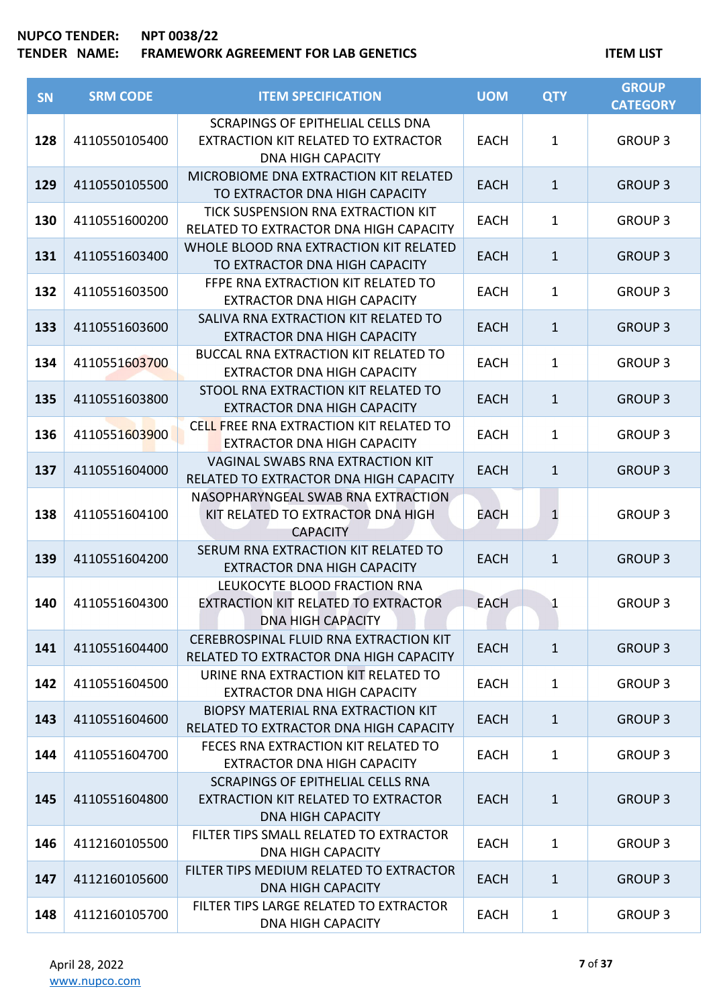| SN  | <b>SRM CODE</b> | <b>ITEM SPECIFICATION</b>                                                                            | <b>UOM</b>  | <b>QTY</b>   | <b>GROUP</b><br><b>CATEGORY</b> |
|-----|-----------------|------------------------------------------------------------------------------------------------------|-------------|--------------|---------------------------------|
| 128 | 4110550105400   | SCRAPINGS OF EPITHELIAL CELLS DNA<br>EXTRACTION KIT RELATED TO EXTRACTOR<br><b>DNA HIGH CAPACITY</b> | <b>EACH</b> | $\mathbf{1}$ | <b>GROUP 3</b>                  |
| 129 | 4110550105500   | MICROBIOME DNA EXTRACTION KIT RELATED<br>TO EXTRACTOR DNA HIGH CAPACITY                              | <b>EACH</b> | $\mathbf{1}$ | <b>GROUP 3</b>                  |
| 130 | 4110551600200   | TICK SUSPENSION RNA EXTRACTION KIT<br>RELATED TO EXTRACTOR DNA HIGH CAPACITY                         | <b>EACH</b> | $\mathbf{1}$ | <b>GROUP 3</b>                  |
| 131 | 4110551603400   | WHOLE BLOOD RNA EXTRACTION KIT RELATED<br>TO EXTRACTOR DNA HIGH CAPACITY                             | <b>EACH</b> | $\mathbf{1}$ | <b>GROUP 3</b>                  |
| 132 | 4110551603500   | FFPE RNA EXTRACTION KIT RELATED TO<br><b>EXTRACTOR DNA HIGH CAPACITY</b>                             | <b>EACH</b> | $\mathbf{1}$ | <b>GROUP 3</b>                  |
| 133 | 4110551603600   | SALIVA RNA EXTRACTION KIT RELATED TO<br><b>EXTRACTOR DNA HIGH CAPACITY</b>                           | <b>EACH</b> | $\mathbf{1}$ | <b>GROUP 3</b>                  |
| 134 | 4110551603700   | <b>BUCCAL RNA EXTRACTION KIT RELATED TO</b><br><b>EXTRACTOR DNA HIGH CAPACITY</b>                    | <b>EACH</b> | $\mathbf{1}$ | <b>GROUP 3</b>                  |
| 135 | 4110551603800   | STOOL RNA EXTRACTION KIT RELATED TO<br><b>EXTRACTOR DNA HIGH CAPACITY</b>                            | <b>EACH</b> | $\mathbf{1}$ | <b>GROUP 3</b>                  |
| 136 | 4110551603900   | CELL FREE RNA EXTRACTION KIT RELATED TO<br><b>EXTRACTOR DNA HIGH CAPACITY</b>                        | <b>EACH</b> | $\mathbf{1}$ | <b>GROUP 3</b>                  |
| 137 | 4110551604000   | VAGINAL SWABS RNA EXTRACTION KIT<br>RELATED TO EXTRACTOR DNA HIGH CAPACITY                           | <b>EACH</b> | $\mathbf{1}$ | <b>GROUP 3</b>                  |
| 138 | 4110551604100   | NASOPHARYNGEAL SWAB RNA EXTRACTION<br>KIT RELATED TO EXTRACTOR DNA HIGH<br><b>CAPACITY</b>           | EACH        | $\mathbf{1}$ | <b>GROUP 3</b>                  |
| 139 | 4110551604200   | SERUM RNA EXTRACTION KIT RELATED TO<br><b>EXTRACTOR DNA HIGH CAPACITY</b>                            | <b>EACH</b> | $\mathbf{1}$ | <b>GROUP 3</b>                  |
| 140 | 4110551604300   | LEUKOCYTE BLOOD FRACTION RNA<br>EXTRACTION KIT RELATED TO EXTRACTOR<br><b>DNA HIGH CAPACITY</b>      | <b>EACH</b> | $\mathbf 1$  | <b>GROUP 3</b>                  |
| 141 | 4110551604400   | CEREBROSPINAL FLUID RNA EXTRACTION KIT<br>RELATED TO EXTRACTOR DNA HIGH CAPACITY                     | <b>EACH</b> | $\mathbf{1}$ | <b>GROUP 3</b>                  |
| 142 | 4110551604500   | URINE RNA EXTRACTION KIT RELATED TO<br><b>EXTRACTOR DNA HIGH CAPACITY</b>                            | EACH        | $\mathbf{1}$ | <b>GROUP 3</b>                  |
| 143 | 4110551604600   | <b>BIOPSY MATERIAL RNA EXTRACTION KIT</b><br>RELATED TO EXTRACTOR DNA HIGH CAPACITY                  | <b>EACH</b> | $\mathbf{1}$ | <b>GROUP 3</b>                  |
| 144 | 4110551604700   | FECES RNA EXTRACTION KIT RELATED TO<br><b>EXTRACTOR DNA HIGH CAPACITY</b>                            | <b>EACH</b> | $\mathbf{1}$ | <b>GROUP 3</b>                  |
| 145 | 4110551604800   | SCRAPINGS OF EPITHELIAL CELLS RNA<br>EXTRACTION KIT RELATED TO EXTRACTOR<br><b>DNA HIGH CAPACITY</b> | <b>EACH</b> | $\mathbf{1}$ | <b>GROUP 3</b>                  |
| 146 | 4112160105500   | FILTER TIPS SMALL RELATED TO EXTRACTOR<br><b>DNA HIGH CAPACITY</b>                                   | <b>EACH</b> | $\mathbf{1}$ | <b>GROUP 3</b>                  |
| 147 | 4112160105600   | FILTER TIPS MEDIUM RELATED TO EXTRACTOR<br><b>DNA HIGH CAPACITY</b>                                  | <b>EACH</b> | $\mathbf{1}$ | <b>GROUP 3</b>                  |
| 148 | 4112160105700   | FILTER TIPS LARGE RELATED TO EXTRACTOR<br><b>DNA HIGH CAPACITY</b>                                   | <b>EACH</b> | $\mathbf{1}$ | <b>GROUP 3</b>                  |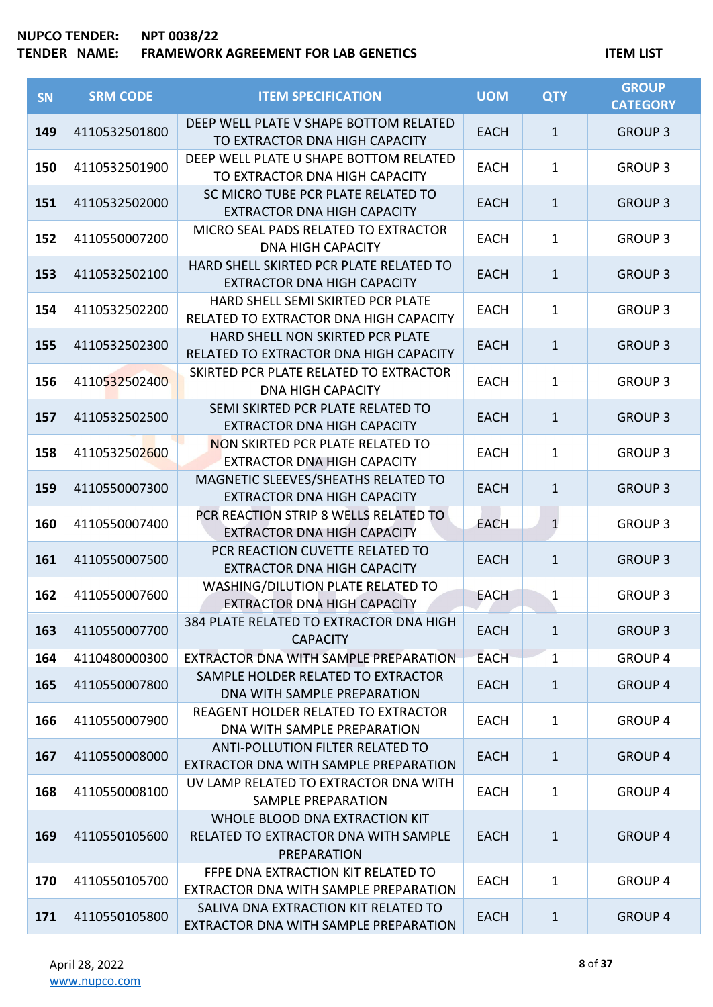| <b>SN</b> | <b>SRM CODE</b> | <b>ITEM SPECIFICATION</b>                                                                    | <b>UOM</b>  | <b>QTY</b>   | <b>GROUP</b><br><b>CATEGORY</b> |
|-----------|-----------------|----------------------------------------------------------------------------------------------|-------------|--------------|---------------------------------|
| 149       | 4110532501800   | DEEP WELL PLATE V SHAPE BOTTOM RELATED<br>TO EXTRACTOR DNA HIGH CAPACITY                     | <b>EACH</b> | $\mathbf{1}$ | <b>GROUP 3</b>                  |
| 150       | 4110532501900   | DEEP WELL PLATE U SHAPE BOTTOM RELATED<br>TO EXTRACTOR DNA HIGH CAPACITY                     | <b>EACH</b> | $\mathbf{1}$ | <b>GROUP 3</b>                  |
| 151       | 4110532502000   | SC MICRO TUBE PCR PLATE RELATED TO<br><b>EXTRACTOR DNA HIGH CAPACITY</b>                     | <b>EACH</b> | $\mathbf{1}$ | <b>GROUP 3</b>                  |
| 152       | 4110550007200   | MICRO SEAL PADS RELATED TO EXTRACTOR<br><b>DNA HIGH CAPACITY</b>                             | <b>EACH</b> | $\mathbf{1}$ | <b>GROUP 3</b>                  |
| 153       | 4110532502100   | HARD SHELL SKIRTED PCR PLATE RELATED TO<br><b>EXTRACTOR DNA HIGH CAPACITY</b>                | <b>EACH</b> | $\mathbf{1}$ | <b>GROUP 3</b>                  |
| 154       | 4110532502200   | HARD SHELL SEMI SKIRTED PCR PLATE<br>RELATED TO EXTRACTOR DNA HIGH CAPACITY                  | <b>EACH</b> | $\mathbf{1}$ | <b>GROUP 3</b>                  |
| 155       | 4110532502300   | HARD SHELL NON SKIRTED PCR PLATE<br>RELATED TO EXTRACTOR DNA HIGH CAPACITY                   | <b>EACH</b> | $\mathbf{1}$ | <b>GROUP 3</b>                  |
| 156       | 4110532502400   | SKIRTED PCR PLATE RELATED TO EXTRACTOR<br><b>DNA HIGH CAPACITY</b>                           | <b>EACH</b> | $\mathbf{1}$ | <b>GROUP 3</b>                  |
| 157       | 4110532502500   | SEMI SKIRTED PCR PLATE RELATED TO<br><b>EXTRACTOR DNA HIGH CAPACITY</b>                      | <b>EACH</b> | $\mathbf{1}$ | <b>GROUP 3</b>                  |
| 158       | 4110532502600   | NON SKIRTED PCR PLATE RELATED TO<br><b>EXTRACTOR DNA HIGH CAPACITY</b>                       | <b>EACH</b> | $\mathbf{1}$ | <b>GROUP 3</b>                  |
| 159       | 4110550007300   | MAGNETIC SLEEVES/SHEATHS RELATED TO<br><b>EXTRACTOR DNA HIGH CAPACITY</b>                    | <b>EACH</b> | $\mathbf{1}$ | <b>GROUP 3</b>                  |
| 160       | 4110550007400   | PCR REACTION STRIP 8 WELLS RELATED TO<br><b>EXTRACTOR DNA HIGH CAPACITY</b>                  | <b>EACH</b> | $\mathbf{1}$ | <b>GROUP 3</b>                  |
| 161       | 4110550007500   | PCR REACTION CUVETTE RELATED TO<br><b>EXTRACTOR DNA HIGH CAPACITY</b>                        | <b>EACH</b> | $\mathbf{1}$ | <b>GROUP 3</b>                  |
| 162       | 4110550007600   | WASHING/DILUTION PLATE RELATED TO<br><b>EXTRACTOR DNA HIGH CAPACITY</b>                      | <b>EACH</b> | $\mathbf{1}$ | <b>GROUP 3</b>                  |
| 163       | 4110550007700   | 384 PLATE RELATED TO EXTRACTOR DNA HIGH<br><b>CAPACITY</b>                                   | <b>EACH</b> | $\mathbf{1}$ | <b>GROUP 3</b>                  |
| 164       | 4110480000300   | EXTRACTOR DNA WITH SAMPLE PREPARATION                                                        | <b>EACH</b> | 1            | <b>GROUP 4</b>                  |
| 165       | 4110550007800   | SAMPLE HOLDER RELATED TO EXTRACTOR<br>DNA WITH SAMPLE PREPARATION                            | <b>EACH</b> | $\mathbf{1}$ | <b>GROUP 4</b>                  |
| 166       | 4110550007900   | <b>REAGENT HOLDER RELATED TO EXTRACTOR</b><br>DNA WITH SAMPLE PREPARATION                    | <b>EACH</b> | $\mathbf{1}$ | <b>GROUP 4</b>                  |
| 167       | 4110550008000   | ANTI-POLLUTION FILTER RELATED TO<br>EXTRACTOR DNA WITH SAMPLE PREPARATION                    | <b>EACH</b> | $\mathbf{1}$ | <b>GROUP 4</b>                  |
| 168       | 4110550008100   | UV LAMP RELATED TO EXTRACTOR DNA WITH<br>SAMPLE PREPARATION                                  | <b>EACH</b> | $\mathbf{1}$ | <b>GROUP 4</b>                  |
| 169       | 4110550105600   | WHOLE BLOOD DNA EXTRACTION KIT<br>RELATED TO EXTRACTOR DNA WITH SAMPLE<br><b>PREPARATION</b> | <b>EACH</b> | $\mathbf{1}$ | <b>GROUP 4</b>                  |
| 170       | 4110550105700   | FFPE DNA EXTRACTION KIT RELATED TO<br>EXTRACTOR DNA WITH SAMPLE PREPARATION                  | <b>EACH</b> | $\mathbf{1}$ | <b>GROUP 4</b>                  |
| 171       | 4110550105800   | SALIVA DNA EXTRACTION KIT RELATED TO<br>EXTRACTOR DNA WITH SAMPLE PREPARATION                | <b>EACH</b> | $\mathbf{1}$ | <b>GROUP 4</b>                  |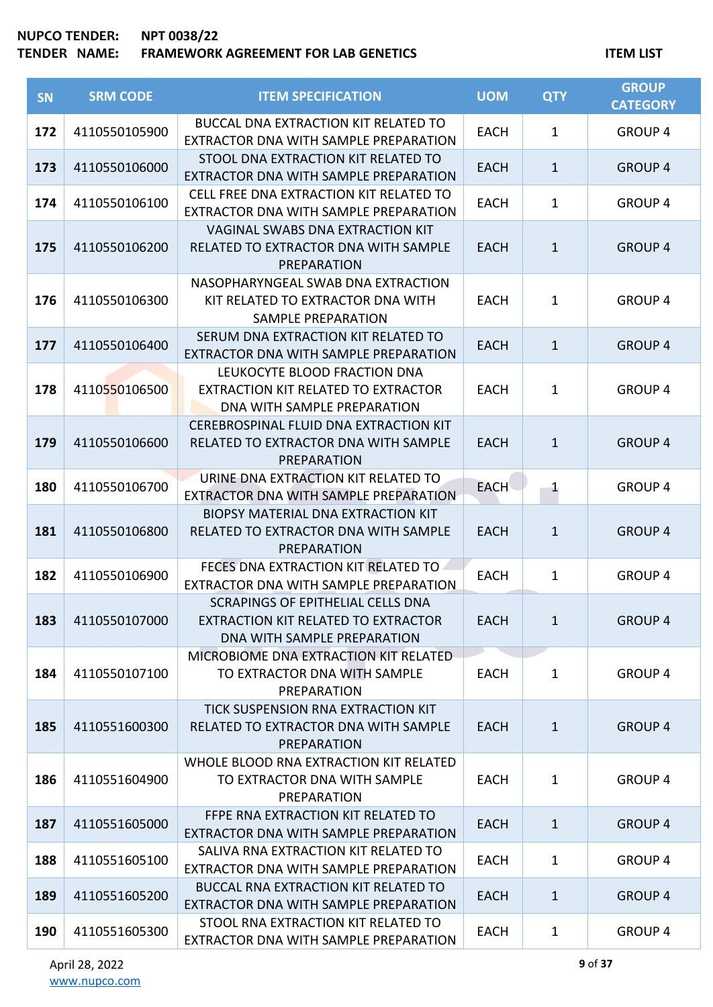| <b>SN</b> | <b>SRM CODE</b> | <b>ITEM SPECIFICATION</b>                                                                               | <b>UOM</b>  | <b>QTY</b>   | <b>GROUP</b><br><b>CATEGORY</b> |
|-----------|-----------------|---------------------------------------------------------------------------------------------------------|-------------|--------------|---------------------------------|
| 172       | 4110550105900   | <b>BUCCAL DNA EXTRACTION KIT RELATED TO</b><br>EXTRACTOR DNA WITH SAMPLE PREPARATION                    | <b>EACH</b> | $\mathbf{1}$ | <b>GROUP 4</b>                  |
| 173       | 4110550106000   | STOOL DNA EXTRACTION KIT RELATED TO<br>EXTRACTOR DNA WITH SAMPLE PREPARATION                            | <b>EACH</b> | $\mathbf{1}$ | <b>GROUP 4</b>                  |
| 174       | 4110550106100   | CELL FREE DNA EXTRACTION KIT RELATED TO<br>EXTRACTOR DNA WITH SAMPLE PREPARATION                        | <b>EACH</b> | $\mathbf{1}$ | <b>GROUP 4</b>                  |
| 175       | 4110550106200   | VAGINAL SWABS DNA EXTRACTION KIT<br>RELATED TO EXTRACTOR DNA WITH SAMPLE<br>PREPARATION                 | <b>EACH</b> | $\mathbf{1}$ | <b>GROUP 4</b>                  |
| 176       | 4110550106300   | NASOPHARYNGEAL SWAB DNA EXTRACTION<br>KIT RELATED TO EXTRACTOR DNA WITH<br><b>SAMPLE PREPARATION</b>    | <b>EACH</b> | $\mathbf{1}$ | <b>GROUP 4</b>                  |
| 177       | 4110550106400   | SERUM DNA EXTRACTION KIT RELATED TO<br>EXTRACTOR DNA WITH SAMPLE PREPARATION                            | <b>EACH</b> | $\mathbf{1}$ | <b>GROUP 4</b>                  |
| 178       | 4110550106500   | LEUKOCYTE BLOOD FRACTION DNA<br>EXTRACTION KIT RELATED TO EXTRACTOR<br>DNA WITH SAMPLE PREPARATION      | <b>EACH</b> | $\mathbf{1}$ | <b>GROUP 4</b>                  |
| 179       | 4110550106600   | CEREBROSPINAL FLUID DNA EXTRACTION KIT<br>RELATED TO EXTRACTOR DNA WITH SAMPLE<br><b>PREPARATION</b>    | <b>EACH</b> | $\mathbf{1}$ | <b>GROUP 4</b>                  |
| 180       | 4110550106700   | URINE DNA EXTRACTION KIT RELATED TO<br>EXTRACTOR DNA WITH SAMPLE PREPARATION                            | <b>EACH</b> | $\mathbf{1}$ | <b>GROUP 4</b>                  |
| 181       | 4110550106800   | BIOPSY MATERIAL DNA EXTRACTION KIT<br>RELATED TO EXTRACTOR DNA WITH SAMPLE<br>PREPARATION               | <b>EACH</b> | $\mathbf{1}$ | <b>GROUP 4</b>                  |
| 182       | 4110550106900   | FECES DNA EXTRACTION KIT RELATED TO<br>EXTRACTOR DNA WITH SAMPLE PREPARATION                            | <b>EACH</b> | $\mathbf{1}$ | <b>GROUP 4</b>                  |
| 183       | 4110550107000   | SCRAPINGS OF EPITHELIAL CELLS DNA<br>EXTRACTION KIT RELATED TO EXTRACTOR<br>DNA WITH SAMPLE PREPARATION | <b>EACH</b> | $\mathbf{1}$ | <b>GROUP 4</b>                  |
| 184       | 4110550107100   | MICROBIOME DNA EXTRACTION KIT RELATED<br>TO EXTRACTOR DNA WITH SAMPLE<br>PREPARATION                    | <b>EACH</b> | $\mathbf{1}$ | <b>GROUP 4</b>                  |
| 185       | 4110551600300   | TICK SUSPENSION RNA EXTRACTION KIT<br>RELATED TO EXTRACTOR DNA WITH SAMPLE<br>PREPARATION               | <b>EACH</b> | $\mathbf{1}$ | <b>GROUP 4</b>                  |
| 186       | 4110551604900   | WHOLE BLOOD RNA EXTRACTION KIT RELATED<br>TO EXTRACTOR DNA WITH SAMPLE<br>PREPARATION                   | <b>EACH</b> | $\mathbf{1}$ | <b>GROUP 4</b>                  |
| 187       | 4110551605000   | FFPE RNA EXTRACTION KIT RELATED TO<br>EXTRACTOR DNA WITH SAMPLE PREPARATION                             | <b>EACH</b> | $\mathbf{1}$ | <b>GROUP 4</b>                  |
| 188       | 4110551605100   | SALIVA RNA EXTRACTION KIT RELATED TO<br>EXTRACTOR DNA WITH SAMPLE PREPARATION                           | <b>EACH</b> | $\mathbf{1}$ | <b>GROUP 4</b>                  |
| 189       | 4110551605200   | BUCCAL RNA EXTRACTION KIT RELATED TO<br>EXTRACTOR DNA WITH SAMPLE PREPARATION                           | <b>EACH</b> | $\mathbf{1}$ | <b>GROUP 4</b>                  |
| 190       | 4110551605300   | STOOL RNA EXTRACTION KIT RELATED TO<br>EXTRACTOR DNA WITH SAMPLE PREPARATION                            | EACH        | $\mathbf{1}$ | <b>GROUP 4</b>                  |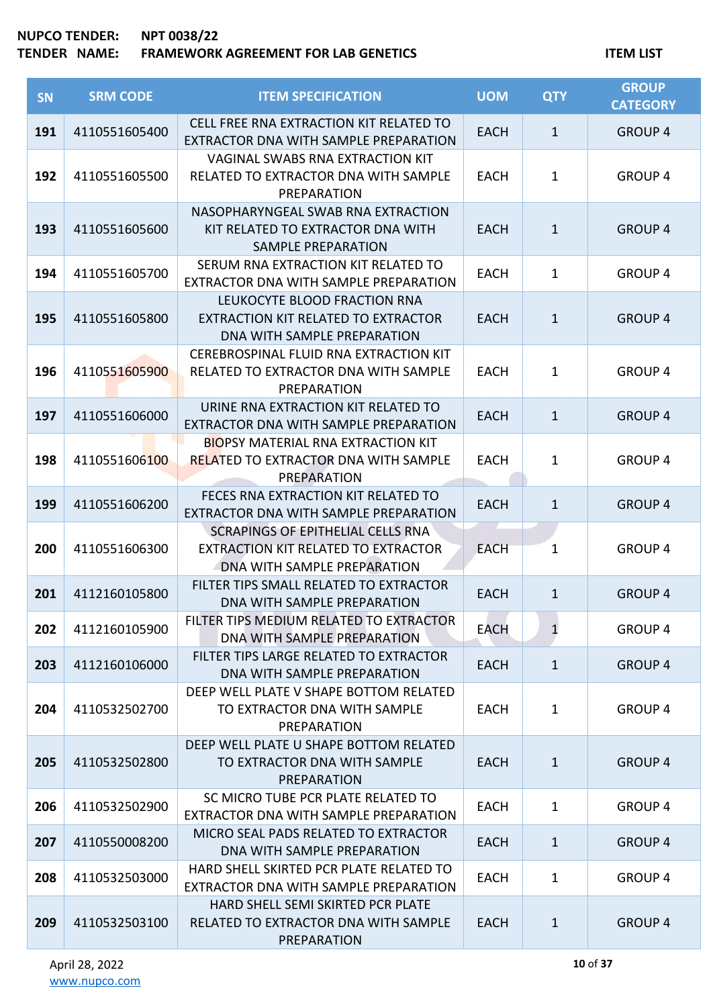| <b>SN</b> | <b>SRM CODE</b> | <b>ITEM SPECIFICATION</b>                                                                                      | <b>UOM</b>  | <b>QTY</b>   | <b>GROUP</b><br><b>CATEGORY</b> |
|-----------|-----------------|----------------------------------------------------------------------------------------------------------------|-------------|--------------|---------------------------------|
| 191       | 4110551605400   | CELL FREE RNA EXTRACTION KIT RELATED TO<br>EXTRACTOR DNA WITH SAMPLE PREPARATION                               | EACH        | $\mathbf{1}$ | <b>GROUP 4</b>                  |
| 192       | 4110551605500   | <b>VAGINAL SWABS RNA EXTRACTION KIT</b><br>RELATED TO EXTRACTOR DNA WITH SAMPLE<br>PREPARATION                 | <b>EACH</b> | $\mathbf{1}$ | <b>GROUP 4</b>                  |
| 193       | 4110551605600   | NASOPHARYNGEAL SWAB RNA EXTRACTION<br>KIT RELATED TO EXTRACTOR DNA WITH<br><b>SAMPLE PREPARATION</b>           | <b>EACH</b> | $\mathbf{1}$ | <b>GROUP 4</b>                  |
| 194       | 4110551605700   | SERUM RNA EXTRACTION KIT RELATED TO<br>EXTRACTOR DNA WITH SAMPLE PREPARATION                                   | <b>EACH</b> | $\mathbf{1}$ | <b>GROUP 4</b>                  |
| 195       | 4110551605800   | LEUKOCYTE BLOOD FRACTION RNA<br>EXTRACTION KIT RELATED TO EXTRACTOR<br>DNA WITH SAMPLE PREPARATION             | <b>EACH</b> | $\mathbf{1}$ | <b>GROUP 4</b>                  |
| 196       | 4110551605900   | CEREBROSPINAL FLUID RNA EXTRACTION KIT<br>RELATED TO EXTRACTOR DNA WITH SAMPLE<br>PREPARATION                  | <b>EACH</b> | $\mathbf{1}$ | <b>GROUP 4</b>                  |
| 197       | 4110551606000   | URINE RNA EXTRACTION KIT RELATED TO<br>EXTRACTOR DNA WITH SAMPLE PREPARATION                                   | EACH        | $\mathbf{1}$ | <b>GROUP 4</b>                  |
| 198       | 4110551606100   | <b>BIOPSY MATERIAL RNA EXTRACTION KIT</b><br><b>RELATED TO EXTRACTOR DNA WITH SAMPLE</b><br><b>PREPARATION</b> | <b>EACH</b> | $\mathbf{1}$ | <b>GROUP 4</b>                  |
| 199       | 4110551606200   | FECES RNA EXTRACTION KIT RELATED TO<br>EXTRACTOR DNA WITH SAMPLE PREPARATION                                   | <b>EACH</b> | $\mathbf{1}$ | <b>GROUP 4</b>                  |
| 200       | 4110551606300   | SCRAPINGS OF EPITHELIAL CELLS RNA<br>EXTRACTION KIT RELATED TO EXTRACTOR<br>DNA WITH SAMPLE PREPARATION        | <b>EACH</b> | $\mathbf{1}$ | <b>GROUP 4</b>                  |
| 201       | 4112160105800   | FILTER TIPS SMALL RELATED TO EXTRACTOR<br>DNA WITH SAMPLE PREPARATION                                          | <b>EACH</b> | $\mathbf{1}$ | <b>GROUP 4</b>                  |
| 202       | 4112160105900   | FILTER TIPS MEDIUM RELATED TO EXTRACTOR<br>DNA WITH SAMPLE PREPARATION                                         | <b>EACH</b> | $\mathbf{1}$ | <b>GROUP 4</b>                  |
| 203       | 4112160106000   | FILTER TIPS LARGE RELATED TO EXTRACTOR<br>DNA WITH SAMPLE PREPARATION                                          | <b>EACH</b> | $\mathbf{1}$ | <b>GROUP 4</b>                  |
| 204       | 4110532502700   | DEEP WELL PLATE V SHAPE BOTTOM RELATED<br>TO EXTRACTOR DNA WITH SAMPLE<br><b>PREPARATION</b>                   | <b>EACH</b> | $\mathbf{1}$ | <b>GROUP 4</b>                  |
| 205       | 4110532502800   | DEEP WELL PLATE U SHAPE BOTTOM RELATED<br>TO EXTRACTOR DNA WITH SAMPLE<br><b>PREPARATION</b>                   | <b>EACH</b> | $\mathbf{1}$ | <b>GROUP 4</b>                  |
| 206       | 4110532502900   | SC MICRO TUBE PCR PLATE RELATED TO<br>EXTRACTOR DNA WITH SAMPLE PREPARATION                                    | <b>EACH</b> | $\mathbf{1}$ | <b>GROUP 4</b>                  |
| 207       | 4110550008200   | MICRO SEAL PADS RELATED TO EXTRACTOR<br>DNA WITH SAMPLE PREPARATION                                            | <b>EACH</b> | $\mathbf{1}$ | <b>GROUP 4</b>                  |
| 208       | 4110532503000   | HARD SHELL SKIRTED PCR PLATE RELATED TO<br>EXTRACTOR DNA WITH SAMPLE PREPARATION                               | <b>EACH</b> | $\mathbf{1}$ | <b>GROUP 4</b>                  |
| 209       | 4110532503100   | HARD SHELL SEMI SKIRTED PCR PLATE<br>RELATED TO EXTRACTOR DNA WITH SAMPLE<br>PREPARATION                       | <b>EACH</b> | $\mathbf{1}$ | <b>GROUP 4</b>                  |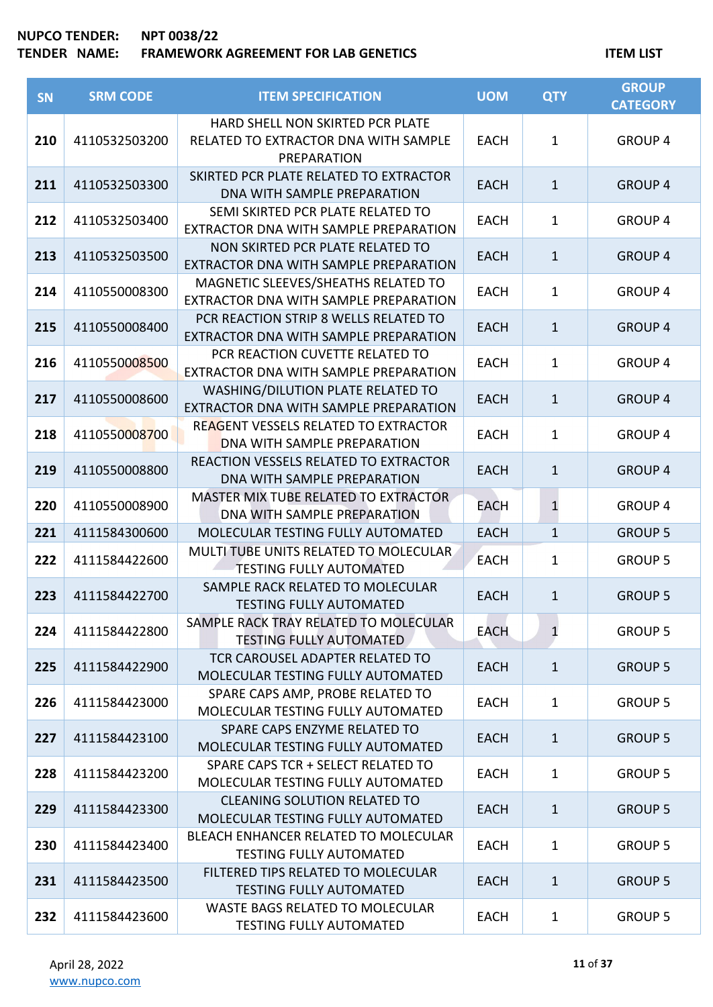| <b>SN</b> | <b>SRM CODE</b> | <b>ITEM SPECIFICATION</b>                                                               | <b>UOM</b>  | <b>QTY</b>   | <b>GROUP</b><br><b>CATEGORY</b> |
|-----------|-----------------|-----------------------------------------------------------------------------------------|-------------|--------------|---------------------------------|
| 210       | 4110532503200   | HARD SHELL NON SKIRTED PCR PLATE<br>RELATED TO EXTRACTOR DNA WITH SAMPLE<br>PREPARATION | <b>EACH</b> | $\mathbf{1}$ | <b>GROUP 4</b>                  |
| 211       | 4110532503300   | SKIRTED PCR PLATE RELATED TO EXTRACTOR<br>DNA WITH SAMPLE PREPARATION                   | <b>EACH</b> | $\mathbf{1}$ | <b>GROUP 4</b>                  |
| 212       | 4110532503400   | SEMI SKIRTED PCR PLATE RELATED TO<br>EXTRACTOR DNA WITH SAMPLE PREPARATION              | <b>EACH</b> | $\mathbf{1}$ | <b>GROUP 4</b>                  |
| 213       | 4110532503500   | NON SKIRTED PCR PLATE RELATED TO<br>EXTRACTOR DNA WITH SAMPLE PREPARATION               | <b>EACH</b> | $\mathbf{1}$ | <b>GROUP 4</b>                  |
| 214       | 4110550008300   | MAGNETIC SLEEVES/SHEATHS RELATED TO<br>EXTRACTOR DNA WITH SAMPLE PREPARATION            | <b>EACH</b> | $\mathbf{1}$ | <b>GROUP 4</b>                  |
| 215       | 4110550008400   | PCR REACTION STRIP 8 WELLS RELATED TO<br>EXTRACTOR DNA WITH SAMPLE PREPARATION          | <b>EACH</b> | $\mathbf{1}$ | <b>GROUP 4</b>                  |
| 216       | 4110550008500   | PCR REACTION CUVETTE RELATED TO<br>EXTRACTOR DNA WITH SAMPLE PREPARATION                | <b>EACH</b> | $\mathbf{1}$ | <b>GROUP 4</b>                  |
| 217       | 4110550008600   | WASHING/DILUTION PLATE RELATED TO<br>EXTRACTOR DNA WITH SAMPLE PREPARATION              | <b>EACH</b> | $\mathbf{1}$ | <b>GROUP 4</b>                  |
| 218       | 4110550008700   | REAGENT VESSELS RELATED TO EXTRACTOR<br>DNA WITH SAMPLE PREPARATION                     | <b>EACH</b> | $\mathbf{1}$ | <b>GROUP 4</b>                  |
| 219       | 4110550008800   | REACTION VESSELS RELATED TO EXTRACTOR<br>DNA WITH SAMPLE PREPARATION                    | <b>EACH</b> | $\mathbf{1}$ | <b>GROUP 4</b>                  |
| 220       | 4110550008900   | MASTER MIX TUBE RELATED TO EXTRACTOR<br>DNA WITH SAMPLE PREPARATION                     | EACH        | $\mathbf{1}$ | <b>GROUP 4</b>                  |
| 221       | 4111584300600   | MOLECULAR TESTING FULLY AUTOMATED                                                       | <b>EACH</b> | $\mathbf{1}$ | <b>GROUP 5</b>                  |
| 222       | 4111584422600   | MULTI TUBE UNITS RELATED TO MOLECULAR.<br><b>TESTING FULLY AUTOMATED</b>                | <b>EACH</b> | $\mathbf{1}$ | <b>GROUP 5</b>                  |
| 223       | 4111584422700   | SAMPLE RACK RELATED TO MOLECULAR<br><b>TESTING FULLY AUTOMATED</b>                      | <b>EACH</b> | $\mathbf{1}$ | <b>GROUP 5</b>                  |
| 224       | 4111584422800   | SAMPLE RACK TRAY RELATED TO MOLECULAR<br><b>TESTING FULLY AUTOMATED</b>                 | <b>EACH</b> | $\mathbf{1}$ | <b>GROUP 5</b>                  |
| 225       | 4111584422900   | TCR CAROUSEL ADAPTER RELATED TO<br>MOLECULAR TESTING FULLY AUTOMATED                    | <b>EACH</b> | $\mathbf{1}$ | <b>GROUP 5</b>                  |
| 226       | 4111584423000   | SPARE CAPS AMP, PROBE RELATED TO<br>MOLECULAR TESTING FULLY AUTOMATED                   | <b>EACH</b> | $\mathbf{1}$ | <b>GROUP 5</b>                  |
| 227       | 4111584423100   | SPARE CAPS ENZYME RELATED TO<br>MOLECULAR TESTING FULLY AUTOMATED                       | <b>EACH</b> | $\mathbf{1}$ | <b>GROUP 5</b>                  |
| 228       | 4111584423200   | SPARE CAPS TCR + SELECT RELATED TO<br>MOLECULAR TESTING FULLY AUTOMATED                 | <b>EACH</b> | $\mathbf{1}$ | <b>GROUP 5</b>                  |
| 229       | 4111584423300   | <b>CLEANING SOLUTION RELATED TO</b><br>MOLECULAR TESTING FULLY AUTOMATED                | <b>EACH</b> | $\mathbf{1}$ | <b>GROUP 5</b>                  |
| 230       | 4111584423400   | BLEACH ENHANCER RELATED TO MOLECULAR<br><b>TESTING FULLY AUTOMATED</b>                  | <b>EACH</b> | $\mathbf{1}$ | <b>GROUP 5</b>                  |
| 231       | 4111584423500   | FILTERED TIPS RELATED TO MOLECULAR<br><b>TESTING FULLY AUTOMATED</b>                    | <b>EACH</b> | $\mathbf{1}$ | <b>GROUP 5</b>                  |
| 232       | 4111584423600   | <b>WASTE BAGS RELATED TO MOLECULAR</b><br><b>TESTING FULLY AUTOMATED</b>                | <b>EACH</b> | $\mathbf{1}$ | <b>GROUP 5</b>                  |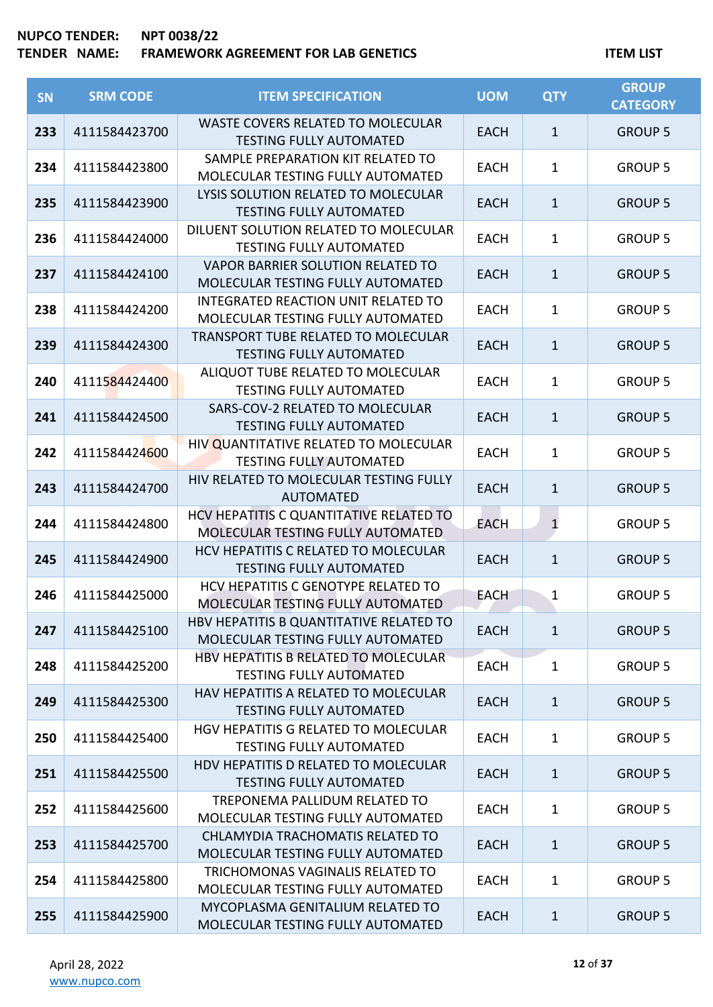| SN  | <b>SRM CODE</b> | <b>ITEM SPECIFICATION</b>                                                    | <b>UOM</b>  | <b>QTY</b>   | <b>GROUP</b><br><b>CATEGORY</b> |
|-----|-----------------|------------------------------------------------------------------------------|-------------|--------------|---------------------------------|
| 233 | 4111584423700   | <b>WASTE COVERS RELATED TO MOLECULAR</b><br><b>TESTING FULLY AUTOMATED</b>   | <b>EACH</b> | $\mathbf{1}$ | <b>GROUP 5</b>                  |
| 234 | 4111584423800   | SAMPLE PREPARATION KIT RELATED TO<br>MOLECULAR TESTING FULLY AUTOMATED       | <b>EACH</b> | $\mathbf 1$  | <b>GROUP 5</b>                  |
| 235 | 4111584423900   | LYSIS SOLUTION RELATED TO MOLECULAR<br><b>TESTING FULLY AUTOMATED</b>        | <b>EACH</b> | $\mathbf{1}$ | <b>GROUP 5</b>                  |
| 236 | 4111584424000   | DILUENT SOLUTION RELATED TO MOLECULAR<br><b>TESTING FULLY AUTOMATED</b>      | <b>EACH</b> | $\mathbf 1$  | <b>GROUP 5</b>                  |
| 237 | 4111584424100   | VAPOR BARRIER SOLUTION RELATED TO<br>MOLECULAR TESTING FULLY AUTOMATED       | <b>EACH</b> | $\mathbf{1}$ | <b>GROUP 5</b>                  |
| 238 | 4111584424200   | INTEGRATED REACTION UNIT RELATED TO<br>MOLECULAR TESTING FULLY AUTOMATED     | <b>EACH</b> | $\mathbf{1}$ | <b>GROUP 5</b>                  |
| 239 | 4111584424300   | TRANSPORT TUBE RELATED TO MOLECULAR<br><b>TESTING FULLY AUTOMATED</b>        | <b>EACH</b> | $\mathbf{1}$ | <b>GROUP 5</b>                  |
| 240 | 4111584424400   | ALIQUOT TUBE RELATED TO MOLECULAR<br><b>TESTING FULLY AUTOMATED</b>          | <b>EACH</b> | $\mathbf 1$  | <b>GROUP 5</b>                  |
| 241 | 4111584424500   | SARS-COV-2 RELATED TO MOLECULAR<br><b>TESTING FULLY AUTOMATED</b>            | <b>EACH</b> | $\mathbf{1}$ | <b>GROUP 5</b>                  |
| 242 | 4111584424600   | HIV QUANTITATIVE RELATED TO MOLECULAR<br><b>TESTING FULLY AUTOMATED</b>      | <b>EACH</b> | $\mathbf 1$  | <b>GROUP 5</b>                  |
| 243 | 4111584424700   | HIV RELATED TO MOLECULAR TESTING FULLY<br><b>AUTOMATED</b>                   | <b>EACH</b> | $\mathbf{1}$ | <b>GROUP 5</b>                  |
| 244 | 4111584424800   | HCV HEPATITIS C QUANTITATIVE RELATED TO<br>MOLECULAR TESTING FULLY AUTOMATED | <b>EACH</b> | $\mathbf{1}$ | <b>GROUP 5</b>                  |
| 245 | 4111584424900   | HCV HEPATITIS C RELATED TO MOLECULAR<br><b>TESTING FULLY AUTOMATED</b>       | <b>EACH</b> | $\mathbf{1}$ | <b>GROUP 5</b>                  |
| 246 | 4111584425000   | HCV HEPATITIS C GENOTYPE RELATED TO<br>MOLECULAR TESTING FULLY AUTOMATED     | <b>EACH</b> | 1            | <b>GROUP 5</b>                  |
| 247 | 4111584425100   | HBV HEPATITIS B QUANTITATIVE RELATED TO<br>MOLECULAR TESTING FULLY AUTOMATED | <b>EACH</b> | $\mathbf{1}$ | <b>GROUP 5</b>                  |
| 248 | 4111584425200   | HBV HEPATITIS B RELATED TO MOLECULAR<br><b>TESTING FULLY AUTOMATED</b>       | <b>EACH</b> | $\mathbf{1}$ | <b>GROUP 5</b>                  |
| 249 | 4111584425300   | HAV HEPATITIS A RELATED TO MOLECULAR<br><b>TESTING FULLY AUTOMATED</b>       | <b>EACH</b> | $\mathbf{1}$ | <b>GROUP 5</b>                  |
| 250 | 4111584425400   | HGV HEPATITIS G RELATED TO MOLECULAR<br><b>TESTING FULLY AUTOMATED</b>       | <b>EACH</b> | $\mathbf{1}$ | <b>GROUP 5</b>                  |
| 251 | 4111584425500   | HDV HEPATITIS D RELATED TO MOLECULAR<br><b>TESTING FULLY AUTOMATED</b>       | <b>EACH</b> | $\mathbf{1}$ | <b>GROUP 5</b>                  |
| 252 | 4111584425600   | TREPONEMA PALLIDUM RELATED TO<br>MOLECULAR TESTING FULLY AUTOMATED           | <b>EACH</b> | $\mathbf{1}$ | <b>GROUP 5</b>                  |
| 253 | 4111584425700   | CHLAMYDIA TRACHOMATIS RELATED TO<br>MOLECULAR TESTING FULLY AUTOMATED        | <b>EACH</b> | $\mathbf{1}$ | <b>GROUP 5</b>                  |
| 254 | 4111584425800   | TRICHOMONAS VAGINALIS RELATED TO<br>MOLECULAR TESTING FULLY AUTOMATED        | <b>EACH</b> | $\mathbf{1}$ | <b>GROUP 5</b>                  |
| 255 | 4111584425900   | MYCOPLASMA GENITALIUM RELATED TO<br>MOLECULAR TESTING FULLY AUTOMATED        | <b>EACH</b> | $\mathbf{1}$ | <b>GROUP 5</b>                  |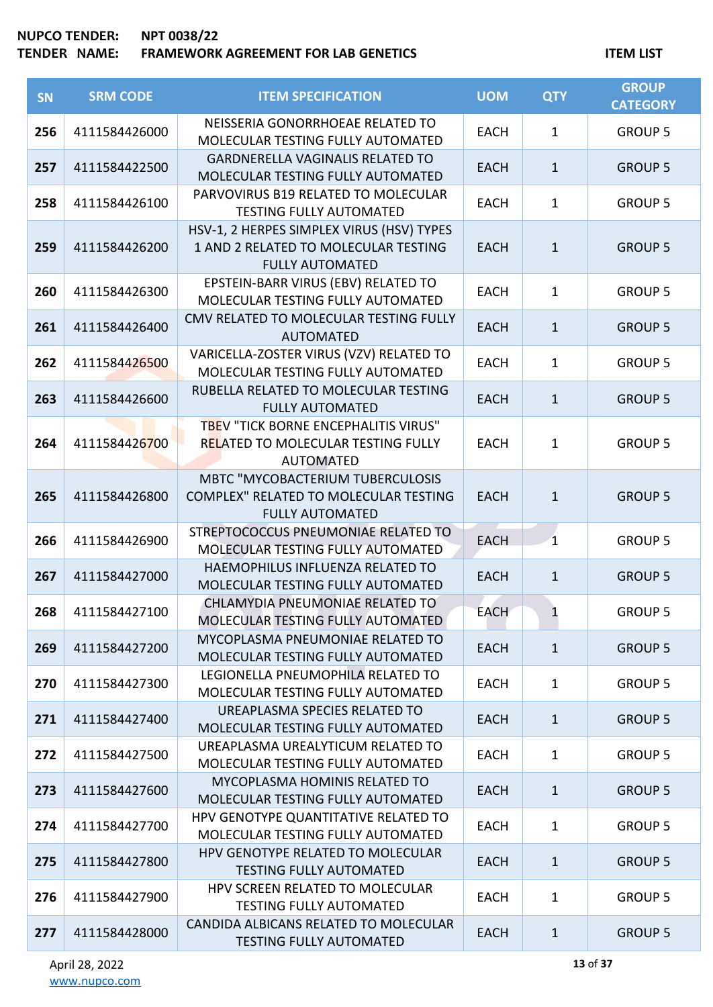# **TENDER NAME: FRAMEWORK AGREEMENT FOR LAB GENETICS ITEM LIST**

| SN  | <b>SRM CODE</b> | <b>ITEM SPECIFICATION</b>                                                                                   | <b>UOM</b>  | <b>QTY</b>   | <b>GROUP</b><br><b>CATEGORY</b> |
|-----|-----------------|-------------------------------------------------------------------------------------------------------------|-------------|--------------|---------------------------------|
| 256 | 4111584426000   | NEISSERIA GONORRHOEAE RELATED TO<br>MOLECULAR TESTING FULLY AUTOMATED                                       | <b>EACH</b> | $\mathbf{1}$ | <b>GROUP 5</b>                  |
| 257 | 4111584422500   | <b>GARDNERELLA VAGINALIS RELATED TO</b><br>MOLECULAR TESTING FULLY AUTOMATED                                | <b>EACH</b> | $\mathbf{1}$ | <b>GROUP 5</b>                  |
| 258 | 4111584426100   | PARVOVIRUS B19 RELATED TO MOLECULAR<br><b>TESTING FULLY AUTOMATED</b>                                       | <b>EACH</b> | $\mathbf{1}$ | <b>GROUP 5</b>                  |
| 259 | 4111584426200   | HSV-1, 2 HERPES SIMPLEX VIRUS (HSV) TYPES<br>1 AND 2 RELATED TO MOLECULAR TESTING<br><b>FULLY AUTOMATED</b> | <b>EACH</b> | $\mathbf{1}$ | <b>GROUP 5</b>                  |
| 260 | 4111584426300   | EPSTEIN-BARR VIRUS (EBV) RELATED TO<br>MOLECULAR TESTING FULLY AUTOMATED                                    | <b>EACH</b> | $\mathbf{1}$ | <b>GROUP 5</b>                  |
| 261 | 4111584426400   | CMV RELATED TO MOLECULAR TESTING FULLY<br><b>AUTOMATED</b>                                                  | <b>EACH</b> | $\mathbf{1}$ | <b>GROUP 5</b>                  |
| 262 | 4111584426500   | VARICELLA-ZOSTER VIRUS (VZV) RELATED TO<br>MOLECULAR TESTING FULLY AUTOMATED                                | <b>EACH</b> | $\mathbf{1}$ | <b>GROUP 5</b>                  |
| 263 | 4111584426600   | RUBELLA RELATED TO MOLECULAR TESTING<br><b>FULLY AUTOMATED</b>                                              | <b>EACH</b> | $1\,$        | <b>GROUP 5</b>                  |
| 264 | 4111584426700   | TBEV "TICK BORNE ENCEPHALITIS VIRUS"<br>RELATED TO MOLECULAR TESTING FULLY<br><b>AUTOMATED</b>              | <b>EACH</b> | $\mathbf{1}$ | <b>GROUP 5</b>                  |
| 265 | 4111584426800   | <b>MBTC "MYCOBACTERIUM TUBERCULOSIS</b><br>COMPLEX" RELATED TO MOLECULAR TESTING<br><b>FULLY AUTOMATED</b>  | <b>EACH</b> | $1\,$        | <b>GROUP 5</b>                  |
| 266 | 4111584426900   | STREPTOCOCCUS PNEUMONIAE RELATED TO<br>MOLECULAR TESTING FULLY AUTOMATED                                    | <b>EACH</b> | $\mathbf{1}$ | <b>GROUP 5</b>                  |
| 267 | 4111584427000   | HAEMOPHILUS INFLUENZA RELATED TO<br>MOLECULAR TESTING FULLY AUTOMATED                                       | <b>EACH</b> | $\mathbf{1}$ | <b>GROUP 5</b>                  |
| 268 | 4111584427100   | CHLAMYDIA PNEUMONIAE RELATED TO<br>MOLECULAR TESTING FULLY AUTOMATED                                        | <b>EACH</b> |              | <b>GROUP 5</b>                  |
| 269 | 4111584427200   | MYCOPLASMA PNEUMONIAE RELATED TO<br>MOLECULAR TESTING FULLY AUTOMATED                                       | <b>EACH</b> | $\mathbf{1}$ | <b>GROUP 5</b>                  |
| 270 | 4111584427300   | LEGIONELLA PNEUMOPHILA RELATED TO<br>MOLECULAR TESTING FULLY AUTOMATED                                      | <b>EACH</b> | $\mathbf{1}$ | <b>GROUP 5</b>                  |
| 271 | 4111584427400   | UREAPLASMA SPECIES RELATED TO<br>MOLECULAR TESTING FULLY AUTOMATED                                          | <b>EACH</b> | $\mathbf{1}$ | <b>GROUP 5</b>                  |
| 272 | 4111584427500   | UREAPLASMA UREALYTICUM RELATED TO<br>MOLECULAR TESTING FULLY AUTOMATED                                      | <b>EACH</b> | $\mathbf{1}$ | <b>GROUP 5</b>                  |
| 273 | 4111584427600   | MYCOPLASMA HOMINIS RELATED TO<br>MOLECULAR TESTING FULLY AUTOMATED                                          | <b>EACH</b> | $\mathbf{1}$ | <b>GROUP 5</b>                  |
| 274 | 4111584427700   | HPV GENOTYPE QUANTITATIVE RELATED TO<br>MOLECULAR TESTING FULLY AUTOMATED                                   | <b>EACH</b> | $\mathbf{1}$ | <b>GROUP 5</b>                  |
| 275 | 4111584427800   | HPV GENOTYPE RELATED TO MOLECULAR<br><b>TESTING FULLY AUTOMATED</b>                                         | <b>EACH</b> | $\mathbf{1}$ | <b>GROUP 5</b>                  |
| 276 | 4111584427900   | HPV SCREEN RELATED TO MOLECULAR<br><b>TESTING FULLY AUTOMATED</b>                                           | <b>EACH</b> | $\mathbf{1}$ | <b>GROUP 5</b>                  |
| 277 | 4111584428000   | CANDIDA ALBICANS RELATED TO MOLECULAR<br><b>TESTING FULLY AUTOMATED</b>                                     | <b>EACH</b> | $\mathbf{1}$ | <b>GROUP 5</b>                  |

**13** of **37**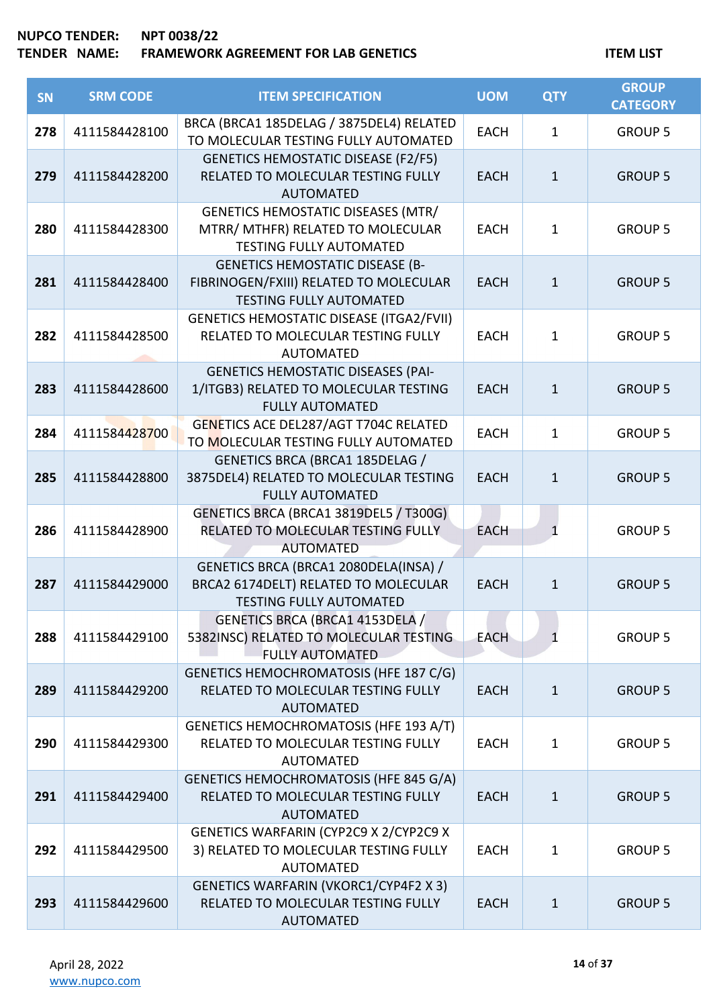| <b>SN</b> | <b>SRM CODE</b> | <b>ITEM SPECIFICATION</b>                                                                                          | <b>UOM</b>  | <b>QTY</b>   | <b>GROUP</b><br><b>CATEGORY</b> |
|-----------|-----------------|--------------------------------------------------------------------------------------------------------------------|-------------|--------------|---------------------------------|
| 278       | 4111584428100   | BRCA (BRCA1 185DELAG / 3875DEL4) RELATED<br>TO MOLECULAR TESTING FULLY AUTOMATED                                   | <b>EACH</b> | $\mathbf{1}$ | <b>GROUP 5</b>                  |
| 279       | 4111584428200   | <b>GENETICS HEMOSTATIC DISEASE (F2/F5)</b><br>RELATED TO MOLECULAR TESTING FULLY<br><b>AUTOMATED</b>               | <b>EACH</b> | $\mathbf{1}$ | <b>GROUP 5</b>                  |
| 280       | 4111584428300   | <b>GENETICS HEMOSTATIC DISEASES (MTR/</b><br>MTRR/ MTHFR) RELATED TO MOLECULAR<br><b>TESTING FULLY AUTOMATED</b>   | <b>EACH</b> | $\mathbf{1}$ | <b>GROUP 5</b>                  |
| 281       | 4111584428400   | <b>GENETICS HEMOSTATIC DISEASE (B-</b><br>FIBRINOGEN/FXIII) RELATED TO MOLECULAR<br><b>TESTING FULLY AUTOMATED</b> | <b>EACH</b> | $\mathbf{1}$ | <b>GROUP 5</b>                  |
| 282       | 4111584428500   | <b>GENETICS HEMOSTATIC DISEASE (ITGA2/FVII)</b><br>RELATED TO MOLECULAR TESTING FULLY<br><b>AUTOMATED</b>          | <b>EACH</b> | $\mathbf{1}$ | <b>GROUP 5</b>                  |
| 283       | 4111584428600   | <b>GENETICS HEMOSTATIC DISEASES (PAI-</b><br>1/ITGB3) RELATED TO MOLECULAR TESTING<br><b>FULLY AUTOMATED</b>       | <b>EACH</b> | $\mathbf{1}$ | <b>GROUP 5</b>                  |
| 284       | 4111584428700   | GENETICS ACE DEL287/AGT T704C RELATED<br>TO MOLECULAR TESTING FULLY AUTOMATED                                      | <b>EACH</b> | $\mathbf{1}$ | <b>GROUP 5</b>                  |
| 285       | 4111584428800   | GENETICS BRCA (BRCA1 185DELAG /<br>3875DEL4) RELATED TO MOLECULAR TESTING<br><b>FULLY AUTOMATED</b>                | <b>EACH</b> | $\mathbf{1}$ | <b>GROUP 5</b>                  |
| 286       | 4111584428900   | GENETICS BRCA (BRCA1 3819DEL5 / T300G)<br>RELATED TO MOLECULAR TESTING FULLY<br><b>AUTOMATED</b>                   | <b>EACH</b> | $\mathbf{1}$ | <b>GROUP 5</b>                  |
| 287       | 4111584429000   | GENETICS BRCA (BRCA1 2080DELA(INSA) /<br>BRCA2 6174DELT) RELATED TO MOLECULAR<br><b>TESTING FULLY AUTOMATED</b>    | <b>EACH</b> | $\mathbf{1}$ | <b>GROUP 5</b>                  |
| 288       | 4111584429100   | GENETICS BRCA (BRCA1 4153DELA /<br>5382INSC) RELATED TO MOLECULAR TESTING<br><b>FULLY AUTOMATED</b>                | <b>EACH</b> | $\mathbf{1}$ | <b>GROUP 5</b>                  |
| 289       | 4111584429200   | <b>GENETICS HEMOCHROMATOSIS (HFE 187 C/G)</b><br>RELATED TO MOLECULAR TESTING FULLY<br><b>AUTOMATED</b>            | <b>EACH</b> | $\mathbf{1}$ | <b>GROUP 5</b>                  |
| 290       | 4111584429300   | GENETICS HEMOCHROMATOSIS (HFE 193 A/T)<br>RELATED TO MOLECULAR TESTING FULLY<br><b>AUTOMATED</b>                   | <b>EACH</b> | $\mathbf{1}$ | <b>GROUP 5</b>                  |
| 291       | 4111584429400   | GENETICS HEMOCHROMATOSIS (HFE 845 G/A)<br>RELATED TO MOLECULAR TESTING FULLY<br><b>AUTOMATED</b>                   | <b>EACH</b> | $\mathbf{1}$ | <b>GROUP 5</b>                  |
| 292       | 4111584429500   | GENETICS WARFARIN (CYP2C9 X 2/CYP2C9 X<br>3) RELATED TO MOLECULAR TESTING FULLY<br><b>AUTOMATED</b>                | <b>EACH</b> | $\mathbf{1}$ | <b>GROUP 5</b>                  |
| 293       | 4111584429600   | <b>GENETICS WARFARIN (VKORC1/CYP4F2 X 3)</b><br>RELATED TO MOLECULAR TESTING FULLY<br><b>AUTOMATED</b>             | <b>EACH</b> | $\mathbf{1}$ | <b>GROUP 5</b>                  |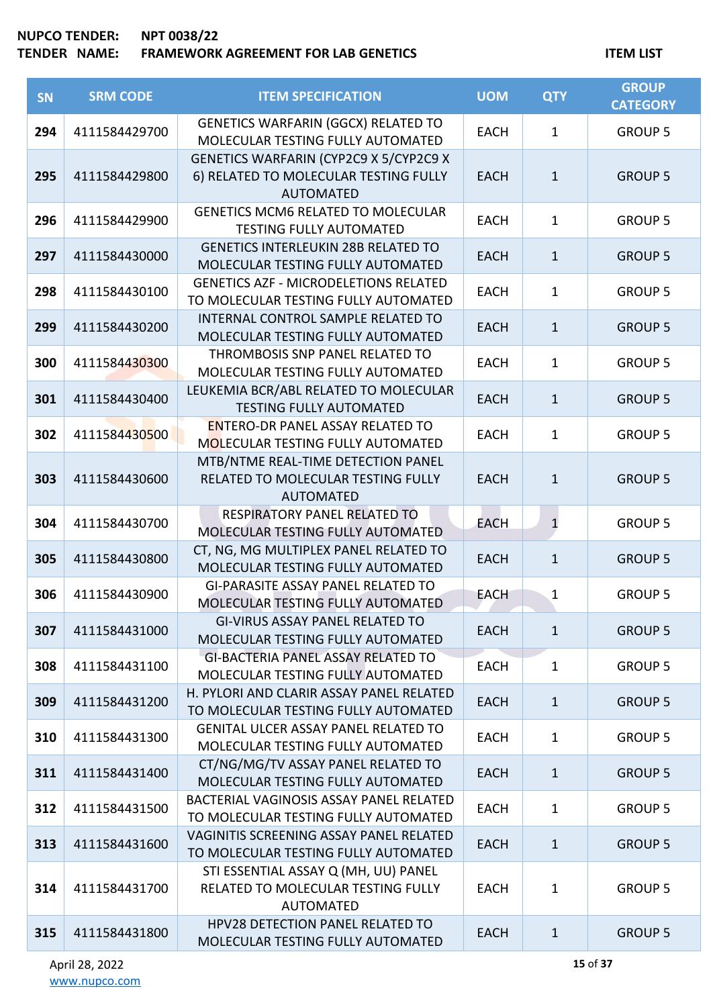| SN  | <b>SRM CODE</b> | <b>ITEM SPECIFICATION</b>                                                                           | <b>UOM</b>  | <b>QTY</b>   | <b>GROUP</b><br><b>CATEGORY</b> |
|-----|-----------------|-----------------------------------------------------------------------------------------------------|-------------|--------------|---------------------------------|
| 294 | 4111584429700   | GENETICS WARFARIN (GGCX) RELATED TO<br>MOLECULAR TESTING FULLY AUTOMATED                            | <b>EACH</b> | $\mathbf{1}$ | <b>GROUP 5</b>                  |
| 295 | 4111584429800   | GENETICS WARFARIN (CYP2C9 X 5/CYP2C9 X<br>6) RELATED TO MOLECULAR TESTING FULLY<br><b>AUTOMATED</b> | <b>EACH</b> | $\mathbf{1}$ | <b>GROUP 5</b>                  |
| 296 | 4111584429900   | <b>GENETICS MCM6 RELATED TO MOLECULAR</b><br><b>TESTING FULLY AUTOMATED</b>                         | <b>EACH</b> | $\mathbf{1}$ | <b>GROUP 5</b>                  |
| 297 | 4111584430000   | <b>GENETICS INTERLEUKIN 28B RELATED TO</b><br>MOLECULAR TESTING FULLY AUTOMATED                     | <b>EACH</b> | $\mathbf{1}$ | <b>GROUP 5</b>                  |
| 298 | 4111584430100   | <b>GENETICS AZF - MICRODELETIONS RELATED</b><br>TO MOLECULAR TESTING FULLY AUTOMATED                | <b>EACH</b> | $\mathbf 1$  | <b>GROUP 5</b>                  |
| 299 | 4111584430200   | <b>INTERNAL CONTROL SAMPLE RELATED TO</b><br>MOLECULAR TESTING FULLY AUTOMATED                      | <b>EACH</b> | $\mathbf{1}$ | <b>GROUP 5</b>                  |
| 300 | 4111584430300   | THROMBOSIS SNP PANEL RELATED TO<br>MOLECULAR TESTING FULLY AUTOMATED                                | <b>EACH</b> | $\mathbf 1$  | <b>GROUP 5</b>                  |
| 301 | 4111584430400   | LEUKEMIA BCR/ABL RELATED TO MOLECULAR<br><b>TESTING FULLY AUTOMATED</b>                             | <b>EACH</b> | $\mathbf{1}$ | <b>GROUP 5</b>                  |
| 302 | 4111584430500   | <b>ENTERO-DR PANEL ASSAY RELATED TO</b><br><b>MOLECULAR TESTING FULLY AUTOMATED</b>                 | <b>EACH</b> | $\mathbf 1$  | <b>GROUP 5</b>                  |
| 303 | 4111584430600   | MTB/NTME REAL-TIME DETECTION PANEL<br>RELATED TO MOLECULAR TESTING FULLY<br><b>AUTOMATED</b>        | <b>EACH</b> | $\mathbf{1}$ | <b>GROUP 5</b>                  |
| 304 | 4111584430700   | RESPIRATORY PANEL RELATED TO<br>MOLECULAR TESTING FULLY AUTOMATED                                   | <b>EACH</b> | $\mathbf{1}$ | <b>GROUP 5</b>                  |
| 305 | 4111584430800   | CT, NG, MG MULTIPLEX PANEL RELATED TO<br>MOLECULAR TESTING FULLY AUTOMATED                          | <b>EACH</b> | $\mathbf{1}$ | <b>GROUP 5</b>                  |
| 306 | 4111584430900   | <b>GI-PARASITE ASSAY PANEL RELATED TO</b><br>MOLECULAR TESTING FULLY AUTOMATED                      | <b>EACH</b> | $\mathbf{1}$ | <b>GROUP 5</b>                  |
| 307 | 4111584431000   | <b>GI-VIRUS ASSAY PANEL RELATED TO</b><br>MOLECULAR TESTING FULLY AUTOMATED                         | <b>EACH</b> | $\mathbf{1}$ | <b>GROUP 5</b>                  |
| 308 | 4111584431100   | <b>GI-BACTERIA PANEL ASSAY RELATED TO</b><br>MOLECULAR TESTING FULLY AUTOMATED                      | <b>EACH</b> | $\mathbf{1}$ | <b>GROUP 5</b>                  |
| 309 | 4111584431200   | H. PYLORI AND CLARIR ASSAY PANEL RELATED<br>TO MOLECULAR TESTING FULLY AUTOMATED                    | <b>EACH</b> | $\mathbf{1}$ | <b>GROUP 5</b>                  |
| 310 | 4111584431300   | <b>GENITAL ULCER ASSAY PANEL RELATED TO</b><br>MOLECULAR TESTING FULLY AUTOMATED                    | <b>EACH</b> | $\mathbf{1}$ | <b>GROUP 5</b>                  |
| 311 | 4111584431400   | CT/NG/MG/TV ASSAY PANEL RELATED TO<br>MOLECULAR TESTING FULLY AUTOMATED                             | <b>EACH</b> | $\mathbf{1}$ | <b>GROUP 5</b>                  |
| 312 | 4111584431500   | BACTERIAL VAGINOSIS ASSAY PANEL RELATED<br>TO MOLECULAR TESTING FULLY AUTOMATED                     | <b>EACH</b> | $\mathbf 1$  | <b>GROUP 5</b>                  |
| 313 | 4111584431600   | VAGINITIS SCREENING ASSAY PANEL RELATED<br>TO MOLECULAR TESTING FULLY AUTOMATED                     | <b>EACH</b> | $\mathbf{1}$ | <b>GROUP 5</b>                  |
| 314 | 4111584431700   | STI ESSENTIAL ASSAY Q (MH, UU) PANEL<br>RELATED TO MOLECULAR TESTING FULLY<br><b>AUTOMATED</b>      | <b>EACH</b> | $\mathbf{1}$ | <b>GROUP 5</b>                  |
| 315 | 4111584431800   | HPV28 DETECTION PANEL RELATED TO<br>MOLECULAR TESTING FULLY AUTOMATED                               | <b>EACH</b> | $\mathbf{1}$ | <b>GROUP 5</b>                  |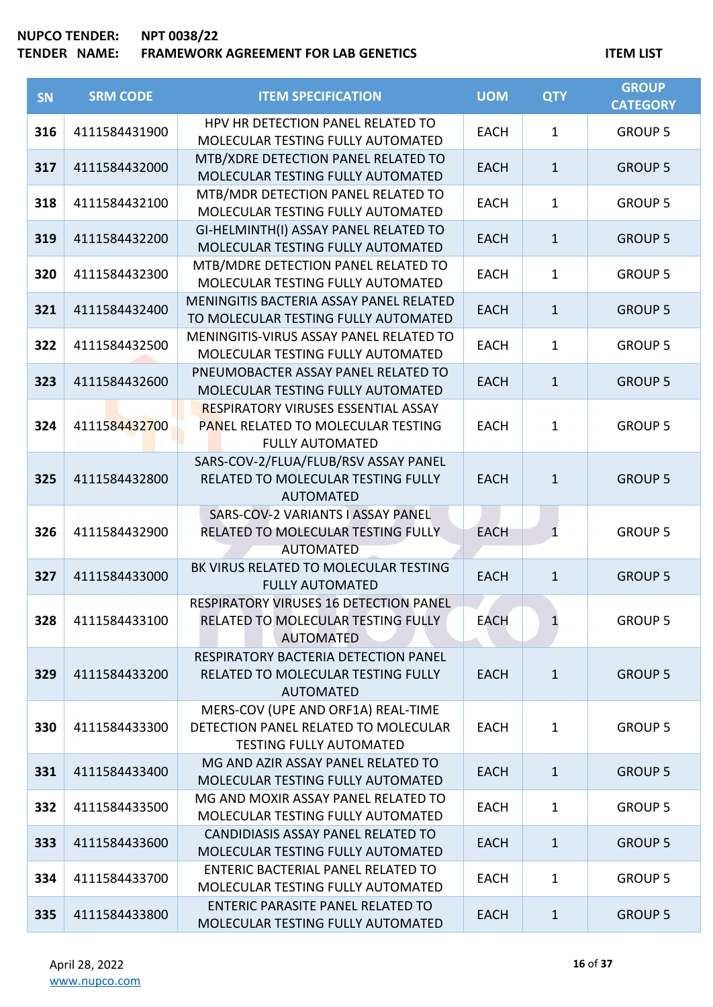| SN  | <b>SRM CODE</b> | <b>ITEM SPECIFICATION</b>                                                                                    | <b>UOM</b>  | <b>QTY</b>   | <b>GROUP</b><br><b>CATEGORY</b> |
|-----|-----------------|--------------------------------------------------------------------------------------------------------------|-------------|--------------|---------------------------------|
| 316 | 4111584431900   | HPV HR DETECTION PANEL RELATED TO<br>MOLECULAR TESTING FULLY AUTOMATED                                       | <b>EACH</b> | $\mathbf{1}$ | <b>GROUP 5</b>                  |
| 317 | 4111584432000   | MTB/XDRE DETECTION PANEL RELATED TO<br>MOLECULAR TESTING FULLY AUTOMATED                                     | <b>EACH</b> | $\mathbf{1}$ | <b>GROUP 5</b>                  |
| 318 | 4111584432100   | MTB/MDR DETECTION PANEL RELATED TO<br>MOLECULAR TESTING FULLY AUTOMATED                                      | <b>EACH</b> | $\mathbf{1}$ | <b>GROUP 5</b>                  |
| 319 | 4111584432200   | GI-HELMINTH(I) ASSAY PANEL RELATED TO<br>MOLECULAR TESTING FULLY AUTOMATED                                   | <b>EACH</b> | $\mathbf{1}$ | <b>GROUP 5</b>                  |
| 320 | 4111584432300   | MTB/MDRE DETECTION PANEL RELATED TO<br>MOLECULAR TESTING FULLY AUTOMATED                                     | <b>EACH</b> | $\mathbf{1}$ | <b>GROUP 5</b>                  |
| 321 | 4111584432400   | MENINGITIS BACTERIA ASSAY PANEL RELATED<br>TO MOLECULAR TESTING FULLY AUTOMATED                              | <b>EACH</b> | $\mathbf{1}$ | <b>GROUP 5</b>                  |
| 322 | 4111584432500   | MENINGITIS-VIRUS ASSAY PANEL RELATED TO<br>MOLECULAR TESTING FULLY AUTOMATED                                 | <b>EACH</b> | $\mathbf{1}$ | <b>GROUP 5</b>                  |
| 323 | 4111584432600   | PNEUMOBACTER ASSAY PANEL RELATED TO<br>MOLECULAR TESTING FULLY AUTOMATED                                     | <b>EACH</b> | $\mathbf{1}$ | <b>GROUP 5</b>                  |
| 324 | 4111584432700   | <b>RESPIRATORY VIRUSES ESSENTIAL ASSAY</b><br>PANEL RELATED TO MOLECULAR TESTING<br><b>FULLY AUTOMATED</b>   | <b>EACH</b> | $\mathbf{1}$ | <b>GROUP 5</b>                  |
| 325 | 4111584432800   | SARS-COV-2/FLUA/FLUB/RSV ASSAY PANEL<br>RELATED TO MOLECULAR TESTING FULLY<br><b>AUTOMATED</b>               | <b>EACH</b> | $\mathbf{1}$ | <b>GROUP 5</b>                  |
| 326 | 4111584432900   | SARS-COV-2 VARIANTS I ASSAY PANEL<br>RELATED TO MOLECULAR TESTING FULLY<br><b>AUTOMATED</b>                  | <b>EACH</b> | $\mathbf{1}$ | <b>GROUP 5</b>                  |
| 327 | 4111584433000   | BK VIRUS RELATED TO MOLECULAR TESTING<br><b>FULLY AUTOMATED</b>                                              | <b>EACH</b> | $\mathbf{1}$ | <b>GROUP 5</b>                  |
| 328 | 4111584433100   | RESPIRATORY VIRUSES 16 DETECTION PANEL<br>RELATED TO MOLECULAR TESTING FULLY<br><b>AUTOMATED</b>             | <b>EACH</b> | 1            | <b>GROUP 5</b>                  |
| 329 | 4111584433200   | RESPIRATORY BACTERIA DETECTION PANEL<br>RELATED TO MOLECULAR TESTING FULLY<br><b>AUTOMATED</b>               | <b>EACH</b> | $\mathbf{1}$ | <b>GROUP 5</b>                  |
| 330 | 4111584433300   | MERS-COV (UPE AND ORF1A) REAL-TIME<br>DETECTION PANEL RELATED TO MOLECULAR<br><b>TESTING FULLY AUTOMATED</b> | <b>EACH</b> | $\mathbf{1}$ | <b>GROUP 5</b>                  |
| 331 | 4111584433400   | MG AND AZIR ASSAY PANEL RELATED TO<br>MOLECULAR TESTING FULLY AUTOMATED                                      | <b>EACH</b> | $\mathbf{1}$ | <b>GROUP 5</b>                  |
| 332 | 4111584433500   | MG AND MOXIR ASSAY PANEL RELATED TO<br>MOLECULAR TESTING FULLY AUTOMATED                                     | <b>EACH</b> | $\mathbf{1}$ | <b>GROUP 5</b>                  |
| 333 | 4111584433600   | CANDIDIASIS ASSAY PANEL RELATED TO<br>MOLECULAR TESTING FULLY AUTOMATED                                      | <b>EACH</b> | $\mathbf{1}$ | <b>GROUP 5</b>                  |
| 334 | 4111584433700   | ENTERIC BACTERIAL PANEL RELATED TO<br>MOLECULAR TESTING FULLY AUTOMATED                                      | <b>EACH</b> | 1            | <b>GROUP 5</b>                  |
| 335 | 4111584433800   | <b>ENTERIC PARASITE PANEL RELATED TO</b><br>MOLECULAR TESTING FULLY AUTOMATED                                | <b>EACH</b> | $\mathbf{1}$ | <b>GROUP 5</b>                  |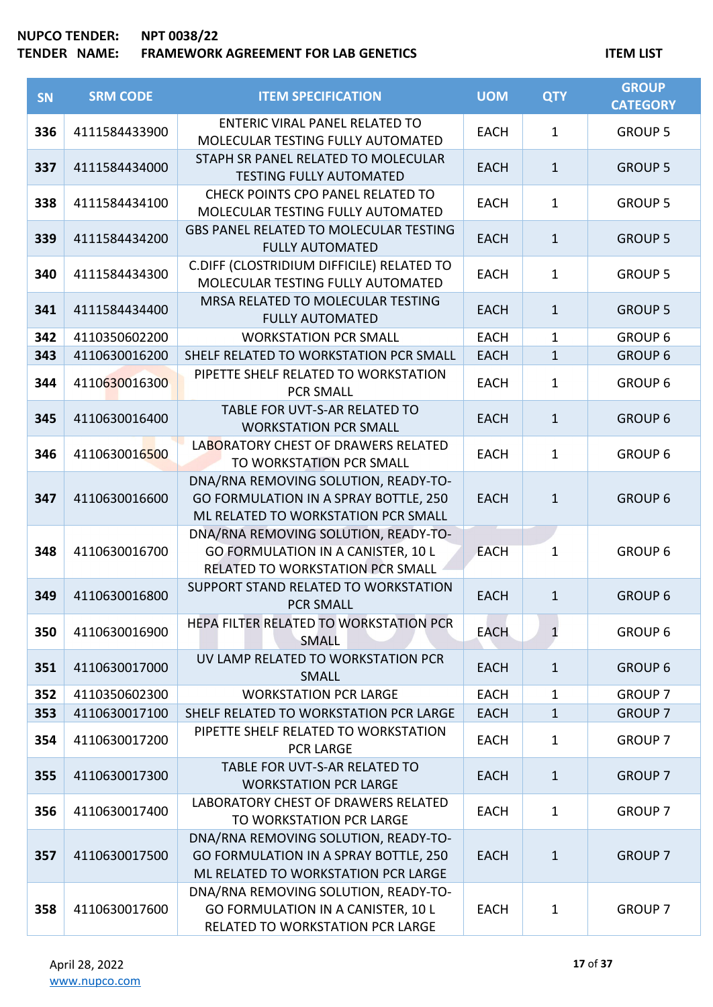| <b>SN</b> | <b>SRM CODE</b> | <b>ITEM SPECIFICATION</b>                                                                                            | <b>UOM</b>  | <b>QTY</b>   | <b>GROUP</b><br><b>CATEGORY</b> |
|-----------|-----------------|----------------------------------------------------------------------------------------------------------------------|-------------|--------------|---------------------------------|
| 336       | 4111584433900   | <b>ENTERIC VIRAL PANEL RELATED TO</b><br>MOLECULAR TESTING FULLY AUTOMATED                                           | <b>EACH</b> | $\mathbf{1}$ | <b>GROUP 5</b>                  |
| 337       | 4111584434000   | STAPH SR PANEL RELATED TO MOLECULAR<br><b>TESTING FULLY AUTOMATED</b>                                                | <b>EACH</b> | $\mathbf{1}$ | <b>GROUP 5</b>                  |
| 338       | 4111584434100   | CHECK POINTS CPO PANEL RELATED TO<br>MOLECULAR TESTING FULLY AUTOMATED                                               | <b>EACH</b> | $\mathbf{1}$ | <b>GROUP 5</b>                  |
| 339       | 4111584434200   | <b>GBS PANEL RELATED TO MOLECULAR TESTING</b><br><b>FULLY AUTOMATED</b>                                              | <b>EACH</b> | $\mathbf{1}$ | <b>GROUP 5</b>                  |
| 340       | 4111584434300   | C.DIFF (CLOSTRIDIUM DIFFICILE) RELATED TO<br>MOLECULAR TESTING FULLY AUTOMATED                                       | <b>EACH</b> | $\mathbf{1}$ | <b>GROUP 5</b>                  |
| 341       | 4111584434400   | MRSA RELATED TO MOLECULAR TESTING<br><b>FULLY AUTOMATED</b>                                                          | <b>EACH</b> | $\mathbf{1}$ | <b>GROUP 5</b>                  |
| 342       | 4110350602200   | <b>WORKSTATION PCR SMALL</b>                                                                                         | <b>EACH</b> | 1            | <b>GROUP 6</b>                  |
| 343       | 4110630016200   | SHELF RELATED TO WORKSTATION PCR SMALL                                                                               | <b>EACH</b> | $\mathbf{1}$ | <b>GROUP 6</b>                  |
| 344       | 4110630016300   | PIPETTE SHELF RELATED TO WORKSTATION<br><b>PCR SMALL</b>                                                             | <b>EACH</b> | $\mathbf{1}$ | <b>GROUP 6</b>                  |
| 345       | 4110630016400   | TABLE FOR UVT-S-AR RELATED TO<br><b>WORKSTATION PCR SMALL</b>                                                        | <b>EACH</b> | $\mathbf{1}$ | <b>GROUP 6</b>                  |
| 346       | 4110630016500   | LABORATORY CHEST OF DRAWERS RELATED<br>TO WORKSTATION PCR SMALL                                                      | <b>EACH</b> | $\mathbf{1}$ | <b>GROUP 6</b>                  |
| 347       | 4110630016600   | DNA/RNA REMOVING SOLUTION, READY-TO-<br>GO FORMULATION IN A SPRAY BOTTLE, 250<br>ML RELATED TO WORKSTATION PCR SMALL | <b>EACH</b> | $\mathbf{1}$ | <b>GROUP 6</b>                  |
| 348       | 4110630016700   | DNA/RNA REMOVING SOLUTION, READY-TO-<br>GO FORMULATION IN A CANISTER, 10 L<br>RELATED TO WORKSTATION PCR SMALL       | <b>EACH</b> | $\mathbf{1}$ | <b>GROUP 6</b>                  |
| 349       | 4110630016800   | SUPPORT STAND RELATED TO WORKSTATION<br><b>PCR SMALL</b>                                                             | <b>EACH</b> | $\mathbf{1}$ | <b>GROUP 6</b>                  |
| 350       | 4110630016900   | HEPA FILTER RELATED TO WORKSTATION PCR<br><b>SMALL</b>                                                               | <b>EACH</b> | $\mathbf{1}$ | <b>GROUP 6</b>                  |
| 351       | 4110630017000   | UV LAMP RELATED TO WORKSTATION PCR<br><b>SMALL</b>                                                                   | <b>EACH</b> | $\mathbf{1}$ | <b>GROUP 6</b>                  |
| 352       | 4110350602300   | <b>WORKSTATION PCR LARGE</b>                                                                                         | <b>EACH</b> | $\mathbf{1}$ | <b>GROUP 7</b>                  |
| 353       | 4110630017100   | SHELF RELATED TO WORKSTATION PCR LARGE                                                                               | <b>EACH</b> | $\mathbf{1}$ | <b>GROUP 7</b>                  |
| 354       | 4110630017200   | PIPETTE SHELF RELATED TO WORKSTATION<br><b>PCR LARGE</b>                                                             | <b>EACH</b> | $\mathbf{1}$ | <b>GROUP 7</b>                  |
| 355       | 4110630017300   | TABLE FOR UVT-S-AR RELATED TO<br><b>WORKSTATION PCR LARGE</b>                                                        | <b>EACH</b> | $\mathbf{1}$ | <b>GROUP 7</b>                  |
| 356       | 4110630017400   | LABORATORY CHEST OF DRAWERS RELATED<br>TO WORKSTATION PCR LARGE                                                      | <b>EACH</b> | $\mathbf{1}$ | <b>GROUP 7</b>                  |
| 357       | 4110630017500   | DNA/RNA REMOVING SOLUTION, READY-TO-<br>GO FORMULATION IN A SPRAY BOTTLE, 250<br>ML RELATED TO WORKSTATION PCR LARGE | <b>EACH</b> | $\mathbf{1}$ | <b>GROUP 7</b>                  |
| 358       | 4110630017600   | DNA/RNA REMOVING SOLUTION, READY-TO-<br>GO FORMULATION IN A CANISTER, 10 L<br>RELATED TO WORKSTATION PCR LARGE       | <b>EACH</b> | $\mathbf{1}$ | <b>GROUP 7</b>                  |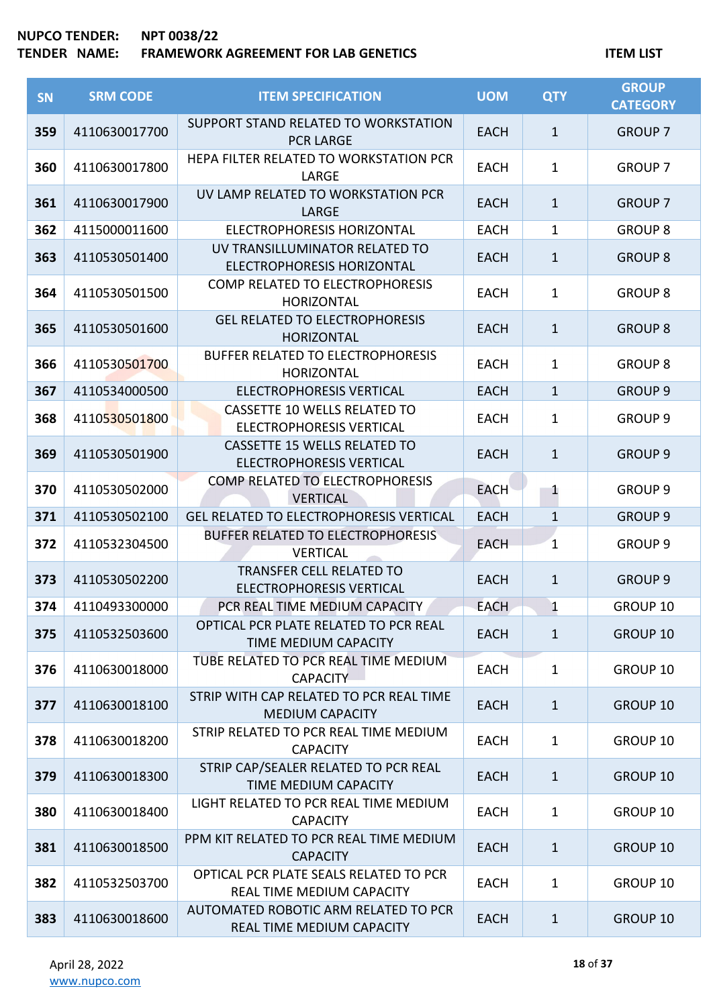| <b>SN</b> | <b>SRM CODE</b> | <b>ITEM SPECIFICATION</b>                                              | <b>UOM</b>  | <b>QTY</b>   | <b>GROUP</b><br><b>CATEGORY</b> |
|-----------|-----------------|------------------------------------------------------------------------|-------------|--------------|---------------------------------|
| 359       | 4110630017700   | SUPPORT STAND RELATED TO WORKSTATION<br><b>PCR LARGE</b>               | <b>EACH</b> | $\mathbf{1}$ | <b>GROUP 7</b>                  |
| 360       | 4110630017800   | HEPA FILTER RELATED TO WORKSTATION PCR<br>LARGE                        | <b>EACH</b> | 1            | <b>GROUP 7</b>                  |
| 361       | 4110630017900   | UV LAMP RELATED TO WORKSTATION PCR<br>LARGE                            | <b>EACH</b> | $\mathbf{1}$ | <b>GROUP 7</b>                  |
| 362       | 4115000011600   | <b>ELECTROPHORESIS HORIZONTAL</b>                                      | <b>EACH</b> | 1            | <b>GROUP 8</b>                  |
| 363       | 4110530501400   | UV TRANSILLUMINATOR RELATED TO<br><b>ELECTROPHORESIS HORIZONTAL</b>    | <b>EACH</b> | $\mathbf{1}$ | <b>GROUP 8</b>                  |
| 364       | 4110530501500   | COMP RELATED TO ELECTROPHORESIS<br><b>HORIZONTAL</b>                   | <b>EACH</b> | 1            | <b>GROUP 8</b>                  |
| 365       | 4110530501600   | <b>GEL RELATED TO ELECTROPHORESIS</b><br><b>HORIZONTAL</b>             | <b>EACH</b> | $\mathbf{1}$ | <b>GROUP 8</b>                  |
| 366       | 4110530501700   | <b>BUFFER RELATED TO ELECTROPHORESIS</b><br><b>HORIZONTAL</b>          | <b>EACH</b> | 1            | <b>GROUP 8</b>                  |
| 367       | 4110534000500   | <b>ELECTROPHORESIS VERTICAL</b>                                        | <b>EACH</b> | $\mathbf{1}$ | <b>GROUP 9</b>                  |
| 368       | 4110530501800   | <b>CASSETTE 10 WELLS RELATED TO</b><br><b>ELECTROPHORESIS VERTICAL</b> | <b>EACH</b> | $\mathbf 1$  | <b>GROUP 9</b>                  |
| 369       | 4110530501900   | <b>CASSETTE 15 WELLS RELATED TO</b><br><b>ELECTROPHORESIS VERTICAL</b> | <b>EACH</b> | $\mathbf{1}$ | <b>GROUP 9</b>                  |
| 370       | 4110530502000   | COMP RELATED TO ELECTROPHORESIS<br><b>VERTICAL</b>                     | <b>EACH</b> | 1            | <b>GROUP 9</b>                  |
| 371       | 4110530502100   | <b>GEL RELATED TO ELECTROPHORESIS VERTICAL</b>                         | <b>EACH</b> | $\mathbf{1}$ | <b>GROUP 9</b>                  |
| 372       | 4110532304500   | BUFFER RELATED TO ELECTROPHORESIS<br><b>VERTICAL</b>                   | <b>EACH</b> | $\mathbf{1}$ | <b>GROUP 9</b>                  |
| 373       | 4110530502200   | <b>TRANSFER CELL RELATED TO</b><br><b>ELECTROPHORESIS VERTICAL</b>     | <b>EACH</b> | $\mathbf{1}$ | <b>GROUP 9</b>                  |
| 374       | 4110493300000   | PCR REAL TIME MEDIUM CAPACITY                                          | <b>EACH</b> | 1            | GROUP 10                        |
| 375       | 4110532503600   | OPTICAL PCR PLATE RELATED TO PCR REAL<br>TIME MEDIUM CAPACITY          | <b>EACH</b> | $\mathbf{1}$ | <b>GROUP 10</b>                 |
| 376       | 4110630018000   | TUBE RELATED TO PCR REAL TIME MEDIUM<br><b>CAPACITY</b>                | <b>EACH</b> | $\mathbf{1}$ | GROUP 10                        |
| 377       | 4110630018100   | STRIP WITH CAP RELATED TO PCR REAL TIME<br><b>MEDIUM CAPACITY</b>      | <b>EACH</b> | $\mathbf{1}$ | <b>GROUP 10</b>                 |
| 378       | 4110630018200   | STRIP RELATED TO PCR REAL TIME MEDIUM<br><b>CAPACITY</b>               | <b>EACH</b> | $\mathbf{1}$ | GROUP 10                        |
| 379       | 4110630018300   | STRIP CAP/SEALER RELATED TO PCR REAL<br>TIME MEDIUM CAPACITY           | <b>EACH</b> | $\mathbf{1}$ | <b>GROUP 10</b>                 |
| 380       | 4110630018400   | LIGHT RELATED TO PCR REAL TIME MEDIUM<br><b>CAPACITY</b>               | <b>EACH</b> | $\mathbf{1}$ | GROUP 10                        |
| 381       | 4110630018500   | PPM KIT RELATED TO PCR REAL TIME MEDIUM<br><b>CAPACITY</b>             | <b>EACH</b> | $\mathbf{1}$ | <b>GROUP 10</b>                 |
| 382       | 4110532503700   | OPTICAL PCR PLATE SEALS RELATED TO PCR<br>REAL TIME MEDIUM CAPACITY    | <b>EACH</b> | $\mathbf{1}$ | GROUP 10                        |
| 383       | 4110630018600   | AUTOMATED ROBOTIC ARM RELATED TO PCR<br>REAL TIME MEDIUM CAPACITY      | <b>EACH</b> | $\mathbf{1}$ | <b>GROUP 10</b>                 |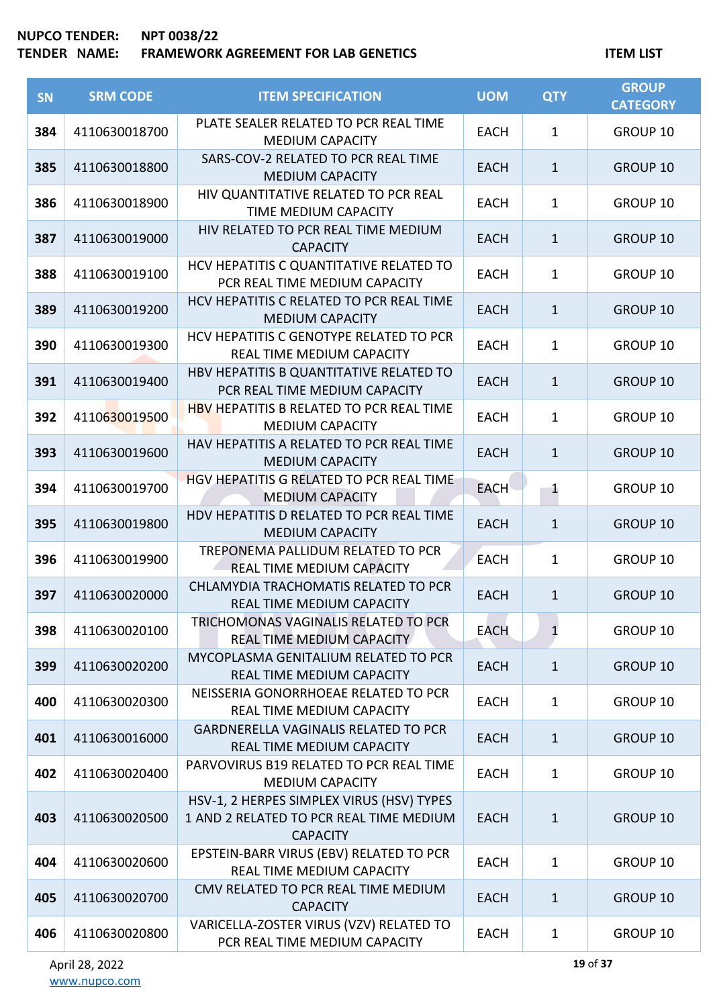## **TENDER NAME: FRAMEWORK AGREEMENT FOR LAB GENETICS ITEM LIST**

| SN  | <b>SRM CODE</b> | <b>ITEM SPECIFICATION</b>                                                                               | <b>UOM</b>  | <b>QTY</b>   | <b>GROUP</b><br><b>CATEGORY</b> |
|-----|-----------------|---------------------------------------------------------------------------------------------------------|-------------|--------------|---------------------------------|
| 384 | 4110630018700   | PLATE SEALER RELATED TO PCR REAL TIME<br><b>MEDIUM CAPACITY</b>                                         | <b>EACH</b> | $\mathbf{1}$ | GROUP 10                        |
| 385 | 4110630018800   | SARS-COV-2 RELATED TO PCR REAL TIME<br><b>MEDIUM CAPACITY</b>                                           | <b>EACH</b> | $\mathbf{1}$ | <b>GROUP 10</b>                 |
| 386 | 4110630018900   | HIV QUANTITATIVE RELATED TO PCR REAL<br>TIME MEDIUM CAPACITY                                            | <b>EACH</b> | $\mathbf{1}$ | GROUP 10                        |
| 387 | 4110630019000   | HIV RELATED TO PCR REAL TIME MEDIUM<br><b>CAPACITY</b>                                                  | <b>EACH</b> | $\mathbf{1}$ | GROUP 10                        |
| 388 | 4110630019100   | HCV HEPATITIS C QUANTITATIVE RELATED TO<br>PCR REAL TIME MEDIUM CAPACITY                                | <b>EACH</b> | $\mathbf{1}$ | GROUP 10                        |
| 389 | 4110630019200   | HCV HEPATITIS C RELATED TO PCR REAL TIME<br><b>MEDIUM CAPACITY</b>                                      | <b>EACH</b> | $\mathbf{1}$ | GROUP 10                        |
| 390 | 4110630019300   | HCV HEPATITIS C GENOTYPE RELATED TO PCR<br>REAL TIME MEDIUM CAPACITY                                    | <b>EACH</b> | $\mathbf{1}$ | GROUP 10                        |
| 391 | 4110630019400   | HBV HEPATITIS B QUANTITATIVE RELATED TO<br>PCR REAL TIME MEDIUM CAPACITY                                | <b>EACH</b> | $\mathbf{1}$ | GROUP 10                        |
| 392 | 4110630019500   | <b>HBV HEPATITIS B RELATED TO PCR REAL TIME</b><br><b>MEDIUM CAPACITY</b>                               | <b>EACH</b> | $\mathbf{1}$ | GROUP 10                        |
| 393 | 4110630019600   | HAV HEPATITIS A RELATED TO PCR REAL TIME<br><b>MEDIUM CAPACITY</b>                                      | <b>EACH</b> | $\mathbf{1}$ | GROUP 10                        |
| 394 | 4110630019700   | HGV HEPATITIS G RELATED TO PCR REAL TIME<br><b>MEDIUM CAPACITY</b>                                      | <b>EACH</b> | 1            | GROUP 10                        |
| 395 | 4110630019800   | HDV HEPATITIS D RELATED TO PCR REAL TIME<br><b>MEDIUM CAPACITY</b>                                      | <b>EACH</b> | $\mathbf{1}$ | GROUP 10                        |
| 396 | 4110630019900   | TREPONEMA PALLIDUM RELATED TO PCR<br>REAL TIME MEDIUM CAPACITY                                          | <b>EACH</b> | 1            | GROUP 10                        |
| 397 | 4110630020000   | CHLAMYDIA TRACHOMATIS RELATED TO PCR<br>REAL TIME MEDIUM CAPACITY                                       | <b>EACH</b> | $\mathbf{1}$ | <b>GROUP 10</b>                 |
| 398 | 4110630020100   | TRICHOMONAS VAGINALIS RELATED TO PCR<br>REAL TIME MEDIUM CAPACITY                                       | <b>EACH</b> | $\mathbf{1}$ | GROUP 10                        |
| 399 | 4110630020200   | MYCOPLASMA GENITALIUM RELATED TO PCR<br>REAL TIME MEDIUM CAPACITY                                       | <b>EACH</b> | $\mathbf{1}$ | <b>GROUP 10</b>                 |
| 400 | 4110630020300   | NEISSERIA GONORRHOEAE RELATED TO PCR<br>REAL TIME MEDIUM CAPACITY                                       | <b>EACH</b> | 1            | GROUP 10                        |
| 401 | 4110630016000   | <b>GARDNERELLA VAGINALIS RELATED TO PCR</b><br>REAL TIME MEDIUM CAPACITY                                | <b>EACH</b> | $\mathbf{1}$ | <b>GROUP 10</b>                 |
| 402 | 4110630020400   | PARVOVIRUS B19 RELATED TO PCR REAL TIME<br><b>MEDIUM CAPACITY</b>                                       | <b>EACH</b> | $\mathbf{1}$ | GROUP 10                        |
| 403 | 4110630020500   | HSV-1, 2 HERPES SIMPLEX VIRUS (HSV) TYPES<br>1 AND 2 RELATED TO PCR REAL TIME MEDIUM<br><b>CAPACITY</b> | <b>EACH</b> | $\mathbf{1}$ | GROUP 10                        |
| 404 | 4110630020600   | EPSTEIN-BARR VIRUS (EBV) RELATED TO PCR<br>REAL TIME MEDIUM CAPACITY                                    | <b>EACH</b> | $\mathbf{1}$ | GROUP 10                        |
| 405 | 4110630020700   | CMV RELATED TO PCR REAL TIME MEDIUM<br><b>CAPACITY</b>                                                  | <b>EACH</b> | $\mathbf{1}$ | <b>GROUP 10</b>                 |
| 406 | 4110630020800   | VARICELLA-ZOSTER VIRUS (VZV) RELATED TO<br>PCR REAL TIME MEDIUM CAPACITY                                | <b>EACH</b> | $\mathbf{1}$ | GROUP 10                        |

**19** of **37**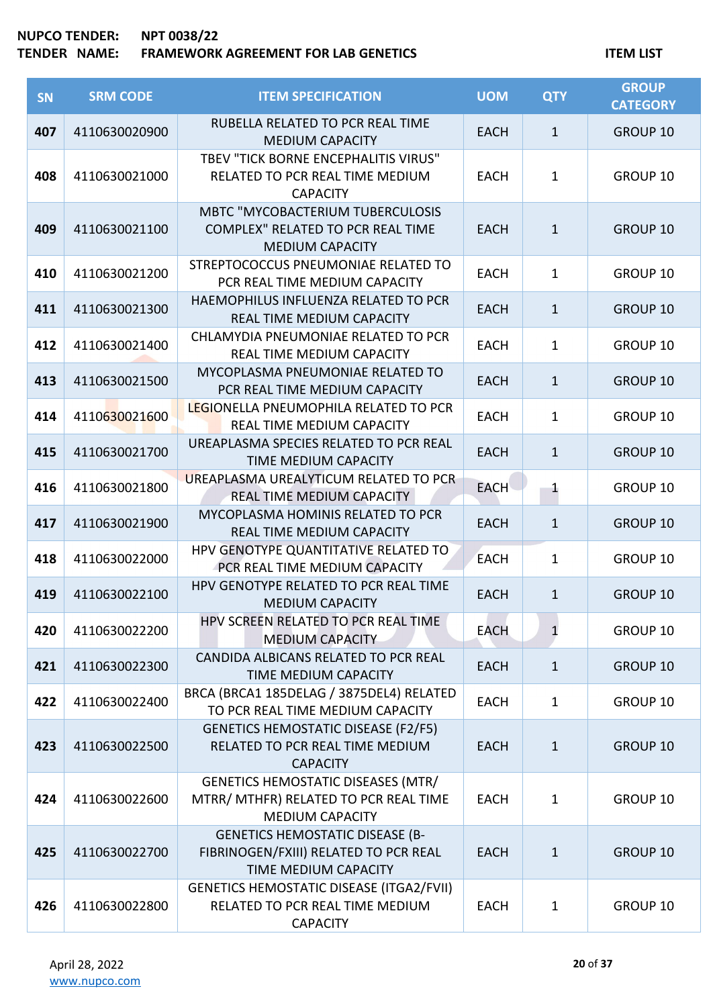| <b>SN</b> | <b>SRM CODE</b> | <b>ITEM SPECIFICATION</b>                                                                                    | <b>UOM</b>  | <b>QTY</b>   | <b>GROUP</b><br><b>CATEGORY</b> |
|-----------|-----------------|--------------------------------------------------------------------------------------------------------------|-------------|--------------|---------------------------------|
| 407       | 4110630020900   | RUBELLA RELATED TO PCR REAL TIME<br><b>MEDIUM CAPACITY</b>                                                   | <b>EACH</b> | $\mathbf{1}$ | <b>GROUP 10</b>                 |
| 408       | 4110630021000   | TBEV "TICK BORNE ENCEPHALITIS VIRUS"<br>RELATED TO PCR REAL TIME MEDIUM<br><b>CAPACITY</b>                   | <b>EACH</b> | $\mathbf{1}$ | GROUP 10                        |
| 409       | 4110630021100   | <b>MBTC "MYCOBACTERIUM TUBERCULOSIS</b><br>COMPLEX" RELATED TO PCR REAL TIME<br><b>MEDIUM CAPACITY</b>       | <b>EACH</b> | $\mathbf{1}$ | <b>GROUP 10</b>                 |
| 410       | 4110630021200   | STREPTOCOCCUS PNEUMONIAE RELATED TO<br>PCR REAL TIME MEDIUM CAPACITY                                         | <b>EACH</b> | $\mathbf{1}$ | GROUP 10                        |
| 411       | 4110630021300   | HAEMOPHILUS INFLUENZA RELATED TO PCR<br>REAL TIME MEDIUM CAPACITY                                            | <b>EACH</b> | $\mathbf{1}$ | <b>GROUP 10</b>                 |
| 412       | 4110630021400   | CHLAMYDIA PNEUMONIAE RELATED TO PCR<br><b>REAL TIME MEDIUM CAPACITY</b>                                      | <b>EACH</b> | $\mathbf{1}$ | GROUP 10                        |
| 413       | 4110630021500   | MYCOPLASMA PNEUMONIAE RELATED TO<br>PCR REAL TIME MEDIUM CAPACITY                                            | <b>EACH</b> | $\mathbf{1}$ | <b>GROUP 10</b>                 |
| 414       | 4110630021600   | LEGIONELLA PNEUMOPHILA RELATED TO PCR<br>REAL TIME MEDIUM CAPACITY                                           | <b>EACH</b> | $\mathbf{1}$ | GROUP 10                        |
| 415       | 4110630021700   | UREAPLASMA SPECIES RELATED TO PCR REAL<br><b>TIME MEDIUM CAPACITY</b>                                        | <b>EACH</b> | $\mathbf{1}$ | <b>GROUP 10</b>                 |
| 416       | 4110630021800   | UREAPLASMA UREALYTICUM RELATED TO PCR<br>REAL TIME MEDIUM CAPACITY                                           | <b>EACH</b> | $\mathbf{1}$ | GROUP 10                        |
| 417       | 4110630021900   | MYCOPLASMA HOMINIS RELATED TO PCR<br>REAL TIME MEDIUM CAPACITY                                               | <b>EACH</b> | $\mathbf{1}$ | <b>GROUP 10</b>                 |
| 418       | 4110630022000   | HPV GENOTYPE QUANTITATIVE RELATED TO<br><b>PCR REAL TIME MEDIUM CAPACITY</b>                                 | <b>EACH</b> | $\mathbf{1}$ | GROUP 10                        |
| 419       | 4110630022100   | HPV GENOTYPE RELATED TO PCR REAL TIME<br><b>MEDIUM CAPACITY</b>                                              | <b>EACH</b> | $1\,$        | GROUP 10                        |
| 420       | 4110630022200   | HPV SCREEN RELATED TO PCR REAL TIME<br><b>MEDIUM CAPACITY</b>                                                | <b>EACH</b> | $\mathbf{1}$ | GROUP 10                        |
| 421       | 4110630022300   | CANDIDA ALBICANS RELATED TO PCR REAL<br>TIME MEDIUM CAPACITY                                                 | <b>EACH</b> | $\mathbf{1}$ | GROUP 10                        |
| 422       | 4110630022400   | BRCA (BRCA1 185DELAG / 3875DEL4) RELATED<br>TO PCR REAL TIME MEDIUM CAPACITY                                 | <b>EACH</b> | $\mathbf{1}$ | GROUP 10                        |
| 423       | 4110630022500   | <b>GENETICS HEMOSTATIC DISEASE (F2/F5)</b><br>RELATED TO PCR REAL TIME MEDIUM<br><b>CAPACITY</b>             | <b>EACH</b> | $\mathbf{1}$ | <b>GROUP 10</b>                 |
| 424       | 4110630022600   | <b>GENETICS HEMOSTATIC DISEASES (MTR/</b><br>MTRR/ MTHFR) RELATED TO PCR REAL TIME<br><b>MEDIUM CAPACITY</b> | <b>EACH</b> | $\mathbf{1}$ | GROUP 10                        |
| 425       | 4110630022700   | <b>GENETICS HEMOSTATIC DISEASE (B-</b><br>FIBRINOGEN/FXIII) RELATED TO PCR REAL<br>TIME MEDIUM CAPACITY      | <b>EACH</b> | $\mathbf{1}$ | GROUP 10                        |
| 426       | 4110630022800   | <b>GENETICS HEMOSTATIC DISEASE (ITGA2/FVII)</b><br>RELATED TO PCR REAL TIME MEDIUM<br><b>CAPACITY</b>        | <b>EACH</b> | $\mathbf{1}$ | GROUP 10                        |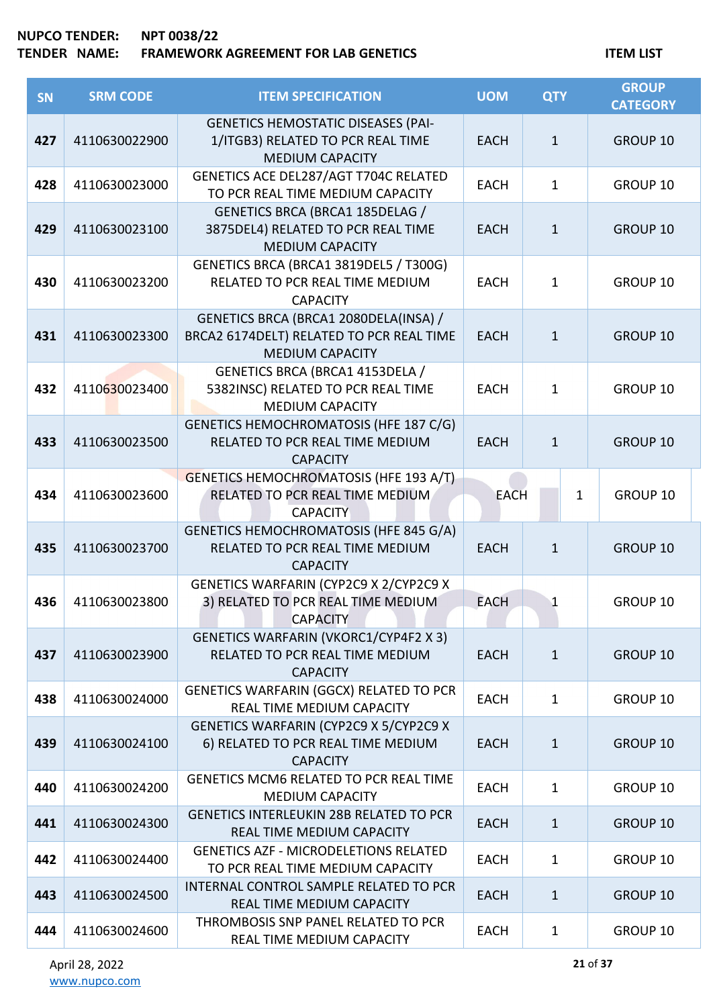| <b>SN</b> | <b>SRM CODE</b> | <b>ITEM SPECIFICATION</b>                                                                                   | <b>UOM</b>  | <b>QTY</b>   | <b>GROUP</b><br><b>CATEGORY</b> |
|-----------|-----------------|-------------------------------------------------------------------------------------------------------------|-------------|--------------|---------------------------------|
| 427       | 4110630022900   | <b>GENETICS HEMOSTATIC DISEASES (PAI-</b><br>1/ITGB3) RELATED TO PCR REAL TIME<br><b>MEDIUM CAPACITY</b>    | <b>EACH</b> | $\mathbf{1}$ | GROUP 10                        |
| 428       | 4110630023000   | GENETICS ACE DEL287/AGT T704C RELATED<br>TO PCR REAL TIME MEDIUM CAPACITY                                   | <b>EACH</b> | $\mathbf{1}$ | GROUP 10                        |
| 429       | 4110630023100   | <b>GENETICS BRCA (BRCA1 185DELAG /</b><br>3875DEL4) RELATED TO PCR REAL TIME<br><b>MEDIUM CAPACITY</b>      | <b>EACH</b> | $\mathbf{1}$ | GROUP 10                        |
| 430       | 4110630023200   | GENETICS BRCA (BRCA1 3819DEL5 / T300G)<br>RELATED TO PCR REAL TIME MEDIUM<br><b>CAPACITY</b>                | <b>EACH</b> | $\mathbf 1$  | GROUP 10                        |
| 431       | 4110630023300   | GENETICS BRCA (BRCA1 2080DELA(INSA) /<br>BRCA2 6174DELT) RELATED TO PCR REAL TIME<br><b>MEDIUM CAPACITY</b> | <b>EACH</b> | $\mathbf{1}$ | GROUP 10                        |
| 432       | 4110630023400   | GENETICS BRCA (BRCA1 4153DELA /<br>5382INSC) RELATED TO PCR REAL TIME<br><b>MEDIUM CAPACITY</b>             | <b>EACH</b> | $\mathbf{1}$ | GROUP 10                        |
| 433       | 4110630023500   | GENETICS HEMOCHROMATOSIS (HFE 187 C/G)<br>RELATED TO PCR REAL TIME MEDIUM<br><b>CAPACITY</b>                | <b>EACH</b> | $\mathbf{1}$ | GROUP 10                        |
| 434       | 4110630023600   | GENETICS HEMOCHROMATOSIS (HFE 193 A/T)<br>RELATED TO PCR REAL TIME MEDIUM<br><b>CAPACITY</b>                | <b>EACH</b> | 1            | GROUP 10                        |
| 435       | 4110630023700   | GENETICS HEMOCHROMATOSIS (HFE 845 G/A)<br>RELATED TO PCR REAL TIME MEDIUM<br><b>CAPACITY</b>                | <b>EACH</b> | $\mathbf{1}$ | <b>GROUP 10</b>                 |
| 436       | 4110630023800   | GENETICS WARFARIN (CYP2C9 X 2/CYP2C9 X<br>3) RELATED TO PCR REAL TIME MEDIUM<br><b>CAPACITY</b>             | <b>EACH</b> | $\mathbf{1}$ | GROUP 10                        |
| 437       | 4110630023900   | <b>GENETICS WARFARIN (VKORC1/CYP4F2 X 3)</b><br>RELATED TO PCR REAL TIME MEDIUM<br><b>CAPACITY</b>          | <b>EACH</b> | $\mathbf{1}$ | GROUP 10                        |
| 438       | 4110630024000   | GENETICS WARFARIN (GGCX) RELATED TO PCR<br>REAL TIME MEDIUM CAPACITY                                        | <b>EACH</b> | $\mathbf{1}$ | GROUP 10                        |
| 439       | 4110630024100   | GENETICS WARFARIN (CYP2C9 X 5/CYP2C9 X<br>6) RELATED TO PCR REAL TIME MEDIUM<br><b>CAPACITY</b>             | <b>EACH</b> | $\mathbf{1}$ | GROUP 10                        |
| 440       | 4110630024200   | <b>GENETICS MCM6 RELATED TO PCR REAL TIME</b><br><b>MEDIUM CAPACITY</b>                                     | <b>EACH</b> | $\mathbf{1}$ | GROUP 10                        |
| 441       | 4110630024300   | <b>GENETICS INTERLEUKIN 28B RELATED TO PCR</b><br>REAL TIME MEDIUM CAPACITY                                 | <b>EACH</b> | $\mathbf{1}$ | <b>GROUP 10</b>                 |
| 442       | 4110630024400   | <b>GENETICS AZF - MICRODELETIONS RELATED</b><br>TO PCR REAL TIME MEDIUM CAPACITY                            | <b>EACH</b> | 1            | GROUP 10                        |
| 443       | 4110630024500   | INTERNAL CONTROL SAMPLE RELATED TO PCR<br>REAL TIME MEDIUM CAPACITY                                         | <b>EACH</b> | $\mathbf{1}$ | <b>GROUP 10</b>                 |
| 444       | 4110630024600   | THROMBOSIS SNP PANEL RELATED TO PCR<br>REAL TIME MEDIUM CAPACITY                                            | <b>EACH</b> | $\mathbf{1}$ | GROUP 10                        |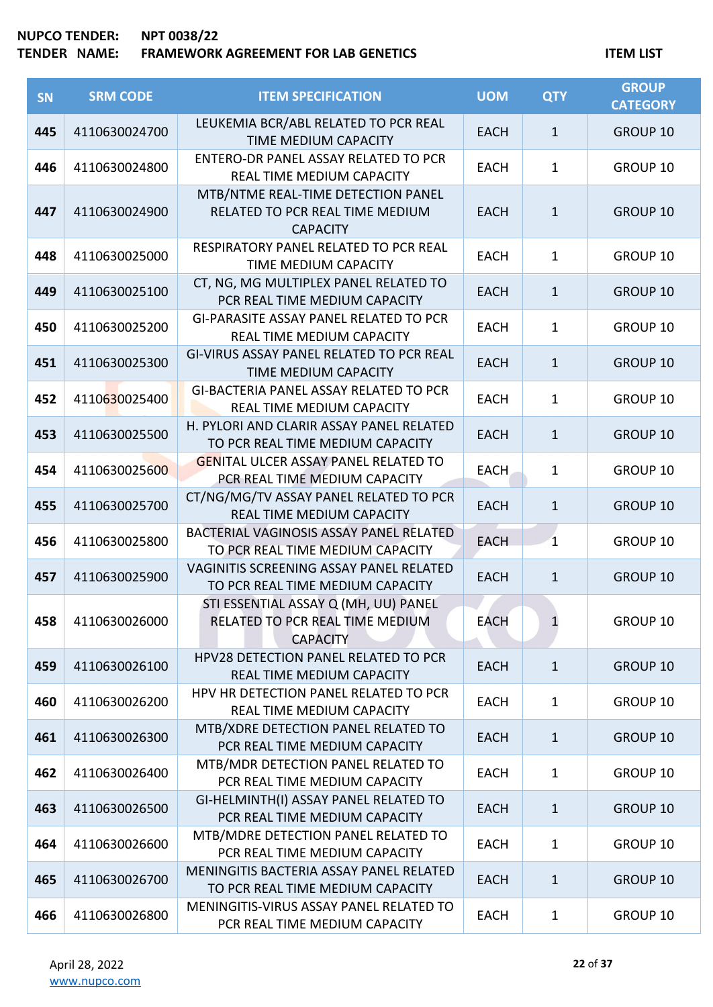| SN  | <b>SRM CODE</b> | <b>ITEM SPECIFICATION</b>                                                                  | <b>UOM</b>  | <b>QTY</b>   | <b>GROUP</b><br><b>CATEGORY</b> |
|-----|-----------------|--------------------------------------------------------------------------------------------|-------------|--------------|---------------------------------|
| 445 | 4110630024700   | LEUKEMIA BCR/ABL RELATED TO PCR REAL<br>TIME MEDIUM CAPACITY                               | <b>EACH</b> | $\mathbf{1}$ | GROUP 10                        |
| 446 | 4110630024800   | ENTERO-DR PANEL ASSAY RELATED TO PCR<br>REAL TIME MEDIUM CAPACITY                          | <b>EACH</b> | $\mathbf{1}$ | GROUP 10                        |
| 447 | 4110630024900   | MTB/NTME REAL-TIME DETECTION PANEL<br>RELATED TO PCR REAL TIME MEDIUM<br><b>CAPACITY</b>   | <b>EACH</b> | $\mathbf{1}$ | <b>GROUP 10</b>                 |
| 448 | 4110630025000   | RESPIRATORY PANEL RELATED TO PCR REAL<br>TIME MEDIUM CAPACITY                              | <b>EACH</b> | $\mathbf{1}$ | GROUP 10                        |
| 449 | 4110630025100   | CT, NG, MG MULTIPLEX PANEL RELATED TO<br>PCR REAL TIME MEDIUM CAPACITY                     | <b>EACH</b> | $\mathbf{1}$ | GROUP 10                        |
| 450 | 4110630025200   | <b>GI-PARASITE ASSAY PANEL RELATED TO PCR</b><br>REAL TIME MEDIUM CAPACITY                 | <b>EACH</b> | 1            | GROUP 10                        |
| 451 | 4110630025300   | GI-VIRUS ASSAY PANEL RELATED TO PCR REAL<br>TIME MEDIUM CAPACITY                           | <b>EACH</b> | $\mathbf{1}$ | GROUP 10                        |
| 452 | 4110630025400   | GI-BACTERIA PANEL ASSAY RELATED TO PCR<br>REAL TIME MEDIUM CAPACITY                        | <b>EACH</b> | $\mathbf{1}$ | GROUP 10                        |
| 453 | 4110630025500   | H. PYLORI AND CLARIR ASSAY PANEL RELATED<br>TO PCR REAL TIME MEDIUM CAPACITY               | <b>EACH</b> | $\mathbf{1}$ | GROUP 10                        |
| 454 | 4110630025600   | <b>GENITAL ULCER ASSAY PANEL RELATED TO</b><br>PCR REAL TIME MEDIUM CAPACITY               | <b>EACH</b> | 1            | GROUP 10                        |
| 455 | 4110630025700   | CT/NG/MG/TV ASSAY PANEL RELATED TO PCR<br>REAL TIME MEDIUM CAPACITY                        | <b>EACH</b> | $\mathbf{1}$ | GROUP 10                        |
| 456 | 4110630025800   | BACTERIAL VAGINOSIS ASSAY PANEL RELATED<br>TO PCR REAL TIME MEDIUM CAPACITY                | <b>EACH</b> | $\mathbf{1}$ | GROUP 10                        |
| 457 | 4110630025900   | VAGINITIS SCREENING ASSAY PANEL RELATED<br>TO PCR REAL TIME MEDIUM CAPACITY                | <b>EACH</b> | $\mathbf{1}$ | GROUP 10                        |
| 458 | 4110630026000   | STI ESSENTIAL ASSAY Q (MH, UU) PANEL<br>RELATED TO PCR REAL TIME MEDIUM<br><b>CAPACITY</b> | <b>EACH</b> | 1            | GROUP 10                        |
| 459 | 4110630026100   | <b>HPV28 DETECTION PANEL RELATED TO PCR</b><br>REAL TIME MEDIUM CAPACITY                   | <b>EACH</b> | $\mathbf{1}$ | GROUP 10                        |
| 460 | 4110630026200   | HPV HR DETECTION PANEL RELATED TO PCR<br>REAL TIME MEDIUM CAPACITY                         | <b>EACH</b> | 1            | GROUP 10                        |
| 461 | 4110630026300   | MTB/XDRE DETECTION PANEL RELATED TO<br>PCR REAL TIME MEDIUM CAPACITY                       | <b>EACH</b> | $\mathbf{1}$ | <b>GROUP 10</b>                 |
| 462 | 4110630026400   | MTB/MDR DETECTION PANEL RELATED TO<br>PCR REAL TIME MEDIUM CAPACITY                        | <b>EACH</b> | 1            | GROUP 10                        |
| 463 | 4110630026500   | GI-HELMINTH(I) ASSAY PANEL RELATED TO<br>PCR REAL TIME MEDIUM CAPACITY                     | <b>EACH</b> | $\mathbf{1}$ | <b>GROUP 10</b>                 |
| 464 | 4110630026600   | MTB/MDRE DETECTION PANEL RELATED TO<br>PCR REAL TIME MEDIUM CAPACITY                       | <b>EACH</b> | 1            | GROUP 10                        |
| 465 | 4110630026700   | MENINGITIS BACTERIA ASSAY PANEL RELATED<br>TO PCR REAL TIME MEDIUM CAPACITY                | <b>EACH</b> | $\mathbf{1}$ | <b>GROUP 10</b>                 |
| 466 | 4110630026800   | MENINGITIS-VIRUS ASSAY PANEL RELATED TO<br>PCR REAL TIME MEDIUM CAPACITY                   | <b>EACH</b> | 1            | GROUP 10                        |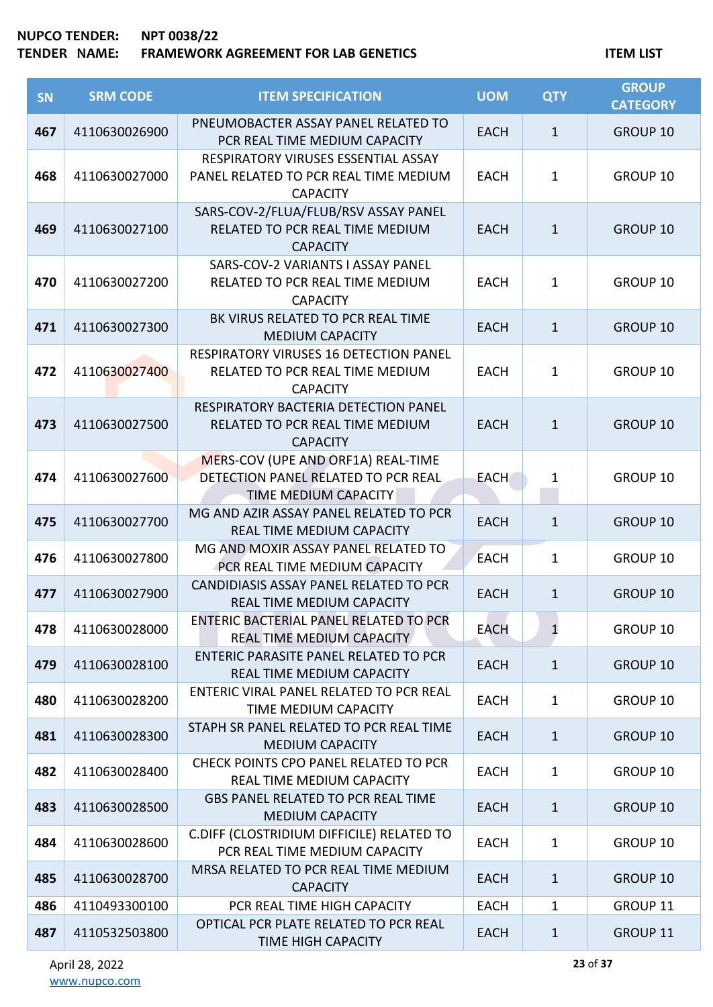| <b>SN</b> | <b>SRM CODE</b> | <b>ITEM SPECIFICATION</b>                                                                         | <b>UOM</b>  | <b>QTY</b>   | <b>GROUP</b><br><b>CATEGORY</b> |
|-----------|-----------------|---------------------------------------------------------------------------------------------------|-------------|--------------|---------------------------------|
| 467       | 4110630026900   | PNEUMOBACTER ASSAY PANEL RELATED TO<br>PCR REAL TIME MEDIUM CAPACITY                              | <b>EACH</b> | $\mathbf{1}$ | <b>GROUP 10</b>                 |
| 468       | 4110630027000   | RESPIRATORY VIRUSES ESSENTIAL ASSAY<br>PANEL RELATED TO PCR REAL TIME MEDIUM<br><b>CAPACITY</b>   | <b>EACH</b> | $\mathbf{1}$ | GROUP 10                        |
| 469       | 4110630027100   | SARS-COV-2/FLUA/FLUB/RSV ASSAY PANEL<br>RELATED TO PCR REAL TIME MEDIUM<br><b>CAPACITY</b>        | <b>EACH</b> | $\mathbf{1}$ | GROUP 10                        |
| 470       | 4110630027200   | SARS-COV-2 VARIANTS I ASSAY PANEL<br>RELATED TO PCR REAL TIME MEDIUM<br><b>CAPACITY</b>           | <b>EACH</b> | 1            | GROUP 10                        |
| 471       | 4110630027300   | BK VIRUS RELATED TO PCR REAL TIME<br><b>MEDIUM CAPACITY</b>                                       | <b>EACH</b> | $\mathbf{1}$ | <b>GROUP 10</b>                 |
| 472       | 4110630027400   | RESPIRATORY VIRUSES 16 DETECTION PANEL<br>RELATED TO PCR REAL TIME MEDIUM<br><b>CAPACITY</b>      | <b>EACH</b> | $\mathbf 1$  | GROUP 10                        |
| 473       | 4110630027500   | RESPIRATORY BACTERIA DETECTION PANEL<br>RELATED TO PCR REAL TIME MEDIUM<br><b>CAPACITY</b>        | <b>EACH</b> | $\mathbf{1}$ | <b>GROUP 10</b>                 |
| 474       | 4110630027600   | MERS-COV (UPE AND ORF1A) REAL-TIME<br>DETECTION PANEL RELATED TO PCR REAL<br>TIME MEDIUM CAPACITY | <b>EACH</b> | 1            | GROUP 10                        |
| 475       | 4110630027700   | MG AND AZIR ASSAY PANEL RELATED TO PCR<br>REAL TIME MEDIUM CAPACITY                               | <b>EACH</b> | $\mathbf{1}$ | <b>GROUP 10</b>                 |
| 476       | 4110630027800   | MG AND MOXIR ASSAY PANEL RELATED TO<br>PCR REAL TIME MEDIUM CAPACITY                              | <b>EACH</b> | $\mathbf{1}$ | GROUP 10                        |
| 477       | 4110630027900   | CANDIDIASIS ASSAY PANEL RELATED TO PCR<br><b>REAL TIME MEDIUM CAPACITY</b>                        | <b>EACH</b> | $\mathbf{1}$ | <b>GROUP 10</b>                 |
| 478       | 4110630028000   | ENTERIC BACTERIAL PANEL RELATED TO PCR<br>REAL TIME MEDIUM CAPACITY                               | <b>EACH</b> | $\mathbf{1}$ | GROUP 10                        |
| 479       | 4110630028100   | <b>ENTERIC PARASITE PANEL RELATED TO PCR</b><br>REAL TIME MEDIUM CAPACITY                         | <b>EACH</b> | $\mathbf{1}$ | <b>GROUP 10</b>                 |
| 480       | 4110630028200   | ENTERIC VIRAL PANEL RELATED TO PCR REAL<br>TIME MEDIUM CAPACITY                                   | <b>EACH</b> | 1            | GROUP 10                        |
| 481       | 4110630028300   | STAPH SR PANEL RELATED TO PCR REAL TIME<br><b>MEDIUM CAPACITY</b>                                 | <b>EACH</b> | $\mathbf{1}$ | <b>GROUP 10</b>                 |
| 482       | 4110630028400   | CHECK POINTS CPO PANEL RELATED TO PCR<br>REAL TIME MEDIUM CAPACITY                                | <b>EACH</b> | 1            | GROUP 10                        |
| 483       | 4110630028500   | <b>GBS PANEL RELATED TO PCR REAL TIME</b><br><b>MEDIUM CAPACITY</b>                               | <b>EACH</b> | $\mathbf{1}$ | <b>GROUP 10</b>                 |
| 484       | 4110630028600   | C.DIFF (CLOSTRIDIUM DIFFICILE) RELATED TO<br>PCR REAL TIME MEDIUM CAPACITY                        | <b>EACH</b> | 1            | GROUP 10                        |
| 485       | 4110630028700   | MRSA RELATED TO PCR REAL TIME MEDIUM<br><b>CAPACITY</b>                                           | <b>EACH</b> | $\mathbf{1}$ | <b>GROUP 10</b>                 |
| 486       | 4110493300100   | PCR REAL TIME HIGH CAPACITY                                                                       | <b>EACH</b> | 1            | GROUP 11                        |
| 487       | 4110532503800   | OPTICAL PCR PLATE RELATED TO PCR REAL<br><b>TIME HIGH CAPACITY</b>                                | <b>EACH</b> | $\mathbf 1$  | GROUP 11                        |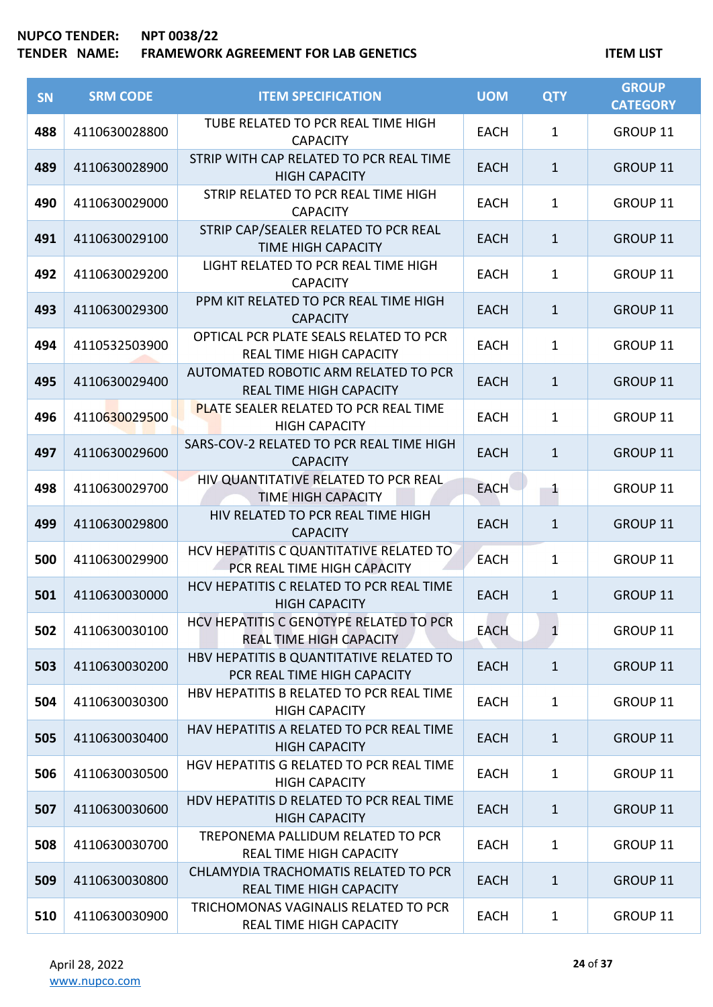| SN  | <b>SRM CODE</b> | <b>ITEM SPECIFICATION</b>                                                 | <b>UOM</b>  | <b>QTY</b>   | <b>GROUP</b><br><b>CATEGORY</b> |
|-----|-----------------|---------------------------------------------------------------------------|-------------|--------------|---------------------------------|
| 488 | 4110630028800   | TUBE RELATED TO PCR REAL TIME HIGH<br><b>CAPACITY</b>                     | <b>EACH</b> | $\mathbf{1}$ | GROUP 11                        |
| 489 | 4110630028900   | STRIP WITH CAP RELATED TO PCR REAL TIME<br><b>HIGH CAPACITY</b>           | <b>EACH</b> | $\mathbf{1}$ | GROUP 11                        |
| 490 | 4110630029000   | STRIP RELATED TO PCR REAL TIME HIGH<br><b>CAPACITY</b>                    | <b>EACH</b> | $\mathbf{1}$ | GROUP 11                        |
| 491 | 4110630029100   | STRIP CAP/SEALER RELATED TO PCR REAL<br><b>TIME HIGH CAPACITY</b>         | <b>EACH</b> | $\mathbf{1}$ | <b>GROUP 11</b>                 |
| 492 | 4110630029200   | LIGHT RELATED TO PCR REAL TIME HIGH<br><b>CAPACITY</b>                    | <b>EACH</b> | $\mathbf{1}$ | GROUP 11                        |
| 493 | 4110630029300   | PPM KIT RELATED TO PCR REAL TIME HIGH<br><b>CAPACITY</b>                  | <b>EACH</b> | $\mathbf{1}$ | GROUP 11                        |
| 494 | 4110532503900   | OPTICAL PCR PLATE SEALS RELATED TO PCR<br><b>REAL TIME HIGH CAPACITY</b>  | <b>EACH</b> | $\mathbf{1}$ | GROUP 11                        |
| 495 | 4110630029400   | AUTOMATED ROBOTIC ARM RELATED TO PCR<br><b>REAL TIME HIGH CAPACITY</b>    | <b>EACH</b> | $\mathbf{1}$ | GROUP 11                        |
| 496 | 4110630029500   | <b>PLATE SEALER RELATED TO PCR REAL TIME</b><br><b>HIGH CAPACITY</b>      | <b>EACH</b> | $\mathbf{1}$ | GROUP 11                        |
| 497 | 4110630029600   | SARS-COV-2 RELATED TO PCR REAL TIME HIGH<br><b>CAPACITY</b>               | <b>EACH</b> | $\mathbf{1}$ | GROUP 11                        |
| 498 | 4110630029700   | HIV QUANTITATIVE RELATED TO PCR REAL<br><b>TIME HIGH CAPACITY</b>         | <b>EACH</b> | $\mathbf{1}$ | GROUP 11                        |
| 499 | 4110630029800   | HIV RELATED TO PCR REAL TIME HIGH<br><b>CAPACITY</b>                      | <b>EACH</b> | $\mathbf{1}$ | GROUP 11                        |
| 500 | 4110630029900   | HCV HEPATITIS C QUANTITATIVE RELATED TO<br>PCR REAL TIME HIGH CAPACITY    | <b>EACH</b> | $\mathbf{1}$ | GROUP 11                        |
| 501 | 4110630030000   | HCV HEPATITIS C RELATED TO PCR REAL TIME<br><b>HIGH CAPACITY</b>          | <b>EACH</b> | $\mathbf{1}$ | GROUP 11                        |
| 502 | 4110630030100   | HCV HEPATITIS C GENOTYPE RELATED TO PCR<br><b>REAL TIME HIGH CAPACITY</b> | <b>EACH</b> | $\mathbf{1}$ | GROUP 11                        |
| 503 | 4110630030200   | HBV HEPATITIS B QUANTITATIVE RELATED TO<br>PCR REAL TIME HIGH CAPACITY    | <b>EACH</b> | $\mathbf{1}$ | GROUP 11                        |
| 504 | 4110630030300   | HBV HEPATITIS B RELATED TO PCR REAL TIME<br><b>HIGH CAPACITY</b>          | <b>EACH</b> | $\mathbf{1}$ | GROUP 11                        |
| 505 | 4110630030400   | HAV HEPATITIS A RELATED TO PCR REAL TIME<br><b>HIGH CAPACITY</b>          | <b>EACH</b> | $\mathbf{1}$ | GROUP 11                        |
| 506 | 4110630030500   | HGV HEPATITIS G RELATED TO PCR REAL TIME<br><b>HIGH CAPACITY</b>          | <b>EACH</b> | $\mathbf{1}$ | GROUP 11                        |
| 507 | 4110630030600   | HDV HEPATITIS D RELATED TO PCR REAL TIME<br><b>HIGH CAPACITY</b>          | <b>EACH</b> | $\mathbf{1}$ | GROUP 11                        |
| 508 | 4110630030700   | TREPONEMA PALLIDUM RELATED TO PCR<br><b>REAL TIME HIGH CAPACITY</b>       | <b>EACH</b> | $\mathbf{1}$ | GROUP 11                        |
| 509 | 4110630030800   | CHLAMYDIA TRACHOMATIS RELATED TO PCR<br><b>REAL TIME HIGH CAPACITY</b>    | <b>EACH</b> | $\mathbf{1}$ | GROUP 11                        |
| 510 | 4110630030900   | TRICHOMONAS VAGINALIS RELATED TO PCR<br>REAL TIME HIGH CAPACITY           | <b>EACH</b> | $\mathbf{1}$ | GROUP 11                        |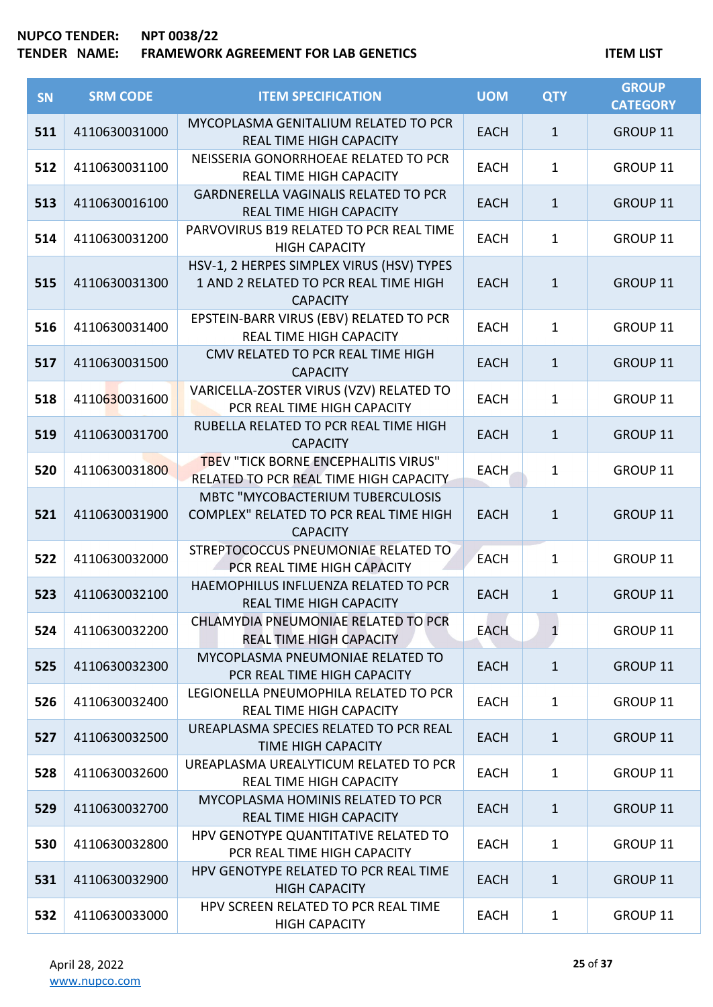| <b>SN</b> | <b>SRM CODE</b> | <b>ITEM SPECIFICATION</b>                                                                             | <b>UOM</b>  | <b>QTY</b>   | <b>GROUP</b><br><b>CATEGORY</b> |
|-----------|-----------------|-------------------------------------------------------------------------------------------------------|-------------|--------------|---------------------------------|
| 511       | 4110630031000   | MYCOPLASMA GENITALIUM RELATED TO PCR<br><b>REAL TIME HIGH CAPACITY</b>                                | <b>EACH</b> | $\mathbf{1}$ | GROUP 11                        |
| 512       | 4110630031100   | NEISSERIA GONORRHOEAE RELATED TO PCR<br><b>REAL TIME HIGH CAPACITY</b>                                | <b>EACH</b> | $\mathbf{1}$ | GROUP 11                        |
| 513       | 4110630016100   | <b>GARDNERELLA VAGINALIS RELATED TO PCR</b><br><b>REAL TIME HIGH CAPACITY</b>                         | <b>EACH</b> | $\mathbf{1}$ | <b>GROUP 11</b>                 |
| 514       | 4110630031200   | PARVOVIRUS B19 RELATED TO PCR REAL TIME<br><b>HIGH CAPACITY</b>                                       | <b>EACH</b> | $\mathbf{1}$ | GROUP 11                        |
| 515       | 4110630031300   | HSV-1, 2 HERPES SIMPLEX VIRUS (HSV) TYPES<br>1 AND 2 RELATED TO PCR REAL TIME HIGH<br><b>CAPACITY</b> | <b>EACH</b> | $\mathbf{1}$ | GROUP 11                        |
| 516       | 4110630031400   | EPSTEIN-BARR VIRUS (EBV) RELATED TO PCR<br><b>REAL TIME HIGH CAPACITY</b>                             | <b>EACH</b> | $\mathbf{1}$ | GROUP 11                        |
| 517       | 4110630031500   | CMV RELATED TO PCR REAL TIME HIGH<br><b>CAPACITY</b>                                                  | <b>EACH</b> | $\mathbf{1}$ | GROUP 11                        |
| 518       | 4110630031600   | VARICELLA-ZOSTER VIRUS (VZV) RELATED TO<br>PCR REAL TIME HIGH CAPACITY                                | <b>EACH</b> | $\mathbf{1}$ | GROUP 11                        |
| 519       | 4110630031700   | RUBELLA RELATED TO PCR REAL TIME HIGH<br><b>CAPACITY</b>                                              | <b>EACH</b> | $\mathbf{1}$ | GROUP 11                        |
| 520       | 4110630031800   | TBEV "TICK BORNE ENCEPHALITIS VIRUS"<br>RELATED TO PCR REAL TIME HIGH CAPACITY                        | EACH        | 1            | GROUP 11                        |
| 521       | 4110630031900   | MBTC "MYCOBACTERIUM TUBERCULOSIS<br>COMPLEX" RELATED TO PCR REAL TIME HIGH<br><b>CAPACITY</b>         | <b>EACH</b> | $\mathbf{1}$ | GROUP 11                        |
| 522       | 4110630032000   | STREPTOCOCCUS PNEUMONIAE RELATED TO<br>PCR REAL TIME HIGH CAPACITY                                    | <b>EACH</b> | $\mathbf{1}$ | GROUP 11                        |
| 523       | 4110630032100   | HAEMOPHILUS INFLUENZA RELATED TO PCR<br><b>REAL TIME HIGH CAPACITY</b>                                | <b>EACH</b> | $\mathbf{1}$ | <b>GROUP 11</b>                 |
| 524       | 4110630032200   | CHLAMYDIA PNEUMONIAE RELATED TO PCR<br><b>REAL TIME HIGH CAPACITY</b>                                 | <b>EACH</b> | $\mathbf{1}$ | <b>GROUP 11</b>                 |
| 525       | 4110630032300   | MYCOPLASMA PNEUMONIAE RELATED TO<br>PCR REAL TIME HIGH CAPACITY                                       | <b>EACH</b> | $\mathbf{1}$ | GROUP 11                        |
| 526       | 4110630032400   | LEGIONELLA PNEUMOPHILA RELATED TO PCR<br><b>REAL TIME HIGH CAPACITY</b>                               | <b>EACH</b> | $\mathbf{1}$ | <b>GROUP 11</b>                 |
| 527       | 4110630032500   | UREAPLASMA SPECIES RELATED TO PCR REAL<br><b>TIME HIGH CAPACITY</b>                                   | <b>EACH</b> | $\mathbf{1}$ | <b>GROUP 11</b>                 |
| 528       | 4110630032600   | UREAPLASMA UREALYTICUM RELATED TO PCR<br><b>REAL TIME HIGH CAPACITY</b>                               | <b>EACH</b> | 1            | <b>GROUP 11</b>                 |
| 529       | 4110630032700   | MYCOPLASMA HOMINIS RELATED TO PCR<br><b>REAL TIME HIGH CAPACITY</b>                                   | <b>EACH</b> | $\mathbf{1}$ | <b>GROUP 11</b>                 |
| 530       | 4110630032800   | HPV GENOTYPE QUANTITATIVE RELATED TO<br>PCR REAL TIME HIGH CAPACITY                                   | <b>EACH</b> | $\mathbf{1}$ | GROUP 11                        |
| 531       | 4110630032900   | HPV GENOTYPE RELATED TO PCR REAL TIME<br><b>HIGH CAPACITY</b>                                         | <b>EACH</b> | $\mathbf{1}$ | GROUP 11                        |
| 532       | 4110630033000   | HPV SCREEN RELATED TO PCR REAL TIME<br><b>HIGH CAPACITY</b>                                           | <b>EACH</b> | $\mathbf{1}$ | GROUP 11                        |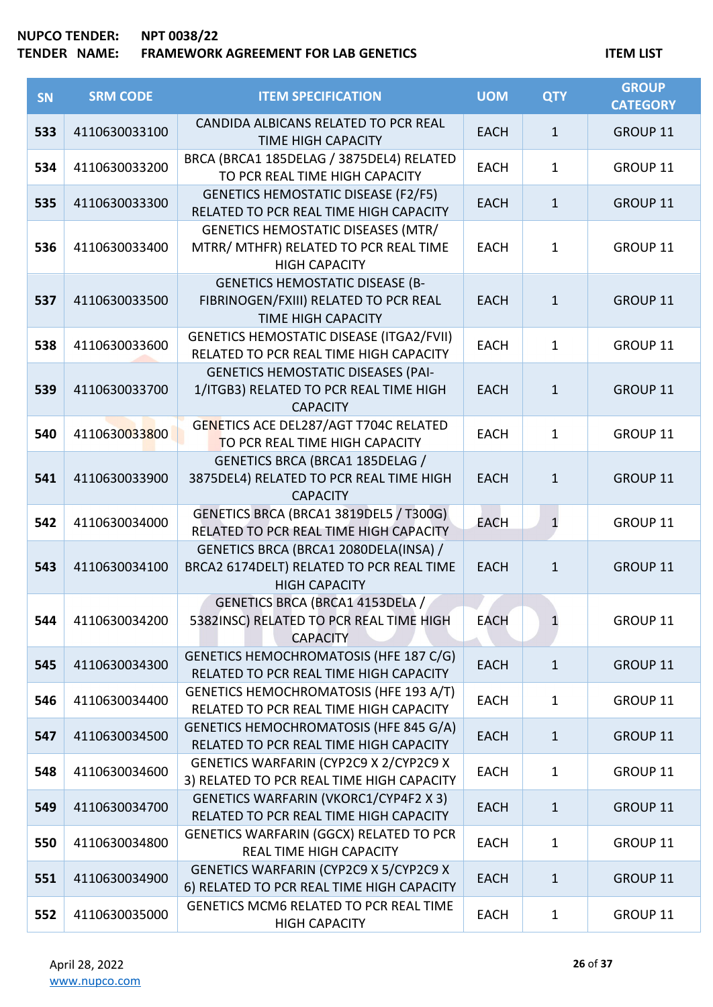| <b>SN</b> | <b>SRM CODE</b> | <b>ITEM SPECIFICATION</b>                                                                                    | <b>UOM</b>  | <b>QTY</b>   | <b>GROUP</b><br><b>CATEGORY</b> |
|-----------|-----------------|--------------------------------------------------------------------------------------------------------------|-------------|--------------|---------------------------------|
| 533       | 4110630033100   | CANDIDA ALBICANS RELATED TO PCR REAL<br><b>TIME HIGH CAPACITY</b>                                            | <b>EACH</b> | $\mathbf{1}$ | GROUP 11                        |
| 534       | 4110630033200   | BRCA (BRCA1 185DELAG / 3875DEL4) RELATED<br>TO PCR REAL TIME HIGH CAPACITY                                   | <b>EACH</b> | $\mathbf{1}$ | GROUP 11                        |
| 535       | 4110630033300   | <b>GENETICS HEMOSTATIC DISEASE (F2/F5)</b><br>RELATED TO PCR REAL TIME HIGH CAPACITY                         | <b>EACH</b> | $\mathbf{1}$ | GROUP 11                        |
| 536       | 4110630033400   | <b>GENETICS HEMOSTATIC DISEASES (MTR/</b><br>MTRR/ MTHFR) RELATED TO PCR REAL TIME<br><b>HIGH CAPACITY</b>   | <b>EACH</b> | $\mathbf{1}$ | GROUP 11                        |
| 537       | 4110630033500   | <b>GENETICS HEMOSTATIC DISEASE (B-</b><br>FIBRINOGEN/FXIII) RELATED TO PCR REAL<br><b>TIME HIGH CAPACITY</b> | <b>EACH</b> | $\mathbf{1}$ | GROUP 11                        |
| 538       | 4110630033600   | <b>GENETICS HEMOSTATIC DISEASE (ITGA2/FVII)</b><br>RELATED TO PCR REAL TIME HIGH CAPACITY                    | <b>EACH</b> | $\mathbf{1}$ | GROUP 11                        |
| 539       | 4110630033700   | <b>GENETICS HEMOSTATIC DISEASES (PAI-</b><br>1/ITGB3) RELATED TO PCR REAL TIME HIGH<br><b>CAPACITY</b>       | <b>EACH</b> | $\mathbf{1}$ | GROUP 11                        |
| 540       | 4110630033800   | GENETICS ACE DEL287/AGT T704C RELATED<br>TO PCR REAL TIME HIGH CAPACITY                                      | <b>EACH</b> | $\mathbf{1}$ | GROUP 11                        |
| 541       | 4110630033900   | GENETICS BRCA (BRCA1 185DELAG /<br>3875DEL4) RELATED TO PCR REAL TIME HIGH<br><b>CAPACITY</b>                | <b>EACH</b> | $\mathbf{1}$ | GROUP 11                        |
| 542       | 4110630034000   | GENETICS BRCA (BRCA1 3819DEL5 / T300G)<br>RELATED TO PCR REAL TIME HIGH CAPACITY                             | <b>EACH</b> | $\mathbf{1}$ | GROUP 11                        |
| 543       | 4110630034100   | GENETICS BRCA (BRCA1 2080DELA(INSA) /<br>BRCA2 6174DELT) RELATED TO PCR REAL TIME<br><b>HIGH CAPACITY</b>    | <b>EACH</b> | $\mathbf{1}$ | GROUP 11                        |
| 544       | 4110630034200   | GENETICS BRCA (BRCA1 4153DELA /<br>5382INSC) RELATED TO PCR REAL TIME HIGH<br><b>CAPACITY</b>                | <b>EACH</b> | 1            | GROUP 11                        |
| 545       | 4110630034300   | GENETICS HEMOCHROMATOSIS (HFE 187 C/G)<br>RELATED TO PCR REAL TIME HIGH CAPACITY                             | <b>EACH</b> | $\mathbf{1}$ | GROUP 11                        |
| 546       | 4110630034400   | GENETICS HEMOCHROMATOSIS (HFE 193 A/T)<br>RELATED TO PCR REAL TIME HIGH CAPACITY                             | <b>EACH</b> | 1            | GROUP 11                        |
| 547       | 4110630034500   | GENETICS HEMOCHROMATOSIS (HFE 845 G/A)<br>RELATED TO PCR REAL TIME HIGH CAPACITY                             | <b>EACH</b> | $\mathbf{1}$ | GROUP 11                        |
| 548       | 4110630034600   | GENETICS WARFARIN (CYP2C9 X 2/CYP2C9 X<br>3) RELATED TO PCR REAL TIME HIGH CAPACITY                          | <b>EACH</b> | 1            | GROUP 11                        |
| 549       | 4110630034700   | <b>GENETICS WARFARIN (VKORC1/CYP4F2 X 3)</b><br>RELATED TO PCR REAL TIME HIGH CAPACITY                       | <b>EACH</b> | $\mathbf{1}$ | GROUP 11                        |
| 550       | 4110630034800   | GENETICS WARFARIN (GGCX) RELATED TO PCR<br>REAL TIME HIGH CAPACITY                                           | <b>EACH</b> | $\mathbf{1}$ | GROUP 11                        |
| 551       | 4110630034900   | GENETICS WARFARIN (CYP2C9 X 5/CYP2C9 X<br>6) RELATED TO PCR REAL TIME HIGH CAPACITY                          | <b>EACH</b> | $\mathbf{1}$ | GROUP 11                        |
| 552       | 4110630035000   | GENETICS MCM6 RELATED TO PCR REAL TIME<br><b>HIGH CAPACITY</b>                                               | <b>EACH</b> | $\mathbf{1}$ | GROUP 11                        |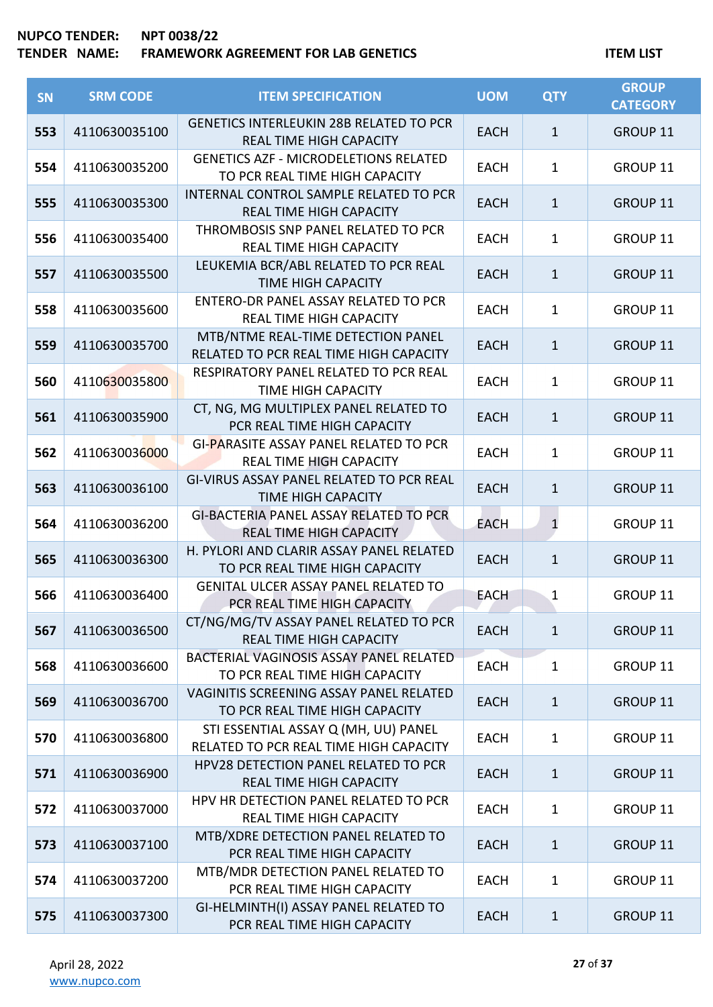| SN  | <b>SRM CODE</b> | <b>ITEM SPECIFICATION</b>                                                        | <b>UOM</b>  | <b>QTY</b>     | <b>GROUP</b><br><b>CATEGORY</b> |
|-----|-----------------|----------------------------------------------------------------------------------|-------------|----------------|---------------------------------|
| 553 | 4110630035100   | <b>GENETICS INTERLEUKIN 28B RELATED TO PCR</b><br><b>REAL TIME HIGH CAPACITY</b> | <b>EACH</b> | $\mathbf{1}$   | GROUP 11                        |
| 554 | 4110630035200   | <b>GENETICS AZF - MICRODELETIONS RELATED</b><br>TO PCR REAL TIME HIGH CAPACITY   | <b>EACH</b> | $\mathbf{1}$   | GROUP 11                        |
| 555 | 4110630035300   | INTERNAL CONTROL SAMPLE RELATED TO PCR<br><b>REAL TIME HIGH CAPACITY</b>         | <b>EACH</b> | $\mathbf 1$    | GROUP 11                        |
| 556 | 4110630035400   | THROMBOSIS SNP PANEL RELATED TO PCR<br>REAL TIME HIGH CAPACITY                   | <b>EACH</b> | 1              | GROUP 11                        |
| 557 | 4110630035500   | LEUKEMIA BCR/ABL RELATED TO PCR REAL<br><b>TIME HIGH CAPACITY</b>                | <b>EACH</b> | $\mathbf{1}$   | GROUP 11                        |
| 558 | 4110630035600   | ENTERO-DR PANEL ASSAY RELATED TO PCR<br><b>REAL TIME HIGH CAPACITY</b>           | <b>EACH</b> | 1              | GROUP 11                        |
| 559 | 4110630035700   | MTB/NTME REAL-TIME DETECTION PANEL<br>RELATED TO PCR REAL TIME HIGH CAPACITY     | <b>EACH</b> | $\mathbf{1}$   | GROUP 11                        |
| 560 | 4110630035800   | RESPIRATORY PANEL RELATED TO PCR REAL<br><b>TIME HIGH CAPACITY</b>               | <b>EACH</b> | $\mathbf{1}$   | GROUP 11                        |
| 561 | 4110630035900   | CT, NG, MG MULTIPLEX PANEL RELATED TO<br>PCR REAL TIME HIGH CAPACITY             | <b>EACH</b> | $\mathbf{1}$   | GROUP 11                        |
| 562 | 4110630036000   | GI-PARASITE ASSAY PANEL RELATED TO PCR<br><b>REAL TIME HIGH CAPACITY</b>         | <b>EACH</b> | $\mathbf{1}$   | GROUP 11                        |
| 563 | 4110630036100   | GI-VIRUS ASSAY PANEL RELATED TO PCR REAL<br><b>TIME HIGH CAPACITY</b>            | <b>EACH</b> | $\mathbf{1}$   | GROUP 11                        |
| 564 | 4110630036200   | GI-BACTERIA PANEL ASSAY RELATED TO PCR<br>REAL TIME HIGH CAPACITY                | <b>EACH</b> | $\overline{1}$ | GROUP 11                        |
| 565 | 4110630036300   | H. PYLORI AND CLARIR ASSAY PANEL RELATED<br>TO PCR REAL TIME HIGH CAPACITY       | <b>EACH</b> | $\mathbf{1}$   | GROUP 11                        |
| 566 | 4110630036400   | <b>GENITAL ULCER ASSAY PANEL RELATED TO</b><br>PCR REAL TIME HIGH CAPACITY       | <b>EACH</b> | $\mathbf 1$    | GROUP 11                        |
| 567 | 4110630036500   | CT/NG/MG/TV ASSAY PANEL RELATED TO PCR<br><b>REAL TIME HIGH CAPACITY</b>         | <b>EACH</b> | $\mathbf{1}$   | GROUP 11                        |
| 568 | 4110630036600   | BACTERIAL VAGINOSIS ASSAY PANEL RELATED<br>TO PCR REAL TIME HIGH CAPACITY        | <b>EACH</b> | $\mathbf{1}$   | GROUP 11                        |
| 569 | 4110630036700   | VAGINITIS SCREENING ASSAY PANEL RELATED<br>TO PCR REAL TIME HIGH CAPACITY        | <b>EACH</b> | $\mathbf{1}$   | GROUP 11                        |
| 570 | 4110630036800   | STI ESSENTIAL ASSAY Q (MH, UU) PANEL<br>RELATED TO PCR REAL TIME HIGH CAPACITY   | <b>EACH</b> | $\mathbf{1}$   | GROUP 11                        |
| 571 | 4110630036900   | HPV28 DETECTION PANEL RELATED TO PCR<br>REAL TIME HIGH CAPACITY                  | <b>EACH</b> | $\mathbf{1}$   | GROUP 11                        |
| 572 | 4110630037000   | HPV HR DETECTION PANEL RELATED TO PCR<br>REAL TIME HIGH CAPACITY                 | <b>EACH</b> | $\mathbf{1}$   | GROUP 11                        |
| 573 | 4110630037100   | MTB/XDRE DETECTION PANEL RELATED TO<br>PCR REAL TIME HIGH CAPACITY               | <b>EACH</b> | $\mathbf{1}$   | GROUP 11                        |
| 574 | 4110630037200   | MTB/MDR DETECTION PANEL RELATED TO<br>PCR REAL TIME HIGH CAPACITY                | <b>EACH</b> | $\mathbf{1}$   | GROUP 11                        |
| 575 | 4110630037300   | GI-HELMINTH(I) ASSAY PANEL RELATED TO<br>PCR REAL TIME HIGH CAPACITY             | <b>EACH</b> | $\mathbf 1$    | GROUP 11                        |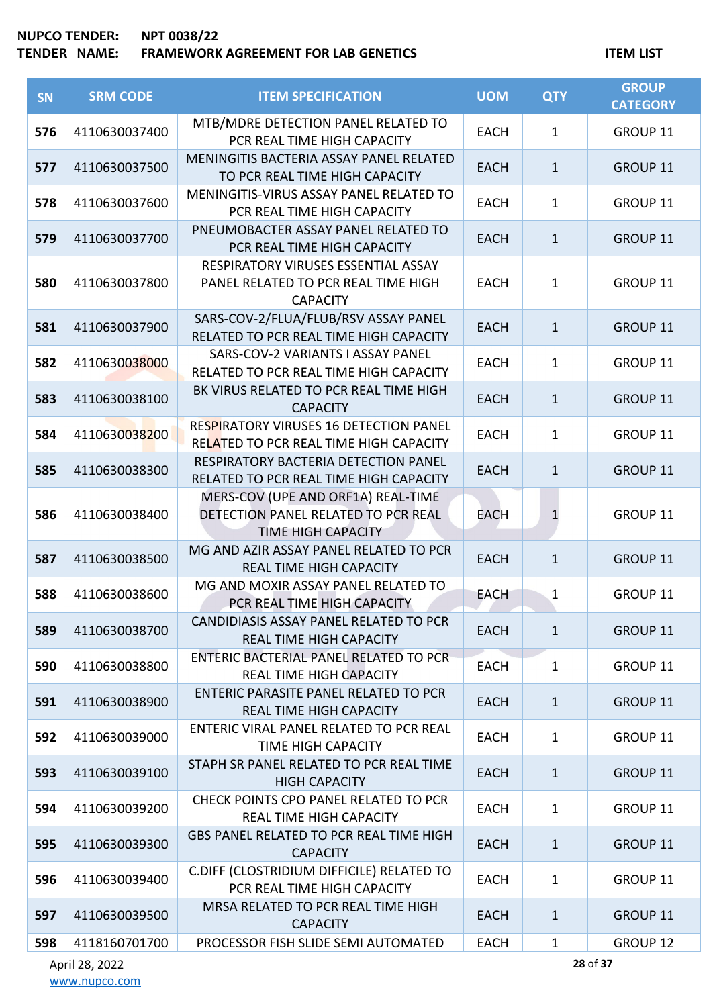# **TENDER NAME: FRAMEWORK AGREEMENT FOR LAB GENETICS ITEM LIST**

| SN  | <b>SRM CODE</b> | <b>ITEM SPECIFICATION</b>                                                                              | <b>UOM</b>  | <b>QTY</b>   | <b>GROUP</b><br><b>CATEGORY</b> |
|-----|-----------------|--------------------------------------------------------------------------------------------------------|-------------|--------------|---------------------------------|
| 576 | 4110630037400   | MTB/MDRE DETECTION PANEL RELATED TO<br>PCR REAL TIME HIGH CAPACITY                                     | <b>EACH</b> | 1            | GROUP 11                        |
| 577 | 4110630037500   | MENINGITIS BACTERIA ASSAY PANEL RELATED<br>TO PCR REAL TIME HIGH CAPACITY                              | <b>EACH</b> | $\mathbf{1}$ | GROUP 11                        |
| 578 | 4110630037600   | MENINGITIS-VIRUS ASSAY PANEL RELATED TO<br>PCR REAL TIME HIGH CAPACITY                                 | <b>EACH</b> | 1            | GROUP 11                        |
| 579 | 4110630037700   | PNEUMOBACTER ASSAY PANEL RELATED TO<br>PCR REAL TIME HIGH CAPACITY                                     | <b>EACH</b> | $\mathbf{1}$ | GROUP 11                        |
| 580 | 4110630037800   | RESPIRATORY VIRUSES ESSENTIAL ASSAY<br>PANEL RELATED TO PCR REAL TIME HIGH<br><b>CAPACITY</b>          | <b>EACH</b> | $\mathbf 1$  | GROUP 11                        |
| 581 | 4110630037900   | SARS-COV-2/FLUA/FLUB/RSV ASSAY PANEL<br>RELATED TO PCR REAL TIME HIGH CAPACITY                         | <b>EACH</b> | $\mathbf{1}$ | GROUP 11                        |
| 582 | 4110630038000   | SARS-COV-2 VARIANTS I ASSAY PANEL<br>RELATED TO PCR REAL TIME HIGH CAPACITY                            | <b>EACH</b> | 1            | GROUP 11                        |
| 583 | 4110630038100   | BK VIRUS RELATED TO PCR REAL TIME HIGH<br><b>CAPACITY</b>                                              | <b>EACH</b> | $\mathbf{1}$ | GROUP 11                        |
| 584 | 4110630038200   | RESPIRATORY VIRUSES 16 DETECTION PANEL<br>RELATED TO PCR REAL TIME HIGH CAPACITY                       | <b>EACH</b> | $\mathbf{1}$ | GROUP 11                        |
| 585 | 4110630038300   | RESPIRATORY BACTERIA DETECTION PANEL<br>RELATED TO PCR REAL TIME HIGH CAPACITY                         | <b>EACH</b> | $\mathbf{1}$ | GROUP 11                        |
| 586 | 4110630038400   | MERS-COV (UPE AND ORF1A) REAL-TIME<br>DETECTION PANEL RELATED TO PCR REAL<br><b>TIME HIGH CAPACITY</b> | EACH        | $\mathbf{1}$ | GROUP 11                        |
| 587 | 4110630038500   | MG AND AZIR ASSAY PANEL RELATED TO PCR<br><b>REAL TIME HIGH CAPACITY</b>                               | <b>EACH</b> | $\mathbf{1}$ | GROUP 11                        |
| 588 | 4110630038600   | MG AND MOXIR ASSAY PANEL RELATED TO<br>PCR REAL TIME HIGH CAPACITY                                     | <b>EACH</b> | $\mathbf 1$  | GROUP 11                        |
| 589 | 4110630038700   | CANDIDIASIS ASSAY PANEL RELATED TO PCR<br><b>REAL TIME HIGH CAPACITY</b>                               | <b>EACH</b> | $\mathbf{1}$ | GROUP 11                        |
| 590 | 4110630038800   | ENTERIC BACTERIAL PANEL RELATED TO PCR<br><b>REAL TIME HIGH CAPACITY</b>                               | <b>EACH</b> | $\mathbf{1}$ | GROUP 11                        |
| 591 | 4110630038900   | <b>ENTERIC PARASITE PANEL RELATED TO PCR</b><br><b>REAL TIME HIGH CAPACITY</b>                         | <b>EACH</b> | $\mathbf{1}$ | GROUP 11                        |
| 592 | 4110630039000   | ENTERIC VIRAL PANEL RELATED TO PCR REAL<br><b>TIME HIGH CAPACITY</b>                                   | <b>EACH</b> | $\mathbf{1}$ | GROUP 11                        |
| 593 | 4110630039100   | STAPH SR PANEL RELATED TO PCR REAL TIME<br><b>HIGH CAPACITY</b>                                        | <b>EACH</b> | $\mathbf{1}$ | <b>GROUP 11</b>                 |
| 594 | 4110630039200   | CHECK POINTS CPO PANEL RELATED TO PCR<br><b>REAL TIME HIGH CAPACITY</b>                                | <b>EACH</b> | $\mathbf{1}$ | GROUP 11                        |
| 595 | 4110630039300   | GBS PANEL RELATED TO PCR REAL TIME HIGH<br><b>CAPACITY</b>                                             | <b>EACH</b> | $\mathbf{1}$ | GROUP 11                        |
| 596 | 4110630039400   | C.DIFF (CLOSTRIDIUM DIFFICILE) RELATED TO<br>PCR REAL TIME HIGH CAPACITY                               | <b>EACH</b> | $\mathbf{1}$ | GROUP 11                        |
| 597 | 4110630039500   | MRSA RELATED TO PCR REAL TIME HIGH<br><b>CAPACITY</b>                                                  | <b>EACH</b> | 1            | <b>GROUP 11</b>                 |
| 598 | 4118160701700   | PROCESSOR FISH SLIDE SEMI AUTOMATED                                                                    | <b>EACH</b> | 1            | GROUP 12                        |

April 28, 2022 [www.nupco.com](http://www.nupco.com/) **28** of **37**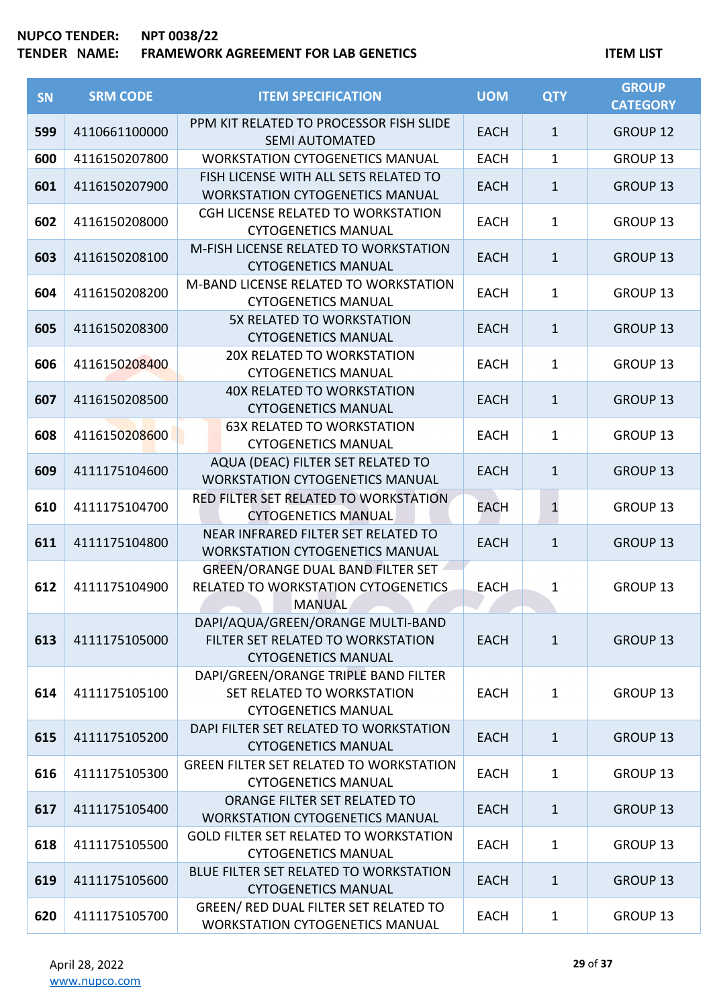| SN  | <b>SRM CODE</b> | <b>ITEM SPECIFICATION</b>                                                                            | <b>UOM</b>  | <b>QTY</b>   | <b>GROUP</b><br><b>CATEGORY</b> |
|-----|-----------------|------------------------------------------------------------------------------------------------------|-------------|--------------|---------------------------------|
| 599 | 4110661100000   | PPM KIT RELATED TO PROCESSOR FISH SLIDE<br><b>SEMI AUTOMATED</b>                                     | <b>EACH</b> | $\mathbf{1}$ | <b>GROUP 12</b>                 |
| 600 | 4116150207800   | <b>WORKSTATION CYTOGENETICS MANUAL</b>                                                               | <b>EACH</b> | $\mathbf{1}$ | GROUP <sub>13</sub>             |
| 601 | 4116150207900   | FISH LICENSE WITH ALL SETS RELATED TO<br><b>WORKSTATION CYTOGENETICS MANUAL</b>                      | <b>EACH</b> | $\mathbf{1}$ | GROUP 13                        |
| 602 | 4116150208000   | CGH LICENSE RELATED TO WORKSTATION<br><b>CYTOGENETICS MANUAL</b>                                     | <b>EACH</b> | $\mathbf{1}$ | GROUP 13                        |
| 603 | 4116150208100   | M-FISH LICENSE RELATED TO WORKSTATION<br><b>CYTOGENETICS MANUAL</b>                                  | <b>EACH</b> | $\mathbf{1}$ | <b>GROUP 13</b>                 |
| 604 | 4116150208200   | M-BAND LICENSE RELATED TO WORKSTATION<br><b>CYTOGENETICS MANUAL</b>                                  | <b>EACH</b> | $\mathbf{1}$ | GROUP 13                        |
| 605 | 4116150208300   | 5X RELATED TO WORKSTATION<br><b>CYTOGENETICS MANUAL</b>                                              | <b>EACH</b> | $\mathbf{1}$ | <b>GROUP 13</b>                 |
| 606 | 4116150208400   | 20X RELATED TO WORKSTATION<br><b>CYTOGENETICS MANUAL</b>                                             | <b>EACH</b> | $\mathbf{1}$ | GROUP 13                        |
| 607 | 4116150208500   | <b>40X RELATED TO WORKSTATION</b><br><b>CYTOGENETICS MANUAL</b>                                      | <b>EACH</b> | $\mathbf{1}$ | <b>GROUP 13</b>                 |
| 608 | 4116150208600   | <b>63X RELATED TO WORKSTATION</b><br><b>CYTOGENETICS MANUAL</b>                                      | <b>EACH</b> | $\mathbf{1}$ | GROUP <sub>13</sub>             |
| 609 | 4111175104600   | AQUA (DEAC) FILTER SET RELATED TO<br><b>WORKSTATION CYTOGENETICS MANUAL</b>                          | <b>EACH</b> | $\mathbf{1}$ | GROUP <sub>13</sub>             |
| 610 | 4111175104700   | RED FILTER SET RELATED TO WORKSTATION<br><b>CYTOGENETICS MANUAL</b>                                  | EACH        | $\mathbf{1}$ | GROUP <sub>13</sub>             |
| 611 | 4111175104800   | NEAR INFRARED FILTER SET RELATED TO<br><b>WORKSTATION CYTOGENETICS MANUAL</b>                        | <b>EACH</b> | $\mathbf{1}$ | <b>GROUP 13</b>                 |
| 612 | 4111175104900   | <b>GREEN/ORANGE DUAL BAND FILTER SET</b><br>RELATED TO WORKSTATION CYTOGENETICS<br><b>MANUAL</b>     | <b>EACH</b> | $\mathbf 1$  | GROUP 13                        |
| 613 | 4111175105000   | DAPI/AQUA/GREEN/ORANGE MULTI-BAND<br>FILTER SET RELATED TO WORKSTATION<br><b>CYTOGENETICS MANUAL</b> | <b>EACH</b> | $\mathbf{1}$ | <b>GROUP 13</b>                 |
| 614 | 4111175105100   | DAPI/GREEN/ORANGE TRIPLE BAND FILTER<br>SET RELATED TO WORKSTATION<br><b>CYTOGENETICS MANUAL</b>     | <b>EACH</b> | $\mathbf{1}$ | GROUP 13                        |
| 615 | 4111175105200   | DAPI FILTER SET RELATED TO WORKSTATION<br><b>CYTOGENETICS MANUAL</b>                                 | <b>EACH</b> | $\mathbf{1}$ | <b>GROUP 13</b>                 |
| 616 | 4111175105300   | <b>GREEN FILTER SET RELATED TO WORKSTATION</b><br><b>CYTOGENETICS MANUAL</b>                         | <b>EACH</b> | 1            | <b>GROUP 13</b>                 |
| 617 | 4111175105400   | ORANGE FILTER SET RELATED TO<br><b>WORKSTATION CYTOGENETICS MANUAL</b>                               | <b>EACH</b> | $\mathbf{1}$ | <b>GROUP 13</b>                 |
| 618 | 4111175105500   | <b>GOLD FILTER SET RELATED TO WORKSTATION</b><br><b>CYTOGENETICS MANUAL</b>                          | <b>EACH</b> | 1            | GROUP 13                        |
| 619 | 4111175105600   | <b>BLUE FILTER SET RELATED TO WORKSTATION</b><br><b>CYTOGENETICS MANUAL</b>                          | <b>EACH</b> | $\mathbf{1}$ | <b>GROUP 13</b>                 |
| 620 | 4111175105700   | GREEN/ RED DUAL FILTER SET RELATED TO<br><b>WORKSTATION CYTOGENETICS MANUAL</b>                      | <b>EACH</b> | 1            | GROUP 13                        |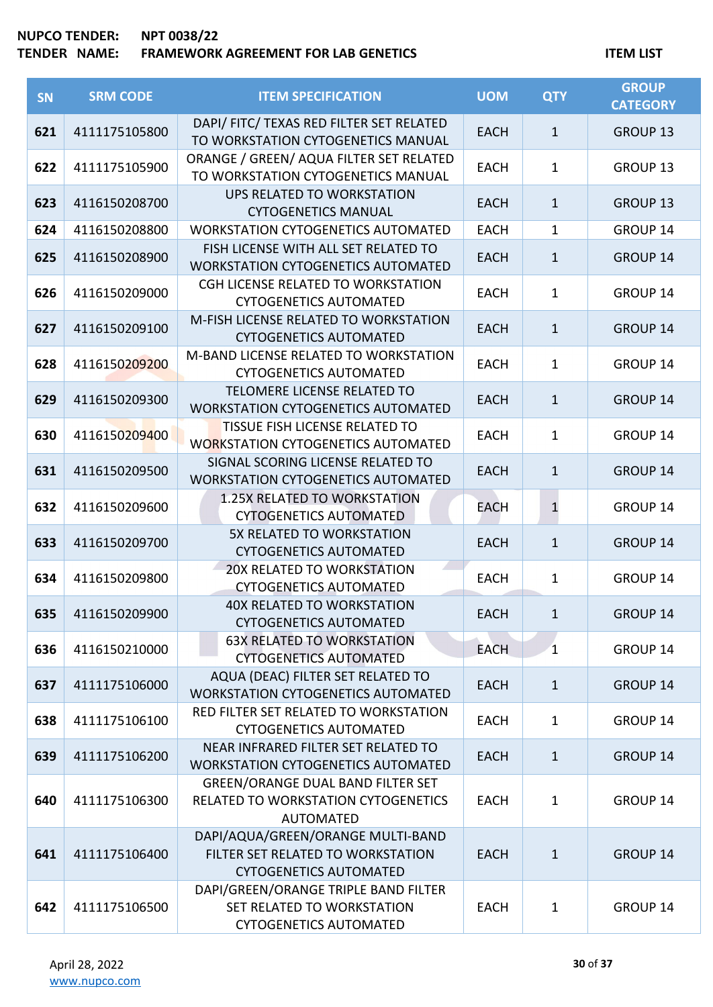| SN  | <b>SRM CODE</b> | <b>ITEM SPECIFICATION</b>                                                                               | <b>UOM</b>  | <b>QTY</b>   | <b>GROUP</b><br><b>CATEGORY</b> |
|-----|-----------------|---------------------------------------------------------------------------------------------------------|-------------|--------------|---------------------------------|
| 621 | 4111175105800   | DAPI/ FITC/ TEXAS RED FILTER SET RELATED<br>TO WORKSTATION CYTOGENETICS MANUAL                          | <b>EACH</b> | $\mathbf{1}$ | <b>GROUP 13</b>                 |
| 622 | 4111175105900   | ORANGE / GREEN/ AQUA FILTER SET RELATED<br>TO WORKSTATION CYTOGENETICS MANUAL                           | <b>EACH</b> | 1            | GROUP <sub>13</sub>             |
| 623 | 4116150208700   | UPS RELATED TO WORKSTATION<br><b>CYTOGENETICS MANUAL</b>                                                | <b>EACH</b> | $\mathbf{1}$ | GROUP 13                        |
| 624 | 4116150208800   | <b>WORKSTATION CYTOGENETICS AUTOMATED</b>                                                               | <b>EACH</b> | 1            | <b>GROUP 14</b>                 |
| 625 | 4116150208900   | FISH LICENSE WITH ALL SET RELATED TO<br><b>WORKSTATION CYTOGENETICS AUTOMATED</b>                       | <b>EACH</b> | $\mathbf{1}$ | <b>GROUP 14</b>                 |
| 626 | 4116150209000   | CGH LICENSE RELATED TO WORKSTATION<br><b>CYTOGENETICS AUTOMATED</b>                                     | <b>EACH</b> | 1            | GROUP 14                        |
| 627 | 4116150209100   | M-FISH LICENSE RELATED TO WORKSTATION<br><b>CYTOGENETICS AUTOMATED</b>                                  | <b>EACH</b> | $\mathbf{1}$ | <b>GROUP 14</b>                 |
| 628 | 4116150209200   | M-BAND LICENSE RELATED TO WORKSTATION<br><b>CYTOGENETICS AUTOMATED</b>                                  | <b>EACH</b> | 1            | GROUP 14                        |
| 629 | 4116150209300   | TELOMERE LICENSE RELATED TO<br><b>WORKSTATION CYTOGENETICS AUTOMATED</b>                                | <b>EACH</b> | $\mathbf{1}$ | <b>GROUP 14</b>                 |
| 630 | 4116150209400   | TISSUE FISH LICENSE RELATED TO<br><b>WORKSTATION CYTOGENETICS AUTOMATED</b>                             | <b>EACH</b> | $\mathbf{1}$ | GROUP 14                        |
| 631 | 4116150209500   | SIGNAL SCORING LICENSE RELATED TO<br><b>WORKSTATION CYTOGENETICS AUTOMATED</b>                          | <b>EACH</b> | $\mathbf{1}$ | <b>GROUP 14</b>                 |
| 632 | 4116150209600   | 1.25X RELATED TO WORKSTATION<br><b>CYTOGENETICS AUTOMATED</b>                                           | EACH        | $\mathbf{1}$ | GROUP 14                        |
| 633 | 4116150209700   | 5X RELATED TO WORKSTATION<br><b>CYTOGENETICS AUTOMATED</b>                                              | <b>EACH</b> | $\mathbf{1}$ | <b>GROUP 14</b>                 |
| 634 | 4116150209800   | 20X RELATED TO WORKSTATION<br><b>CYTOGENETICS AUTOMATED</b>                                             | <b>EACH</b> | 1            | GROUP 14                        |
| 635 | 4116150209900   | <b>40X RELATED TO WORKSTATION</b><br><b>CYTOGENETICS AUTOMATED</b>                                      | <b>EACH</b> | $\mathbf{1}$ | GROUP 14                        |
| 636 | 4116150210000   | <b>63X RELATED TO WORKSTATION</b><br><b>CYTOGENETICS AUTOMATED</b>                                      | <b>EACH</b> | $\mathbf{1}$ | <b>GROUP 14</b>                 |
| 637 | 4111175106000   | AQUA (DEAC) FILTER SET RELATED TO<br><b>WORKSTATION CYTOGENETICS AUTOMATED</b>                          | <b>EACH</b> | 1            | <b>GROUP 14</b>                 |
| 638 | 4111175106100   | RED FILTER SET RELATED TO WORKSTATION<br><b>CYTOGENETICS AUTOMATED</b>                                  | <b>EACH</b> | 1            | GROUP 14                        |
| 639 | 4111175106200   | NEAR INFRARED FILTER SET RELATED TO<br><b>WORKSTATION CYTOGENETICS AUTOMATED</b>                        | <b>EACH</b> | 1            | <b>GROUP 14</b>                 |
| 640 | 4111175106300   | <b>GREEN/ORANGE DUAL BAND FILTER SET</b><br>RELATED TO WORKSTATION CYTOGENETICS<br><b>AUTOMATED</b>     | <b>EACH</b> | 1            | GROUP 14                        |
| 641 | 4111175106400   | DAPI/AQUA/GREEN/ORANGE MULTI-BAND<br>FILTER SET RELATED TO WORKSTATION<br><b>CYTOGENETICS AUTOMATED</b> | <b>EACH</b> | $1\,$        | <b>GROUP 14</b>                 |
| 642 | 4111175106500   | DAPI/GREEN/ORANGE TRIPLE BAND FILTER<br>SET RELATED TO WORKSTATION<br><b>CYTOGENETICS AUTOMATED</b>     | <b>EACH</b> | 1            | GROUP 14                        |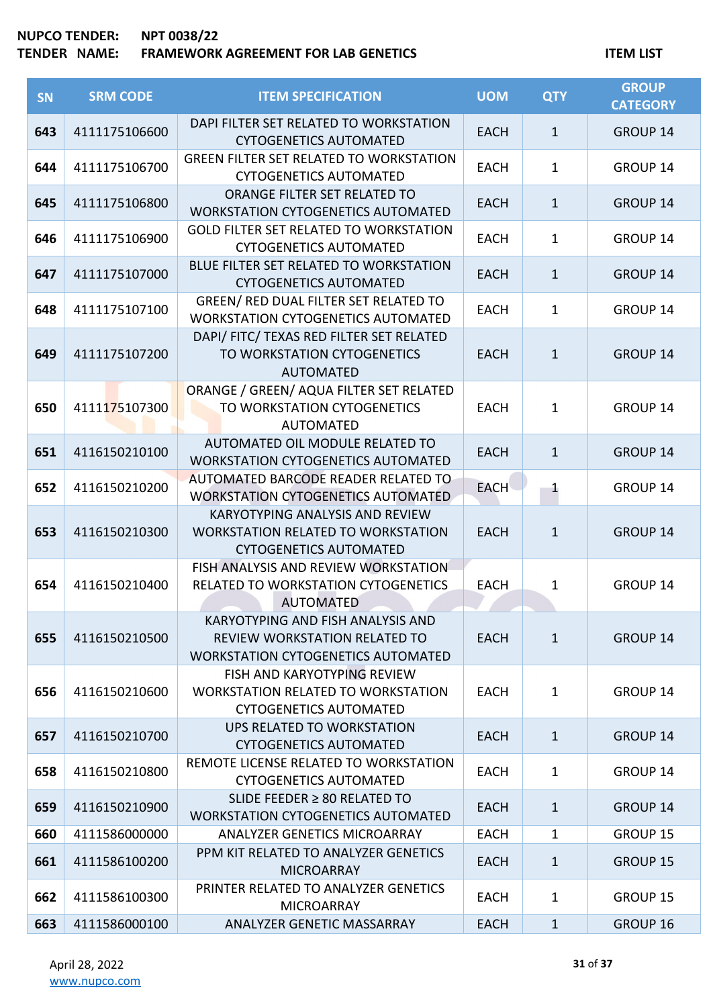| SN  | <b>SRM CODE</b> | <b>ITEM SPECIFICATION</b>                                                                                              | <b>UOM</b>  | <b>QTY</b>   | <b>GROUP</b><br><b>CATEGORY</b> |
|-----|-----------------|------------------------------------------------------------------------------------------------------------------------|-------------|--------------|---------------------------------|
| 643 | 4111175106600   | DAPI FILTER SET RELATED TO WORKSTATION<br><b>CYTOGENETICS AUTOMATED</b>                                                | <b>EACH</b> | $\mathbf{1}$ | <b>GROUP 14</b>                 |
| 644 | 4111175106700   | <b>GREEN FILTER SET RELATED TO WORKSTATION</b><br><b>CYTOGENETICS AUTOMATED</b>                                        | <b>EACH</b> | $\mathbf{1}$ | <b>GROUP 14</b>                 |
| 645 | 4111175106800   | ORANGE FILTER SET RELATED TO<br><b>WORKSTATION CYTOGENETICS AUTOMATED</b>                                              | <b>EACH</b> | $\mathbf{1}$ | <b>GROUP 14</b>                 |
| 646 | 4111175106900   | <b>GOLD FILTER SET RELATED TO WORKSTATION</b><br><b>CYTOGENETICS AUTOMATED</b>                                         | <b>EACH</b> | $\mathbf 1$  | <b>GROUP 14</b>                 |
| 647 | 4111175107000   | BLUE FILTER SET RELATED TO WORKSTATION<br><b>CYTOGENETICS AUTOMATED</b>                                                | <b>EACH</b> | $\mathbf{1}$ | <b>GROUP 14</b>                 |
| 648 | 4111175107100   | GREEN/ RED DUAL FILTER SET RELATED TO<br><b>WORKSTATION CYTOGENETICS AUTOMATED</b>                                     | <b>EACH</b> | $\mathbf{1}$ | <b>GROUP 14</b>                 |
| 649 | 4111175107200   | DAPI/ FITC/ TEXAS RED FILTER SET RELATED<br>TO WORKSTATION CYTOGENETICS<br><b>AUTOMATED</b>                            | <b>EACH</b> | $\mathbf{1}$ | <b>GROUP 14</b>                 |
| 650 | 4111175107300   | ORANGE / GREEN/ AQUA FILTER SET RELATED<br>TO WORKSTATION CYTOGENETICS<br><b>AUTOMATED</b>                             | <b>EACH</b> | $\mathbf{1}$ | <b>GROUP 14</b>                 |
| 651 | 4116150210100   | AUTOMATED OIL MODULE RELATED TO<br><b>WORKSTATION CYTOGENETICS AUTOMATED</b>                                           | <b>EACH</b> | $\mathbf{1}$ | <b>GROUP 14</b>                 |
| 652 | 4116150210200   | AUTOMATED BARCODE READER RELATED TO<br><b>WORKSTATION CYTOGENETICS AUTOMATED</b>                                       | <b>EACH</b> | $\mathbf{1}$ | GROUP 14                        |
| 653 | 4116150210300   | KARYOTYPING ANALYSIS AND REVIEW<br><b>WORKSTATION RELATED TO WORKSTATION</b><br><b>CYTOGENETICS AUTOMATED</b>          | <b>EACH</b> | $\mathbf{1}$ | <b>GROUP 14</b>                 |
| 654 | 4116150210400   | FISH ANALYSIS AND REVIEW WORKSTATION<br>RELATED TO WORKSTATION CYTOGENETICS<br><b>AUTOMATED</b>                        | <b>EACH</b> | $\mathbf 1$  | <b>GROUP 14</b>                 |
| 655 | 4116150210500   | KARYOTYPING AND FISH ANALYSIS AND<br><b>REVIEW WORKSTATION RELATED TO</b><br><b>WORKSTATION CYTOGENETICS AUTOMATED</b> | <b>EACH</b> | $\mathbf{1}$ | <b>GROUP 14</b>                 |
| 656 | 4116150210600   | FISH AND KARYOTYPING REVIEW<br><b>WORKSTATION RELATED TO WORKSTATION</b><br><b>CYTOGENETICS AUTOMATED</b>              | <b>EACH</b> | $\mathbf{1}$ | <b>GROUP 14</b>                 |
| 657 | 4116150210700   | UPS RELATED TO WORKSTATION<br><b>CYTOGENETICS AUTOMATED</b>                                                            | <b>EACH</b> | $\mathbf{1}$ | <b>GROUP 14</b>                 |
| 658 | 4116150210800   | REMOTE LICENSE RELATED TO WORKSTATION<br><b>CYTOGENETICS AUTOMATED</b>                                                 | <b>EACH</b> | $\mathbf{1}$ | <b>GROUP 14</b>                 |
| 659 | 4116150210900   | SLIDE FEEDER $\geq 80$ RELATED TO<br><b>WORKSTATION CYTOGENETICS AUTOMATED</b>                                         | <b>EACH</b> | $\mathbf{1}$ | <b>GROUP 14</b>                 |
| 660 | 4111586000000   | <b>ANALYZER GENETICS MICROARRAY</b>                                                                                    | <b>EACH</b> | 1            | <b>GROUP 15</b>                 |
| 661 | 4111586100200   | PPM KIT RELATED TO ANALYZER GENETICS<br><b>MICROARRAY</b>                                                              | <b>EACH</b> | $\mathbf{1}$ | <b>GROUP 15</b>                 |
| 662 | 4111586100300   | PRINTER RELATED TO ANALYZER GENETICS<br><b>MICROARRAY</b>                                                              | <b>EACH</b> | $\mathbf{1}$ | <b>GROUP 15</b>                 |
| 663 | 4111586000100   | ANALYZER GENETIC MASSARRAY                                                                                             | <b>EACH</b> | $\mathbf{1}$ | <b>GROUP 16</b>                 |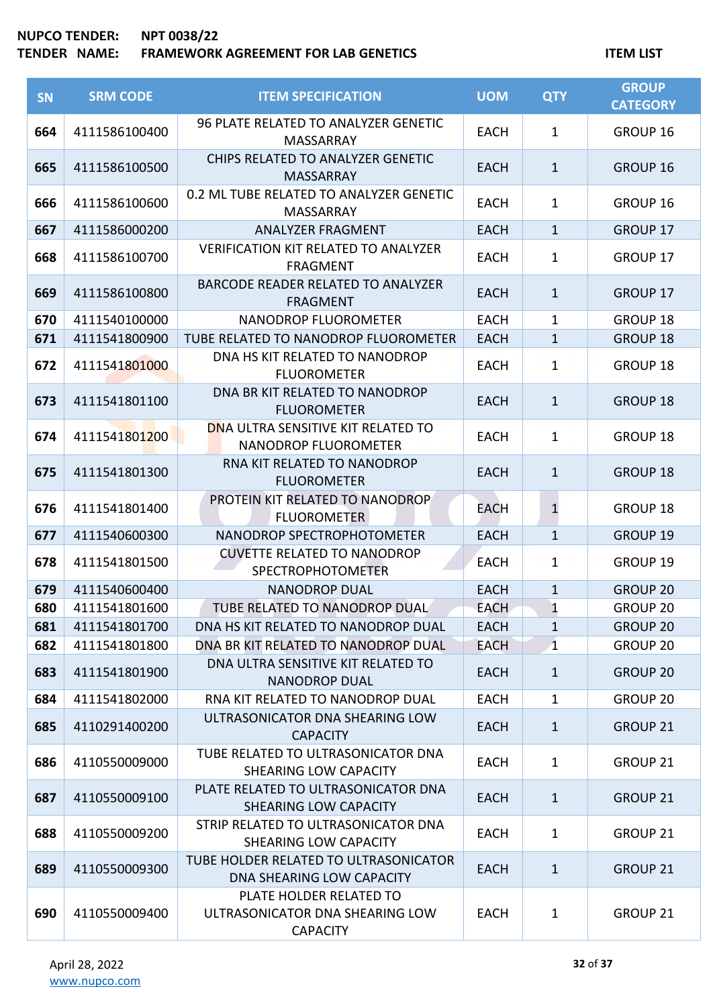| <b>SN</b> | <b>SRM CODE</b> | <b>ITEM SPECIFICATION</b>                                                     | <b>UOM</b>  | <b>QTY</b>   | <b>GROUP</b><br><b>CATEGORY</b> |
|-----------|-----------------|-------------------------------------------------------------------------------|-------------|--------------|---------------------------------|
| 664       | 4111586100400   | 96 PLATE RELATED TO ANALYZER GENETIC<br><b>MASSARRAY</b>                      | <b>EACH</b> | 1            | GROUP 16                        |
| 665       | 4111586100500   | CHIPS RELATED TO ANALYZER GENETIC<br><b>MASSARRAY</b>                         | <b>EACH</b> | $\mathbf{1}$ | <b>GROUP 16</b>                 |
| 666       | 4111586100600   | 0.2 ML TUBE RELATED TO ANALYZER GENETIC<br>MASSARRAY                          | <b>EACH</b> | $\mathbf{1}$ | GROUP 16                        |
| 667       | 4111586000200   | <b>ANALYZER FRAGMENT</b>                                                      | <b>EACH</b> | $\mathbf{1}$ | <b>GROUP 17</b>                 |
| 668       | 4111586100700   | <b>VERIFICATION KIT RELATED TO ANALYZER</b><br><b>FRAGMENT</b>                | <b>EACH</b> | $\mathbf{1}$ | GROUP 17                        |
| 669       | 4111586100800   | <b>BARCODE READER RELATED TO ANALYZER</b><br><b>FRAGMENT</b>                  | <b>EACH</b> | $\mathbf{1}$ | <b>GROUP 17</b>                 |
| 670       | 4111540100000   | NANODROP FLUOROMETER                                                          | <b>EACH</b> | $\mathbf 1$  | <b>GROUP 18</b>                 |
| 671       | 4111541800900   | TUBE RELATED TO NANODROP FLUOROMETER                                          | <b>EACH</b> | $\mathbf{1}$ | <b>GROUP 18</b>                 |
| 672       | 4111541801000   | DNA HS KIT RELATED TO NANODROP<br><b>FLUOROMETER</b>                          | <b>EACH</b> | 1            | <b>GROUP 18</b>                 |
| 673       | 4111541801100   | DNA BR KIT RELATED TO NANODROP<br><b>FLUOROMETER</b>                          | <b>EACH</b> | $\mathbf{1}$ | <b>GROUP 18</b>                 |
| 674       | 4111541801200   | DNA ULTRA SENSITIVE KIT RELATED TO<br>NANODROP FLUOROMETER                    | <b>EACH</b> | 1            | <b>GROUP 18</b>                 |
| 675       | 4111541801300   | RNA KIT RELATED TO NANODROP<br><b>FLUOROMETER</b>                             | <b>EACH</b> | $\mathbf{1}$ | <b>GROUP 18</b>                 |
| 676       | 4111541801400   | PROTEIN KIT RELATED TO NANODROP<br><b>FLUOROMETER</b>                         | EACH        | $\mathbf{1}$ | <b>GROUP 18</b>                 |
| 677       | 4111540600300   | NANODROP SPECTROPHOTOMETER                                                    | <b>EACH</b> | $\mathbf{1}$ | <b>GROUP 19</b>                 |
| 678       | 4111541801500   | <b>CUVETTE RELATED TO NANODROP</b><br><b>SPECTROPHOTOMETER</b>                | <b>EACH</b> | 1            | GROUP 19                        |
| 679       | 4111540600400   | <b>NANODROP DUAL</b>                                                          | <b>EACH</b> | $\mathbf{1}$ | <b>GROUP 20</b>                 |
| 680       | 4111541801600   | TUBE RELATED TO NANODROP DUAL                                                 | <b>EACH</b> | 1            | <b>GROUP 20</b>                 |
| 681       | 4111541801700   | DNA HS KIT RELATED TO NANODROP DUAL                                           | <b>EACH</b> | 1            | <b>GROUP 20</b>                 |
| 682       | 4111541801800   | DNA BR KIT RELATED TO NANODROP DUAL                                           | <b>EACH</b> | $\mathbf{1}$ | <b>GROUP 20</b>                 |
| 683       | 4111541801900   | DNA ULTRA SENSITIVE KIT RELATED TO<br><b>NANODROP DUAL</b>                    | <b>EACH</b> | $\mathbf{1}$ | <b>GROUP 20</b>                 |
| 684       | 4111541802000   | RNA KIT RELATED TO NANODROP DUAL                                              | <b>EACH</b> | 1            | <b>GROUP 20</b>                 |
| 685       | 4110291400200   | ULTRASONICATOR DNA SHEARING LOW<br><b>CAPACITY</b>                            | <b>EACH</b> | $\mathbf{1}$ | <b>GROUP 21</b>                 |
| 686       | 4110550009000   | TUBE RELATED TO ULTRASONICATOR DNA<br><b>SHEARING LOW CAPACITY</b>            | <b>EACH</b> | $\mathbf{1}$ | GROUP 21                        |
| 687       | 4110550009100   | PLATE RELATED TO ULTRASONICATOR DNA<br>SHEARING LOW CAPACITY                  | <b>EACH</b> | $\mathbf{1}$ | <b>GROUP 21</b>                 |
| 688       | 4110550009200   | STRIP RELATED TO ULTRASONICATOR DNA<br>SHEARING LOW CAPACITY                  | <b>EACH</b> | $\mathbf{1}$ | <b>GROUP 21</b>                 |
| 689       | 4110550009300   | TUBE HOLDER RELATED TO ULTRASONICATOR<br>DNA SHEARING LOW CAPACITY            | <b>EACH</b> | $\mathbf{1}$ | <b>GROUP 21</b>                 |
| 690       | 4110550009400   | PLATE HOLDER RELATED TO<br>ULTRASONICATOR DNA SHEARING LOW<br><b>CAPACITY</b> | <b>EACH</b> | $\mathbf{1}$ | GROUP 21                        |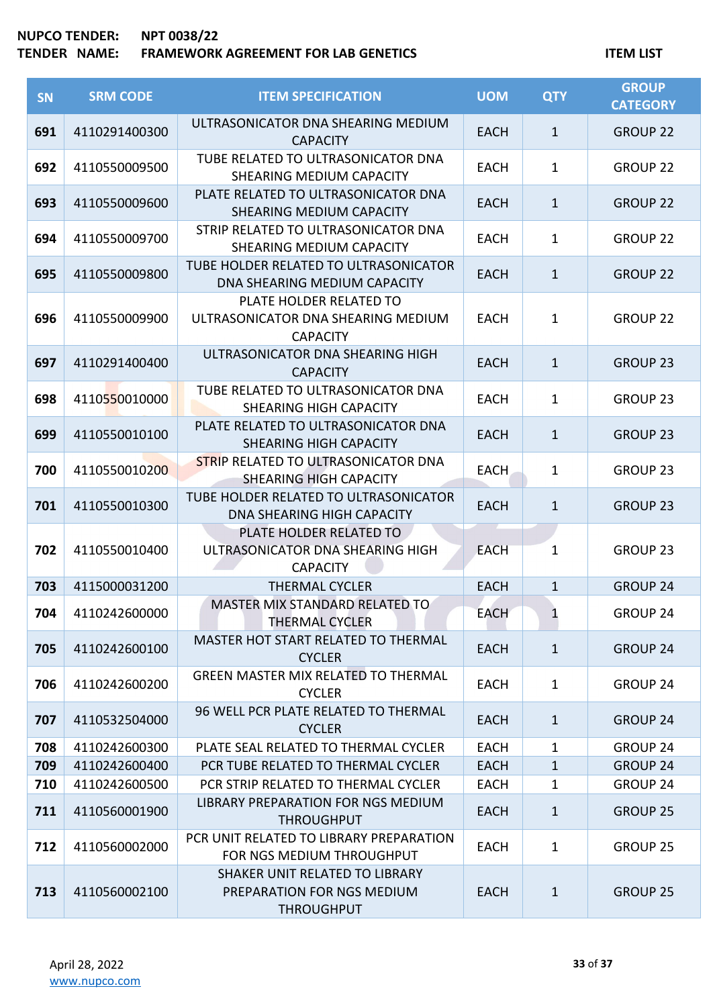| SN  | <b>SRM CODE</b> | <b>ITEM SPECIFICATION</b>                                                         | <b>UOM</b>  | <b>QTY</b>   | <b>GROUP</b><br><b>CATEGORY</b> |
|-----|-----------------|-----------------------------------------------------------------------------------|-------------|--------------|---------------------------------|
| 691 | 4110291400300   | ULTRASONICATOR DNA SHEARING MEDIUM<br><b>CAPACITY</b>                             | <b>EACH</b> | $\mathbf{1}$ | <b>GROUP 22</b>                 |
| 692 | 4110550009500   | TUBE RELATED TO ULTRASONICATOR DNA<br>SHEARING MEDIUM CAPACITY                    | <b>EACH</b> | $\mathbf{1}$ | <b>GROUP 22</b>                 |
| 693 | 4110550009600   | PLATE RELATED TO ULTRASONICATOR DNA<br>SHEARING MEDIUM CAPACITY                   | <b>EACH</b> | $\mathbf{1}$ | <b>GROUP 22</b>                 |
| 694 | 4110550009700   | STRIP RELATED TO ULTRASONICATOR DNA<br>SHEARING MEDIUM CAPACITY                   | <b>EACH</b> | $\mathbf{1}$ | <b>GROUP 22</b>                 |
| 695 | 4110550009800   | TUBE HOLDER RELATED TO ULTRASONICATOR<br>DNA SHEARING MEDIUM CAPACITY             | <b>EACH</b> | $\mathbf{1}$ | <b>GROUP 22</b>                 |
| 696 | 4110550009900   | PLATE HOLDER RELATED TO<br>ULTRASONICATOR DNA SHEARING MEDIUM<br><b>CAPACITY</b>  | <b>EACH</b> | $\mathbf{1}$ | <b>GROUP 22</b>                 |
| 697 | 4110291400400   | ULTRASONICATOR DNA SHEARING HIGH<br><b>CAPACITY</b>                               | <b>EACH</b> | $\mathbf{1}$ | <b>GROUP 23</b>                 |
| 698 | 4110550010000   | TUBE RELATED TO ULTRASONICATOR DNA<br><b>SHEARING HIGH CAPACITY</b>               | <b>EACH</b> | $\mathbf{1}$ | <b>GROUP 23</b>                 |
| 699 | 4110550010100   | PLATE RELATED TO ULTRASONICATOR DNA<br><b>SHEARING HIGH CAPACITY</b>              | <b>EACH</b> | $\mathbf{1}$ | <b>GROUP 23</b>                 |
| 700 | 4110550010200   | <b>STRIP RELATED TO ULTRASONICATOR DNA</b><br><b>SHEARING HIGH CAPACITY</b>       | <b>EACH</b> | $\mathbf{1}$ | <b>GROUP 23</b>                 |
| 701 | 4110550010300   | TUBE HOLDER RELATED TO ULTRASONICATOR<br><b>DNA SHEARING HIGH CAPACITY</b>        | <b>EACH</b> | $\mathbf{1}$ | <b>GROUP 23</b>                 |
| 702 | 4110550010400   | PLATE HOLDER RELATED TO<br>ULTRASONICATOR DNA SHEARING HIGH<br><b>CAPACITY</b>    | <b>EACH</b> | $\mathbf{1}$ | <b>GROUP 23</b>                 |
| 703 | 4115000031200   | <b>THERMAL CYCLER</b>                                                             | <b>EACH</b> | $\mathbf{1}$ | <b>GROUP 24</b>                 |
| 704 | 4110242600000   | MASTER MIX STANDARD RELATED TO<br><b>THERMAL CYCLER</b>                           | <b>EACH</b> |              | <b>GROUP 24</b>                 |
| 705 | 4110242600100   | MASTER HOT START RELATED TO THERMAL<br><b>CYCLER</b>                              | <b>EACH</b> | $\mathbf{1}$ | <b>GROUP 24</b>                 |
| 706 | 4110242600200   | <b>GREEN MASTER MIX RELATED TO THERMAL</b><br><b>CYCLER</b>                       | <b>EACH</b> | $\mathbf{1}$ | <b>GROUP 24</b>                 |
| 707 | 4110532504000   | 96 WELL PCR PLATE RELATED TO THERMAL<br><b>CYCLER</b>                             | <b>EACH</b> | $\mathbf{1}$ | <b>GROUP 24</b>                 |
| 708 | 4110242600300   | PLATE SEAL RELATED TO THERMAL CYCLER                                              | <b>EACH</b> | 1            | <b>GROUP 24</b>                 |
| 709 | 4110242600400   | PCR TUBE RELATED TO THERMAL CYCLER                                                | <b>EACH</b> | $\mathbf{1}$ | <b>GROUP 24</b>                 |
| 710 | 4110242600500   | PCR STRIP RELATED TO THERMAL CYCLER                                               | <b>EACH</b> | 1            | GROUP 24                        |
| 711 | 4110560001900   | LIBRARY PREPARATION FOR NGS MEDIUM<br><b>THROUGHPUT</b>                           | <b>EACH</b> | $\mathbf{1}$ | <b>GROUP 25</b>                 |
| 712 | 4110560002000   | PCR UNIT RELATED TO LIBRARY PREPARATION<br>FOR NGS MEDIUM THROUGHPUT              | <b>EACH</b> | $\mathbf{1}$ | <b>GROUP 25</b>                 |
| 713 | 4110560002100   | SHAKER UNIT RELATED TO LIBRARY<br>PREPARATION FOR NGS MEDIUM<br><b>THROUGHPUT</b> | <b>EACH</b> | $\mathbf{1}$ | <b>GROUP 25</b>                 |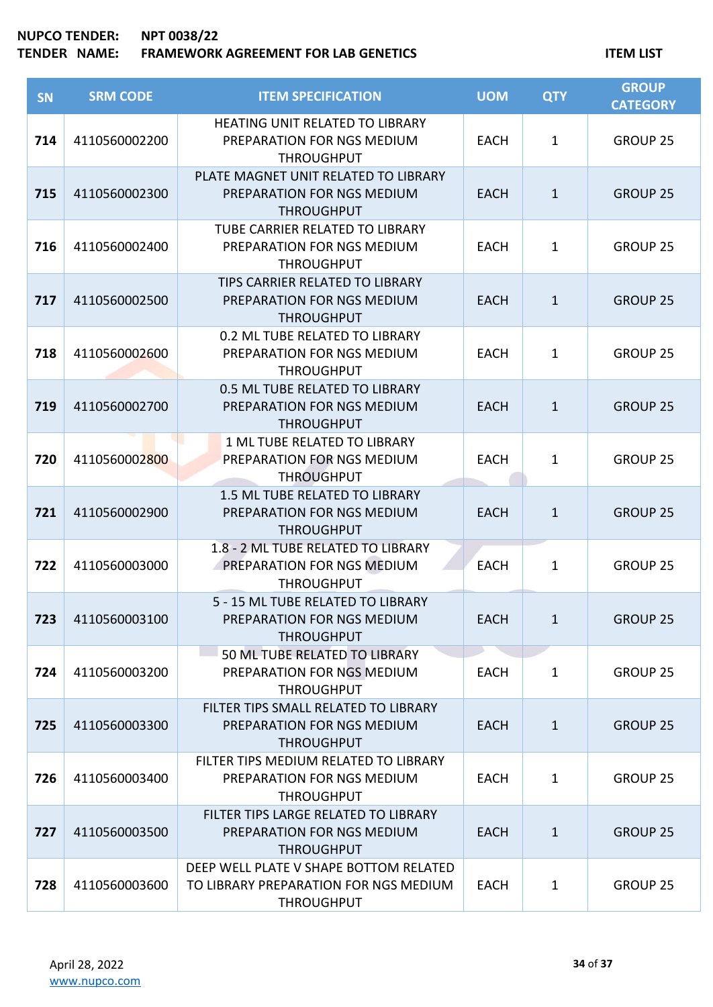| <b>SN</b> | <b>SRM CODE</b> | <b>ITEM SPECIFICATION</b>                                                                            | <b>UOM</b>  | <b>QTY</b>   | <b>GROUP</b><br><b>CATEGORY</b> |
|-----------|-----------------|------------------------------------------------------------------------------------------------------|-------------|--------------|---------------------------------|
| 714       | 4110560002200   | <b>HEATING UNIT RELATED TO LIBRARY</b><br>PREPARATION FOR NGS MEDIUM<br><b>THROUGHPUT</b>            | <b>EACH</b> | $\mathbf{1}$ | <b>GROUP 25</b>                 |
| 715       | 4110560002300   | PLATE MAGNET UNIT RELATED TO LIBRARY<br>PREPARATION FOR NGS MEDIUM<br><b>THROUGHPUT</b>              | <b>EACH</b> | $\mathbf{1}$ | <b>GROUP 25</b>                 |
| 716       | 4110560002400   | TUBE CARRIER RELATED TO LIBRARY<br>PREPARATION FOR NGS MEDIUM<br><b>THROUGHPUT</b>                   | <b>EACH</b> | $\mathbf{1}$ | <b>GROUP 25</b>                 |
| 717       | 4110560002500   | TIPS CARRIER RELATED TO LIBRARY<br>PREPARATION FOR NGS MEDIUM<br><b>THROUGHPUT</b>                   | <b>EACH</b> | $\mathbf{1}$ | <b>GROUP 25</b>                 |
| 718       | 4110560002600   | 0.2 ML TUBE RELATED TO LIBRARY<br>PREPARATION FOR NGS MEDIUM<br><b>THROUGHPUT</b>                    | <b>EACH</b> | $\mathbf{1}$ | <b>GROUP 25</b>                 |
| 719       | 4110560002700   | 0.5 ML TUBE RELATED TO LIBRARY<br>PREPARATION FOR NGS MEDIUM<br><b>THROUGHPUT</b>                    | <b>EACH</b> | $\mathbf{1}$ | <b>GROUP 25</b>                 |
| 720       | 4110560002800   | 1 ML TUBE RELATED TO LIBRARY<br>PREPARATION FOR NGS MEDIUM<br><b>THROUGHPUT</b>                      | <b>EACH</b> | $\mathbf{1}$ | <b>GROUP 25</b>                 |
| 721       | 4110560002900   | 1.5 ML TUBE RELATED TO LIBRARY<br>PREPARATION FOR NGS MEDIUM<br><b>THROUGHPUT</b>                    | <b>EACH</b> | $\mathbf{1}$ | <b>GROUP 25</b>                 |
| 722       | 4110560003000   | 1.8 - 2 ML TUBE RELATED TO LIBRARY<br>PREPARATION FOR NGS MEDIUM<br><b>THROUGHPUT</b>                | <b>EACH</b> | $\mathbf{1}$ | <b>GROUP 25</b>                 |
| 723       | 4110560003100   | 5 - 15 ML TUBE RELATED TO LIBRARY<br>PREPARATION FOR NGS MEDIUM<br><b>THROUGHPUT</b>                 | EACH        | 1            | <b>GROUP 25</b>                 |
| 724       | 4110560003200   | 50 ML TUBE RELATED TO LIBRARY<br>PREPARATION FOR NGS MEDIUM<br><b>THROUGHPUT</b>                     | <b>EACH</b> | $\mathbf{1}$ | <b>GROUP 25</b>                 |
| 725       | 4110560003300   | FILTER TIPS SMALL RELATED TO LIBRARY<br>PREPARATION FOR NGS MEDIUM<br><b>THROUGHPUT</b>              | <b>EACH</b> | $\mathbf{1}$ | <b>GROUP 25</b>                 |
| 726       | 4110560003400   | FILTER TIPS MEDIUM RELATED TO LIBRARY<br>PREPARATION FOR NGS MEDIUM<br><b>THROUGHPUT</b>             | <b>EACH</b> | $\mathbf{1}$ | <b>GROUP 25</b>                 |
| 727       | 4110560003500   | FILTER TIPS LARGE RELATED TO LIBRARY<br>PREPARATION FOR NGS MEDIUM<br><b>THROUGHPUT</b>              | <b>EACH</b> | $\mathbf{1}$ | <b>GROUP 25</b>                 |
| 728       | 4110560003600   | DEEP WELL PLATE V SHAPE BOTTOM RELATED<br>TO LIBRARY PREPARATION FOR NGS MEDIUM<br><b>THROUGHPUT</b> | <b>EACH</b> | $\mathbf{1}$ | GROUP 25                        |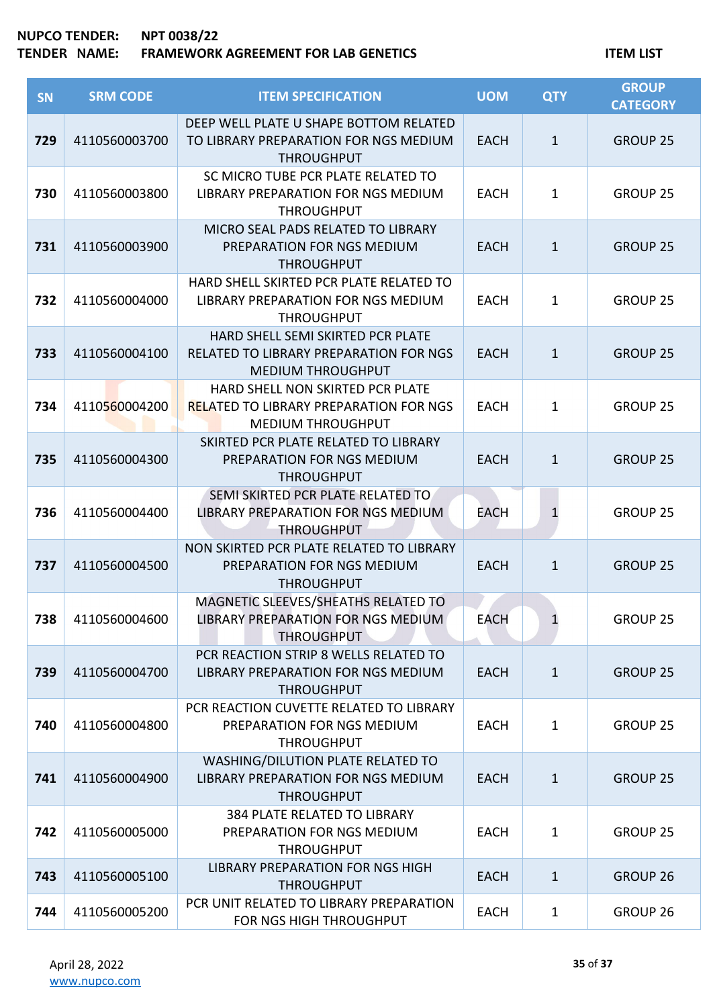| SN  | <b>SRM CODE</b> | <b>ITEM SPECIFICATION</b>                                                                                     | <b>UOM</b>  | <b>QTY</b>   | <b>GROUP</b><br><b>CATEGORY</b> |
|-----|-----------------|---------------------------------------------------------------------------------------------------------------|-------------|--------------|---------------------------------|
| 729 | 4110560003700   | DEEP WELL PLATE U SHAPE BOTTOM RELATED<br>TO LIBRARY PREPARATION FOR NGS MEDIUM<br><b>THROUGHPUT</b>          | <b>EACH</b> | $\mathbf{1}$ | <b>GROUP 25</b>                 |
| 730 | 4110560003800   | SC MICRO TUBE PCR PLATE RELATED TO<br>LIBRARY PREPARATION FOR NGS MEDIUM<br><b>THROUGHPUT</b>                 | <b>EACH</b> | $\mathbf{1}$ | <b>GROUP 25</b>                 |
| 731 | 4110560003900   | MICRO SEAL PADS RELATED TO LIBRARY<br>PREPARATION FOR NGS MEDIUM<br><b>THROUGHPUT</b>                         | <b>EACH</b> | $\mathbf{1}$ | <b>GROUP 25</b>                 |
| 732 | 4110560004000   | HARD SHELL SKIRTED PCR PLATE RELATED TO<br>LIBRARY PREPARATION FOR NGS MEDIUM<br><b>THROUGHPUT</b>            | <b>EACH</b> | $\mathbf{1}$ | <b>GROUP 25</b>                 |
| 733 | 4110560004100   | HARD SHELL SEMI SKIRTED PCR PLATE<br>RELATED TO LIBRARY PREPARATION FOR NGS<br><b>MEDIUM THROUGHPUT</b>       | <b>EACH</b> | $\mathbf{1}$ | <b>GROUP 25</b>                 |
| 734 | 4110560004200   | HARD SHELL NON SKIRTED PCR PLATE<br><b>RELATED TO LIBRARY PREPARATION FOR NGS</b><br><b>MEDIUM THROUGHPUT</b> | <b>EACH</b> | $\mathbf{1}$ | <b>GROUP 25</b>                 |
| 735 | 4110560004300   | SKIRTED PCR PLATE RELATED TO LIBRARY<br>PREPARATION FOR NGS MEDIUM<br><b>THROUGHPUT</b>                       | <b>EACH</b> | $\mathbf{1}$ | <b>GROUP 25</b>                 |
| 736 | 4110560004400   | SEMI SKIRTED PCR PLATE RELATED TO<br>LIBRARY PREPARATION FOR NGS MEDIUM<br><b>THROUGHPUT</b>                  | EACH        | $\mathbf{1}$ | <b>GROUP 25</b>                 |
| 737 | 4110560004500   | NON SKIRTED PCR PLATE RELATED TO LIBRARY<br>PREPARATION FOR NGS MEDIUM<br><b>THROUGHPUT</b>                   | <b>EACH</b> | $\mathbf{1}$ | <b>GROUP 25</b>                 |
| 738 | 4110560004600   | MAGNETIC SLEEVES/SHEATHS RELATED TO<br>LIBRARY PREPARATION FOR NGS MEDIUM<br><b>THROUGHPUT</b>                | <b>EACH</b> | 1            | <b>GROUP 25</b>                 |
| 739 | 4110560004700   | PCR REACTION STRIP 8 WELLS RELATED TO<br>LIBRARY PREPARATION FOR NGS MEDIUM<br><b>THROUGHPUT</b>              | <b>EACH</b> | $\mathbf{1}$ | <b>GROUP 25</b>                 |
| 740 | 4110560004800   | PCR REACTION CUVETTE RELATED TO LIBRARY<br>PREPARATION FOR NGS MEDIUM<br><b>THROUGHPUT</b>                    | <b>EACH</b> | $\mathbf{1}$ | <b>GROUP 25</b>                 |
| 741 | 4110560004900   | WASHING/DILUTION PLATE RELATED TO<br>LIBRARY PREPARATION FOR NGS MEDIUM<br><b>THROUGHPUT</b>                  | <b>EACH</b> | $\mathbf{1}$ | <b>GROUP 25</b>                 |
| 742 | 4110560005000   | 384 PLATE RELATED TO LIBRARY<br>PREPARATION FOR NGS MEDIUM<br><b>THROUGHPUT</b>                               | <b>EACH</b> | $\mathbf{1}$ | <b>GROUP 25</b>                 |
| 743 | 4110560005100   | <b>LIBRARY PREPARATION FOR NGS HIGH</b><br><b>THROUGHPUT</b>                                                  | <b>EACH</b> | $\mathbf{1}$ | <b>GROUP 26</b>                 |
| 744 | 4110560005200   | PCR UNIT RELATED TO LIBRARY PREPARATION<br>FOR NGS HIGH THROUGHPUT                                            | <b>EACH</b> | $\mathbf{1}$ | GROUP 26                        |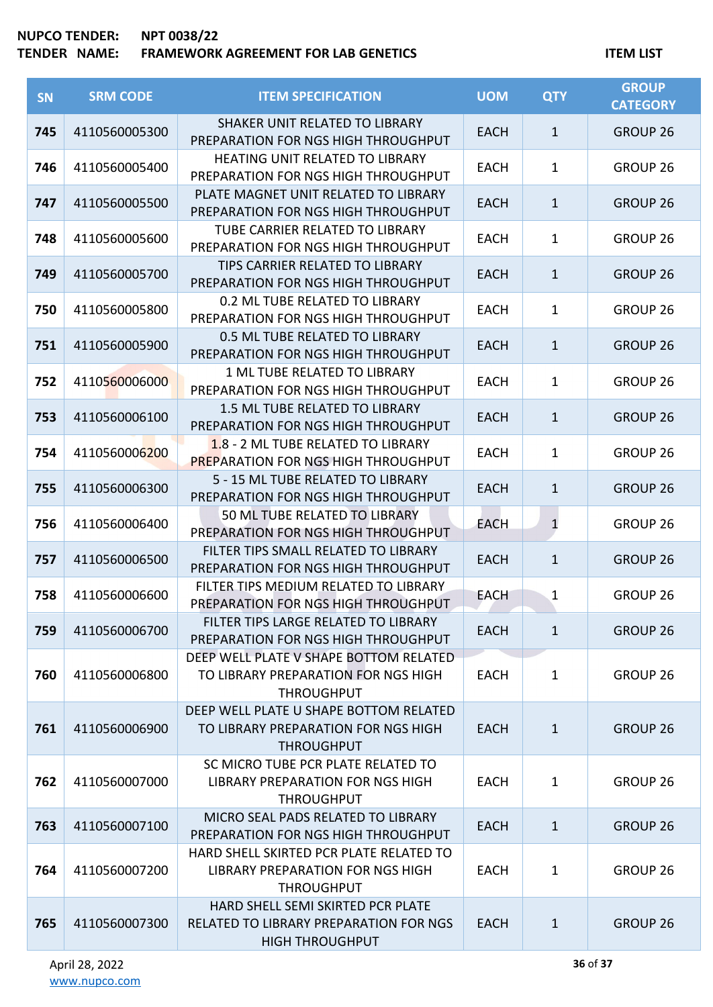| <b>SN</b> | <b>SRM CODE</b> | <b>ITEM SPECIFICATION</b>                                                                                    | <b>UOM</b>  | <b>QTY</b>   | <b>GROUP</b><br><b>CATEGORY</b> |
|-----------|-----------------|--------------------------------------------------------------------------------------------------------------|-------------|--------------|---------------------------------|
| 745       | 4110560005300   | SHAKER UNIT RELATED TO LIBRARY<br>PREPARATION FOR NGS HIGH THROUGHPUT                                        | <b>EACH</b> | $\mathbf{1}$ | <b>GROUP 26</b>                 |
| 746       | 4110560005400   | <b>HEATING UNIT RELATED TO LIBRARY</b><br>PREPARATION FOR NGS HIGH THROUGHPUT                                | <b>EACH</b> | 1            | GROUP <sub>26</sub>             |
| 747       | 4110560005500   | PLATE MAGNET UNIT RELATED TO LIBRARY<br>PREPARATION FOR NGS HIGH THROUGHPUT                                  | <b>EACH</b> | 1            | <b>GROUP 26</b>                 |
| 748       | 4110560005600   | <b>TUBE CARRIER RELATED TO LIBRARY</b><br>PREPARATION FOR NGS HIGH THROUGHPUT                                | <b>EACH</b> | 1            | GROUP <sub>26</sub>             |
| 749       | 4110560005700   | TIPS CARRIER RELATED TO LIBRARY<br>PREPARATION FOR NGS HIGH THROUGHPUT                                       | <b>EACH</b> | $\mathbf{1}$ | <b>GROUP 26</b>                 |
| 750       | 4110560005800   | 0.2 ML TUBE RELATED TO LIBRARY<br>PREPARATION FOR NGS HIGH THROUGHPUT                                        | <b>EACH</b> | 1            | <b>GROUP 26</b>                 |
| 751       | 4110560005900   | 0.5 ML TUBE RELATED TO LIBRARY<br>PREPARATION FOR NGS HIGH THROUGHPUT                                        | <b>EACH</b> | $\mathbf{1}$ | <b>GROUP 26</b>                 |
| 752       | 4110560006000   | 1 ML TUBE RELATED TO LIBRARY<br>PREPARATION FOR NGS HIGH THROUGHPUT                                          | <b>EACH</b> | 1            | <b>GROUP 26</b>                 |
| 753       | 4110560006100   | 1.5 ML TUBE RELATED TO LIBRARY<br>PREPARATION FOR NGS HIGH THROUGHPUT                                        | <b>EACH</b> | 1            | <b>GROUP 26</b>                 |
| 754       | 4110560006200   | 1.8 - 2 ML TUBE RELATED TO LIBRARY<br><b>PREPARATION FOR NGS HIGH THROUGHPUT</b>                             | <b>EACH</b> | $\mathbf 1$  | GROUP <sub>26</sub>             |
| 755       | 4110560006300   | 5 - 15 ML TUBE RELATED TO LIBRARY<br>PREPARATION FOR NGS HIGH THROUGHPUT                                     | <b>EACH</b> | $\mathbf 1$  | <b>GROUP 26</b>                 |
| 756       | 4110560006400   | 50 ML TUBE RELATED TO LIBRARY<br>PREPARATION FOR NGS HIGH THROUGHPUT                                         | <b>EACH</b> | $\mathbf{1}$ | GROUP <sub>26</sub>             |
| 757       | 4110560006500   | FILTER TIPS SMALL RELATED TO LIBRARY<br>PREPARATION FOR NGS HIGH THROUGHPUT                                  | <b>EACH</b> | $\mathbf 1$  | <b>GROUP 26</b>                 |
| 758       | 4110560006600   | FILTER TIPS MEDIUM RELATED TO LIBRARY<br>PREPARATION FOR NGS HIGH THROUGHPUT                                 | <b>EACH</b> | 1            | GROUP 26                        |
| 759       | 4110560006700   | FILTER TIPS LARGE RELATED TO LIBRARY<br>PREPARATION FOR NGS HIGH THROUGHPUT                                  | <b>EACH</b> | $\mathbf{1}$ | <b>GROUP 26</b>                 |
| 760       | 4110560006800   | DEEP WELL PLATE V SHAPE BOTTOM RELATED<br>TO LIBRARY PREPARATION FOR NGS HIGH<br><b>THROUGHPUT</b>           | <b>EACH</b> | $\mathbf{1}$ | GROUP <sub>26</sub>             |
| 761       | 4110560006900   | DEEP WELL PLATE U SHAPE BOTTOM RELATED<br>TO LIBRARY PREPARATION FOR NGS HIGH<br><b>THROUGHPUT</b>           | EACH        | $\mathbf{1}$ | <b>GROUP 26</b>                 |
| 762       | 4110560007000   | SC MICRO TUBE PCR PLATE RELATED TO<br>LIBRARY PREPARATION FOR NGS HIGH<br><b>THROUGHPUT</b>                  | <b>EACH</b> | $\mathbf{1}$ | GROUP 26                        |
| 763       | 4110560007100   | MICRO SEAL PADS RELATED TO LIBRARY<br>PREPARATION FOR NGS HIGH THROUGHPUT                                    | <b>EACH</b> | $\mathbf{1}$ | <b>GROUP 26</b>                 |
| 764       | 4110560007200   | HARD SHELL SKIRTED PCR PLATE RELATED TO<br>LIBRARY PREPARATION FOR NGS HIGH<br><b>THROUGHPUT</b>             | <b>EACH</b> | $\mathbf{1}$ | GROUP 26                        |
| 765       | 4110560007300   | HARD SHELL SEMI SKIRTED PCR PLATE<br><b>RELATED TO LIBRARY PREPARATION FOR NGS</b><br><b>HIGH THROUGHPUT</b> | <b>EACH</b> | $\mathbf{1}$ | <b>GROUP 26</b>                 |